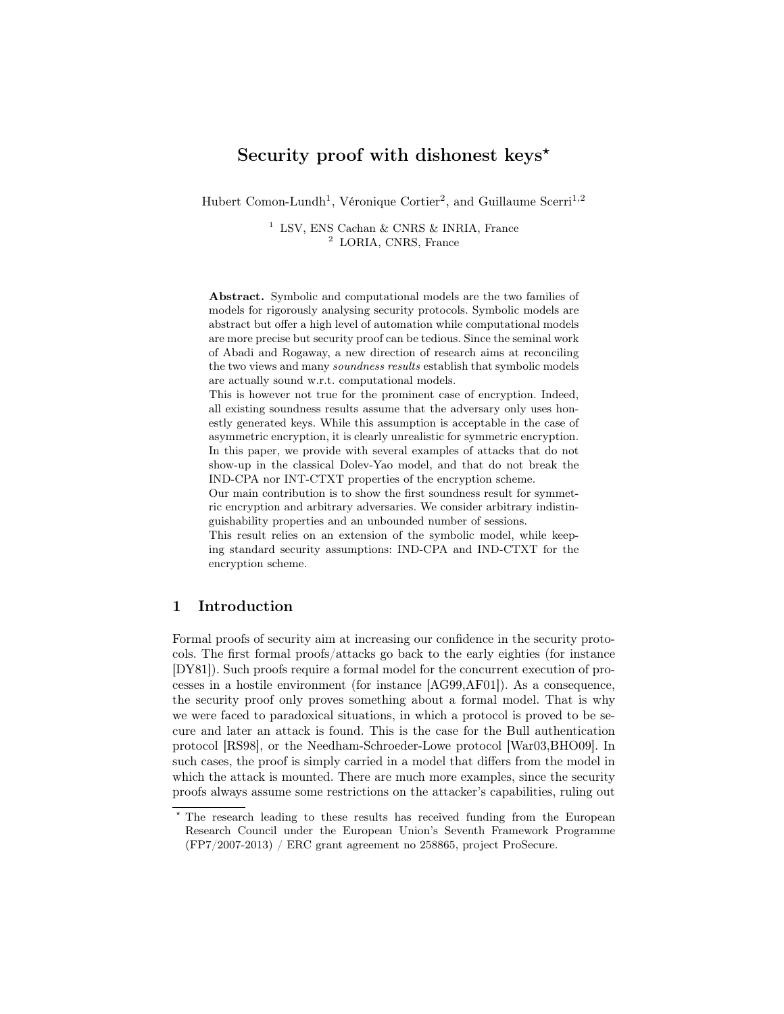# Security proof with dishonest keys<sup> $\star$ </sup>

Hubert Comon-Lundh<sup>1</sup>, Véronique Cortier<sup>2</sup>, and Guillaume Scerri<sup>1,2</sup>

<sup>1</sup> LSV, ENS Cachan & CNRS & INRIA, France <sup>2</sup> LORIA, CNRS, France

Abstract. Symbolic and computational models are the two families of models for rigorously analysing security protocols. Symbolic models are abstract but offer a high level of automation while computational models are more precise but security proof can be tedious. Since the seminal work of Abadi and Rogaway, a new direction of research aims at reconciling the two views and many soundness results establish that symbolic models are actually sound w.r.t. computational models.

This is however not true for the prominent case of encryption. Indeed, all existing soundness results assume that the adversary only uses honestly generated keys. While this assumption is acceptable in the case of asymmetric encryption, it is clearly unrealistic for symmetric encryption. In this paper, we provide with several examples of attacks that do not show-up in the classical Dolev-Yao model, and that do not break the IND-CPA nor INT-CTXT properties of the encryption scheme.

Our main contribution is to show the first soundness result for symmetric encryption and arbitrary adversaries. We consider arbitrary indistinguishability properties and an unbounded number of sessions.

This result relies on an extension of the symbolic model, while keeping standard security assumptions: IND-CPA and IND-CTXT for the encryption scheme.

# 1 Introduction

Formal proofs of security aim at increasing our confidence in the security protocols. The first formal proofs/attacks go back to the early eighties (for instance [DY81]). Such proofs require a formal model for the concurrent execution of processes in a hostile environment (for instance [AG99,AF01]). As a consequence, the security proof only proves something about a formal model. That is why we were faced to paradoxical situations, in which a protocol is proved to be secure and later an attack is found. This is the case for the Bull authentication protocol [RS98], or the Needham-Schroeder-Lowe protocol [War03,BHO09]. In such cases, the proof is simply carried in a model that differs from the model in which the attack is mounted. There are much more examples, since the security proofs always assume some restrictions on the attacker's capabilities, ruling out

<sup>?</sup> The research leading to these results has received funding from the European Research Council under the European Union's Seventh Framework Programme (FP7/2007-2013) / ERC grant agreement no 258865, project ProSecure.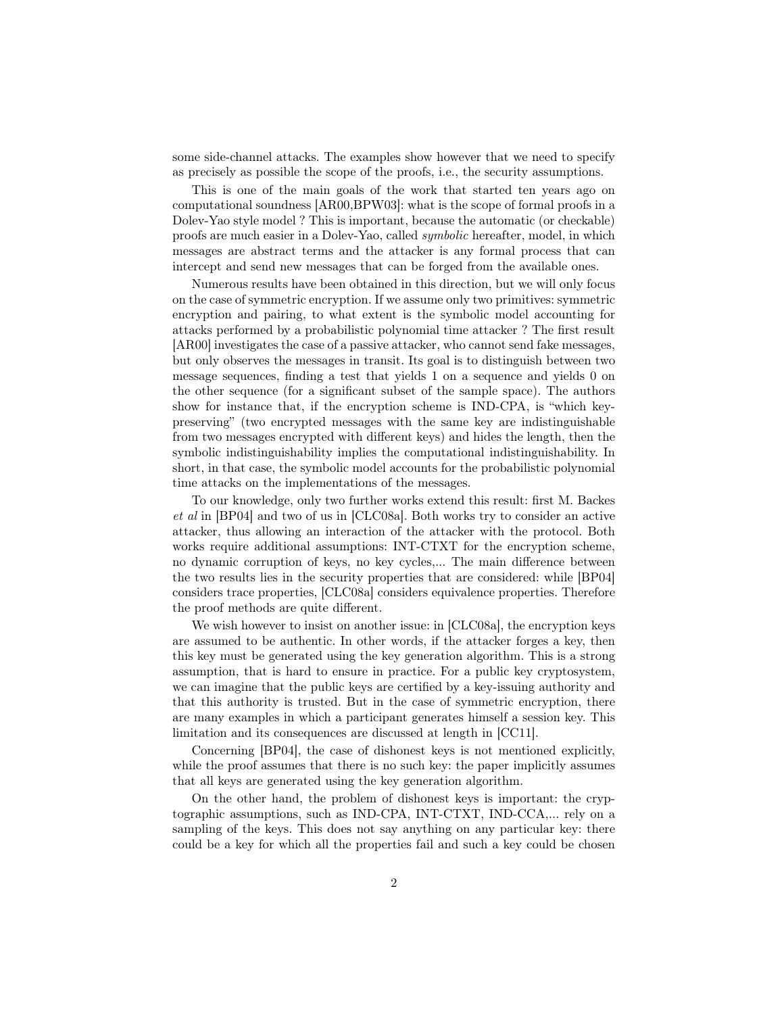some side-channel attacks. The examples show however that we need to specify as precisely as possible the scope of the proofs, i.e., the security assumptions.

This is one of the main goals of the work that started ten years ago on computational soundness [AR00,BPW03]: what is the scope of formal proofs in a Dolev-Yao style model ? This is important, because the automatic (or checkable) proofs are much easier in a Dolev-Yao, called symbolic hereafter, model, in which messages are abstract terms and the attacker is any formal process that can intercept and send new messages that can be forged from the available ones.

Numerous results have been obtained in this direction, but we will only focus on the case of symmetric encryption. If we assume only two primitives: symmetric encryption and pairing, to what extent is the symbolic model accounting for attacks performed by a probabilistic polynomial time attacker ? The first result [AR00] investigates the case of a passive attacker, who cannot send fake messages, but only observes the messages in transit. Its goal is to distinguish between two message sequences, finding a test that yields 1 on a sequence and yields 0 on the other sequence (for a significant subset of the sample space). The authors show for instance that, if the encryption scheme is IND-CPA, is "which keypreserving" (two encrypted messages with the same key are indistinguishable from two messages encrypted with different keys) and hides the length, then the symbolic indistinguishability implies the computational indistinguishability. In short, in that case, the symbolic model accounts for the probabilistic polynomial time attacks on the implementations of the messages.

To our knowledge, only two further works extend this result: first M. Backes et al in [BP04] and two of us in [CLC08a]. Both works try to consider an active attacker, thus allowing an interaction of the attacker with the protocol. Both works require additional assumptions: INT-CTXT for the encryption scheme, no dynamic corruption of keys, no key cycles,... The main difference between the two results lies in the security properties that are considered: while [BP04] considers trace properties, [CLC08a] considers equivalence properties. Therefore the proof methods are quite different.

We wish however to insist on another issue: in [CLC08a], the encryption keys are assumed to be authentic. In other words, if the attacker forges a key, then this key must be generated using the key generation algorithm. This is a strong assumption, that is hard to ensure in practice. For a public key cryptosystem, we can imagine that the public keys are certified by a key-issuing authority and that this authority is trusted. But in the case of symmetric encryption, there are many examples in which a participant generates himself a session key. This limitation and its consequences are discussed at length in [CC11].

Concerning [BP04], the case of dishonest keys is not mentioned explicitly, while the proof assumes that there is no such key: the paper implicitly assumes that all keys are generated using the key generation algorithm.

On the other hand, the problem of dishonest keys is important: the cryptographic assumptions, such as IND-CPA, INT-CTXT, IND-CCA,... rely on a sampling of the keys. This does not say anything on any particular key: there could be a key for which all the properties fail and such a key could be chosen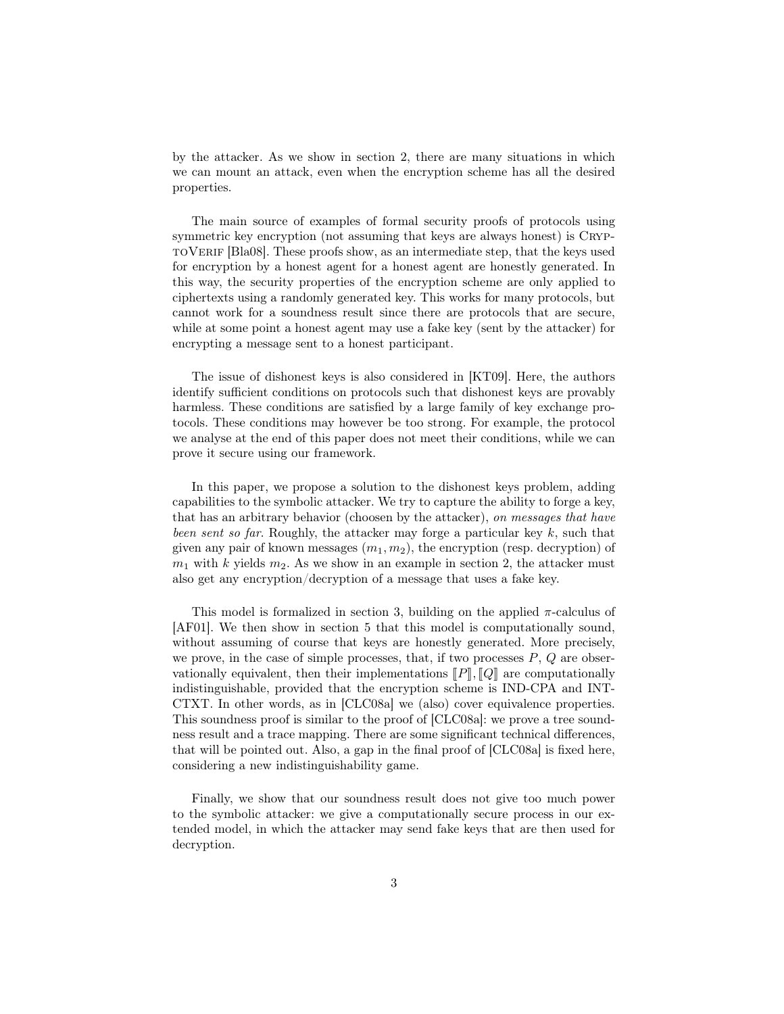by the attacker. As we show in section 2, there are many situations in which we can mount an attack, even when the encryption scheme has all the desired properties.

The main source of examples of formal security proofs of protocols using symmetric key encryption (not assuming that keys are always honest) is CRYPtoVerif [Bla08]. These proofs show, as an intermediate step, that the keys used for encryption by a honest agent for a honest agent are honestly generated. In this way, the security properties of the encryption scheme are only applied to ciphertexts using a randomly generated key. This works for many protocols, but cannot work for a soundness result since there are protocols that are secure, while at some point a honest agent may use a fake key (sent by the attacker) for encrypting a message sent to a honest participant.

The issue of dishonest keys is also considered in [KT09]. Here, the authors identify sufficient conditions on protocols such that dishonest keys are provably harmless. These conditions are satisfied by a large family of key exchange protocols. These conditions may however be too strong. For example, the protocol we analyse at the end of this paper does not meet their conditions, while we can prove it secure using our framework.

In this paper, we propose a solution to the dishonest keys problem, adding capabilities to the symbolic attacker. We try to capture the ability to forge a key, that has an arbitrary behavior (choosen by the attacker), on messages that have been sent so far. Roughly, the attacker may forge a particular key  $k$ , such that given any pair of known messages  $(m_1, m_2)$ , the encryption (resp. decryption) of  $m_1$  with k yields  $m_2$ . As we show in an example in section 2, the attacker must also get any encryption/decryption of a message that uses a fake key.

This model is formalized in section 3, building on the applied  $\pi$ -calculus of [AF01]. We then show in section 5 that this model is computationally sound, without assuming of course that keys are honestly generated. More precisely, we prove, in the case of simple processes, that, if two processes  $P, Q$  are observationally equivalent, then their implementations  $\llbracket P \rrbracket, \llbracket Q \rrbracket$  are computationally indistinguishable, provided that the encryption scheme is IND-CPA and INT-CTXT. In other words, as in [CLC08a] we (also) cover equivalence properties. This soundness proof is similar to the proof of [CLC08a]: we prove a tree soundness result and a trace mapping. There are some significant technical differences, that will be pointed out. Also, a gap in the final proof of [CLC08a] is fixed here, considering a new indistinguishability game.

Finally, we show that our soundness result does not give too much power to the symbolic attacker: we give a computationally secure process in our extended model, in which the attacker may send fake keys that are then used for decryption.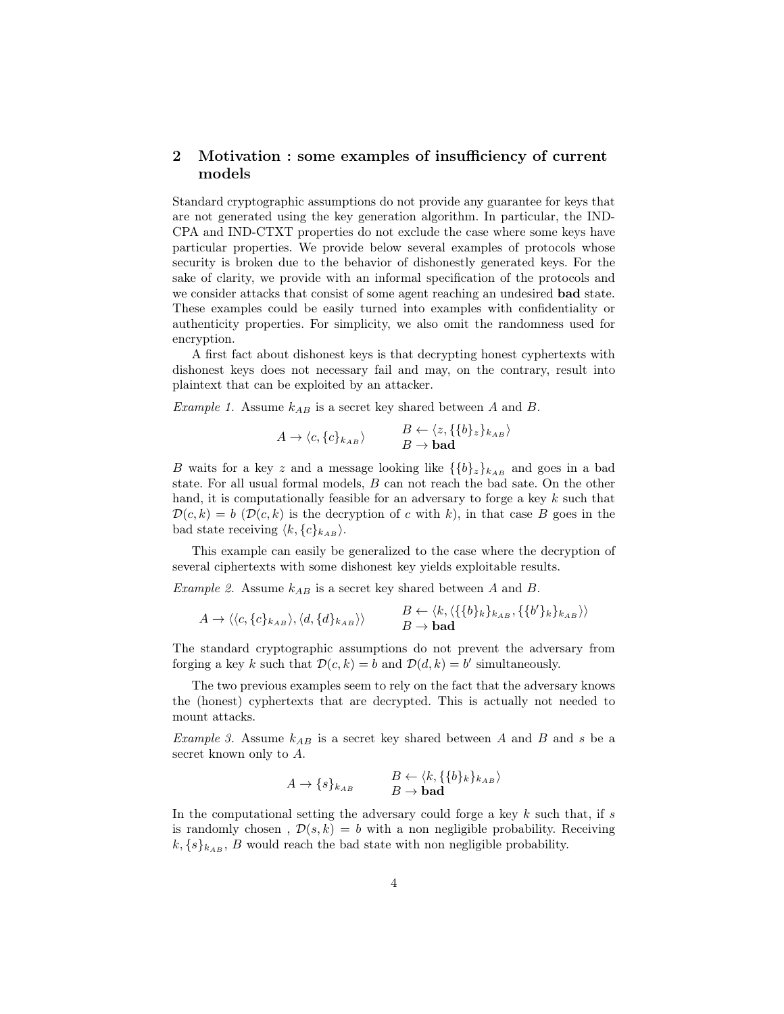# 2 Motivation : some examples of insufficiency of current models

Standard cryptographic assumptions do not provide any guarantee for keys that are not generated using the key generation algorithm. In particular, the IND-CPA and IND-CTXT properties do not exclude the case where some keys have particular properties. We provide below several examples of protocols whose security is broken due to the behavior of dishonestly generated keys. For the sake of clarity, we provide with an informal specification of the protocols and we consider attacks that consist of some agent reaching an undesired bad state. These examples could be easily turned into examples with confidentiality or authenticity properties. For simplicity, we also omit the randomness used for encryption.

A first fact about dishonest keys is that decrypting honest cyphertexts with dishonest keys does not necessary fail and may, on the contrary, result into plaintext that can be exploited by an attacker.

Example 1. Assume  $k_{AB}$  is a secret key shared between A and B.

$$
A \to \langle c, \{c\}_{k_{AB}} \rangle \qquad B \leftarrow \langle z, \{\{b\}_z\}_{k_{AB}} \rangle
$$
  

$$
B \to \text{bad}
$$

B waits for a key z and a message looking like  $\{\{b\}_z\}_{k\in B}$  and goes in a bad state. For all usual formal models, B can not reach the bad sate. On the other hand, it is computationally feasible for an adversary to forge a key  $k$  such that  $\mathcal{D}(c,k) = b \left( \mathcal{D}(c,k) \right)$  is the decryption of c with k), in that case B goes in the bad state receiving  $\langle k, \{c\}_{k_{AB}} \rangle$ .

This example can easily be generalized to the case where the decryption of several ciphertexts with some dishonest key yields exploitable results.

*Example 2.* Assume  $k_{AB}$  is a secret key shared between A and B.

$$
A \to \langle \langle c, \{c\}_{k_{AB}} \rangle, \langle d, \{d\}_{k_{AB}} \rangle \rangle \qquad B \leftarrow \langle k, \langle \{\{b\}_{k}\}_{k_{AB}}, \{\{b'\}_{k}\}_{k_{AB}} \rangle \rangle
$$
  

$$
B \to \mathbf{bad}
$$

The standard cryptographic assumptions do not prevent the adversary from forging a key k such that  $\mathcal{D}(c,k) = b$  and  $\mathcal{D}(d,k) = b'$  simultaneously.

The two previous examples seem to rely on the fact that the adversary knows the (honest) cyphertexts that are decrypted. This is actually not needed to mount attacks.

Example 3. Assume  $k_{AB}$  is a secret key shared between A and B and s be a secret known only to A.

$$
A \to \{s\}_{k_{AB}} \qquad \begin{array}{c} B \leftarrow \langle k, \{\{b\}_k\}_{k_{AB}} \\ B \to \text{bad} \end{array}
$$

In the computational setting the adversary could forge a key  $k$  such that, if s is randomly chosen,  $\mathcal{D}(s, k) = b$  with a non negligible probability. Receiving  $k, \{s\}_{k\in B}$ , B would reach the bad state with non negligible probability.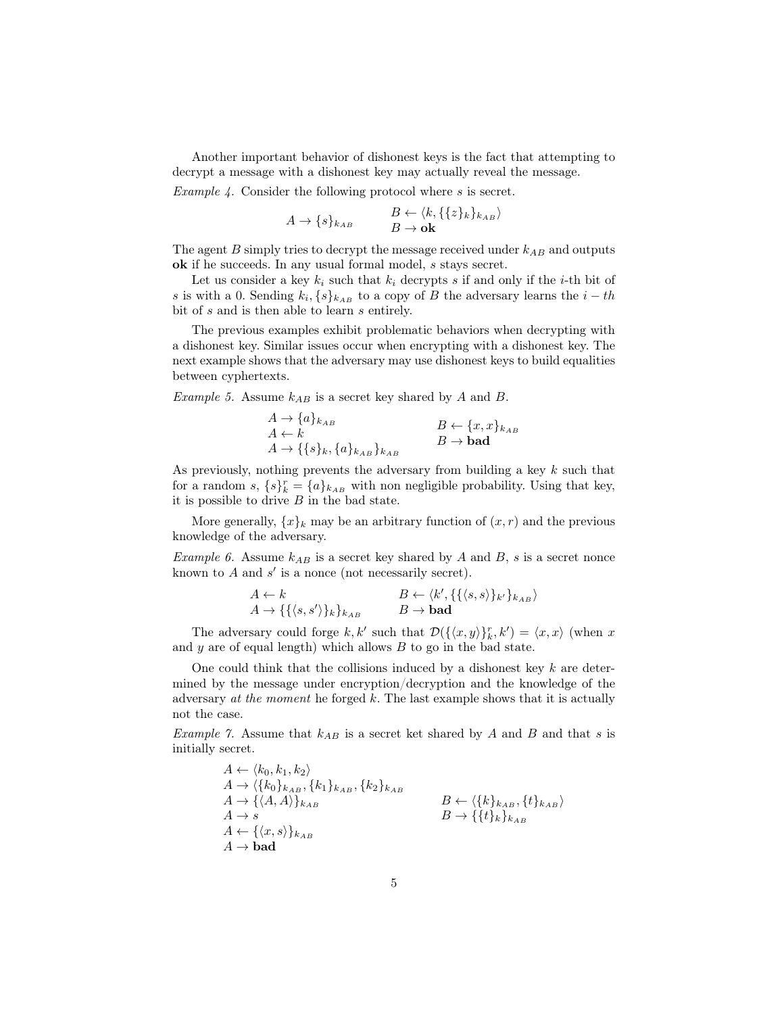Another important behavior of dishonest keys is the fact that attempting to decrypt a message with a dishonest key may actually reveal the message.

Example 4. Consider the following protocol where s is secret.

$$
A \to \{s\}_{k_{AB}} \qquad \begin{array}{c} B \leftarrow \langle k, \{\{z\}_k\}_{k_{AB}} \rangle \\ B \to \mathbf{ok} \end{array}
$$

The agent B simply tries to decrypt the message received under  $k_{AB}$  and outputs ok if he succeeds. In any usual formal model, s stays secret.

Let us consider a key  $k_i$  such that  $k_i$  decrypts s if and only if the *i*-th bit of s is with a 0. Sending  $k_i$ ,  $\{s\}_{k_{AB}}$  to a copy of B the adversary learns the  $i-th$ bit of s and is then able to learn s entirely.

The previous examples exhibit problematic behaviors when decrypting with a dishonest key. Similar issues occur when encrypting with a dishonest key. The next example shows that the adversary may use dishonest keys to build equalities between cyphertexts.

Example 5. Assume  $k_{AB}$  is a secret key shared by A and B.

$$
A \rightarrow \{a\}_{k_{AB}}
$$
  
\n
$$
A \leftarrow k
$$
  
\n
$$
A \rightarrow \{\{s\}_k, \{a\}_{k_{AB}}\}_{k_{AB}}
$$
  
\n
$$
B \rightarrow \text{bad}
$$
  
\n
$$
B \rightarrow \text{bad}
$$

As previously, nothing prevents the adversary from building a key  $k$  such that for a random s,  $\{s\}_{k}^{r} = \{a\}_{k_{AB}}$  with non negligible probability. Using that key, it is possible to drive  $B$  in the bad state.

More generally,  $\{x\}_k$  may be an arbitrary function of  $(x, r)$  and the previous knowledge of the adversary.

Example 6. Assume  $k_{AB}$  is a secret key shared by A and B, s is a secret nonce known to  $A$  and  $s'$  is a nonce (not necessarily secret).

$$
A \leftarrow k
$$
  

$$
A \rightarrow \{\{\langle s, s' \rangle\}_k\}_{k_{AB}}
$$
  

$$
B \rightarrow \text{bad}
$$
  

$$
B \rightarrow \text{bad}
$$

The adversary could forge  $k, k'$  such that  $\mathcal{D}(\{\langle x, y \rangle\}_{k}^{r}, k') = \langle x, x \rangle$  (when x and  $y$  are of equal length) which allows  $B$  to go in the bad state.

One could think that the collisions induced by a dishonest key  $k$  are determined by the message under encryption/decryption and the knowledge of the adversary at the moment he forged  $k$ . The last example shows that it is actually not the case.

Example 7. Assume that  $k_{AB}$  is a secret ket shared by A and B and that s is initially secret.

$$
A \leftarrow \langle k_0, k_1, k_2 \rangle
$$
  
\n
$$
A \rightarrow \langle \{k_0\}_{k_{AB}}, \{k_1\}_{k_{AB}}, \{k_2\}_{k_{AB}}
$$
  
\n
$$
A \rightarrow \{\langle A, A \rangle\}_{k_{AB}}, \{k_2\}_{k_{AB}}
$$
  
\n
$$
B \leftarrow \langle \{k\}_{k_{AB}}, \{t\}_{k_{AB}} \rangle
$$
  
\n
$$
A \leftarrow \{\langle x, s \rangle\}_{k_{AB}}
$$
  
\n
$$
A \rightarrow \text{bad}
$$
  
\n
$$
B \rightarrow \{\{t\}_{k}\}_{k_{AB}}
$$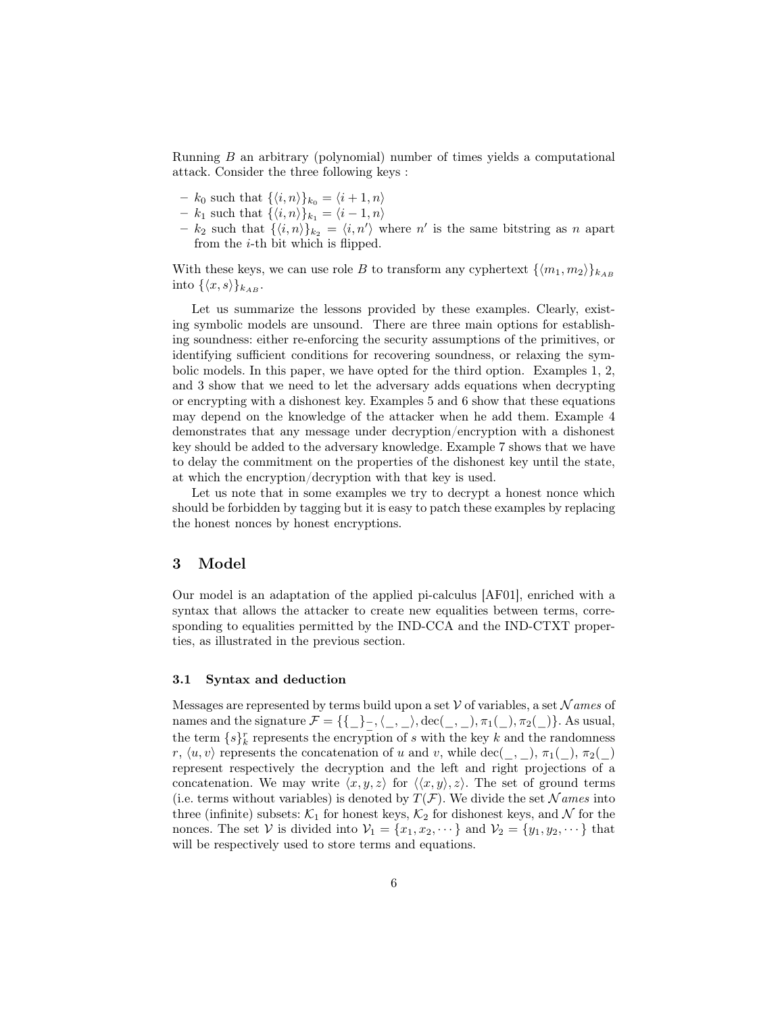Running B an arbitrary (polynomial) number of times yields a computational attack. Consider the three following keys :

- $k_0$  such that  $\{\langle i, n \rangle\}_{k_0} = \langle i + 1, n \rangle$
- $k_1$  such that  $\{\langle i, n \rangle\}_{k_1} = \langle i 1, n \rangle$
- $k_2$  such that  $\{\langle i, n \rangle\}_{k_2} = \langle i, n' \rangle$  where n' is the same bitstring as n apart from the i-th bit which is flipped.

With these keys, we can use role B to transform any cyphertext  $\{\langle m_1, m_2 \rangle\}_{k_{AB}}$ into  $\{\langle x, s \rangle\}_{k_{AB}}$ .

Let us summarize the lessons provided by these examples. Clearly, existing symbolic models are unsound. There are three main options for establishing soundness: either re-enforcing the security assumptions of the primitives, or identifying sufficient conditions for recovering soundness, or relaxing the symbolic models. In this paper, we have opted for the third option. Examples 1, 2, and 3 show that we need to let the adversary adds equations when decrypting or encrypting with a dishonest key. Examples 5 and 6 show that these equations may depend on the knowledge of the attacker when he add them. Example 4 demonstrates that any message under decryption/encryption with a dishonest key should be added to the adversary knowledge. Example 7 shows that we have to delay the commitment on the properties of the dishonest key until the state, at which the encryption/decryption with that key is used.

Let us note that in some examples we try to decrypt a honest nonce which should be forbidden by tagging but it is easy to patch these examples by replacing the honest nonces by honest encryptions.

## 3 Model

Our model is an adaptation of the applied pi-calculus [AF01], enriched with a syntax that allows the attacker to create new equalities between terms, corresponding to equalities permitted by the IND-CCA and the IND-CTXT properties, as illustrated in the previous section.

### 3.1 Syntax and deduction

Messages are represented by terms build upon a set  $\mathcal V$  of variables, a set  $\mathcal N$ *ames* of names and the signature  $\mathcal{F} = {\{\{\_\} -,\langle \_ \,, \_ \rangle, \text{dec}(\_, \_ \rangle, \pi_1(\_ \),pi_2(\_ )\}}$ . As usual, the term  $\{s\}_k^r$  represents the encryption of s with the key k and the randomness r,  $\langle u, v \rangle$  represents the concatenation of u and v, while dec(,,,,,, $\pi_1($ ),  $\pi_2($ ) represent respectively the decryption and the left and right projections of a concatenation. We may write  $\langle x, y, z \rangle$  for  $\langle \langle x, y \rangle, z \rangle$ . The set of ground terms (i.e. terms without variables) is denoted by  $T(\mathcal{F})$ . We divide the set  $\mathcal{N}$  ames into three (infinite) subsets:  $\mathcal{K}_1$  for honest keys,  $\mathcal{K}_2$  for dishonest keys, and N for the nonces. The set V is divided into  $V_1 = \{x_1, x_2, \dots\}$  and  $V_2 = \{y_1, y_2, \dots\}$  that will be respectively used to store terms and equations.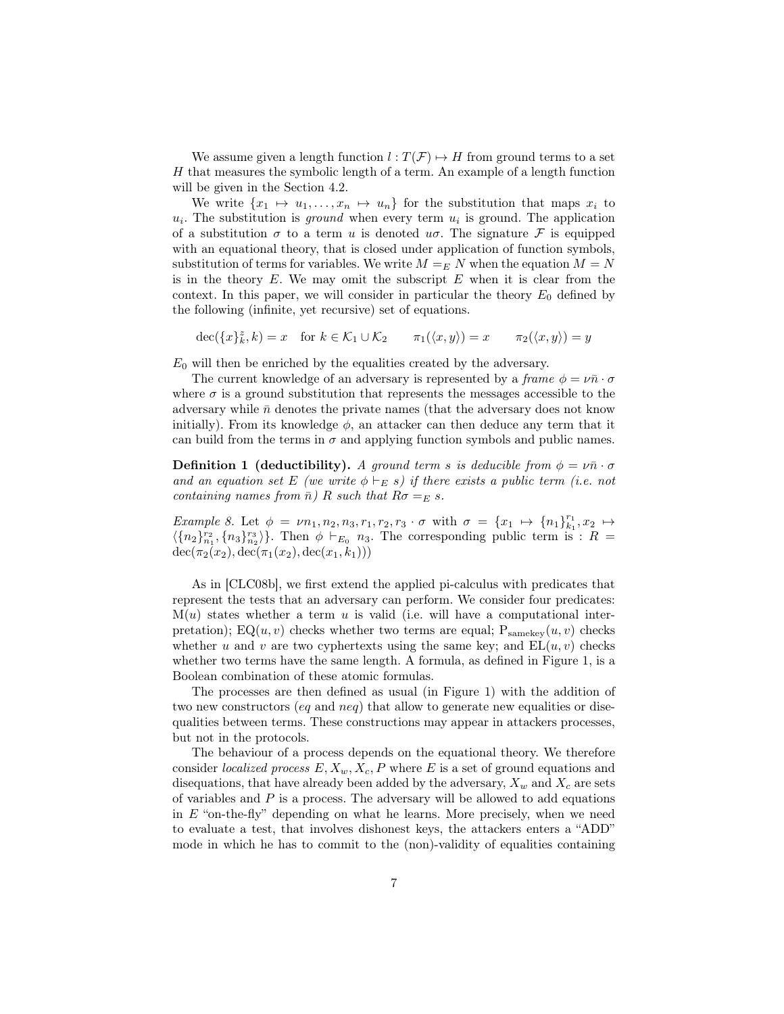We assume given a length function  $l : T(\mathcal{F}) \mapsto H$  from ground terms to a set H that measures the symbolic length of a term. An example of a length function will be given in the Section 4.2.

We write  $\{x_1 \mapsto u_1, \ldots, x_n \mapsto u_n\}$  for the substitution that maps  $x_i$  to  $u_i$ . The substitution is *ground* when every term  $u_i$  is ground. The application of a substitution  $\sigma$  to a term u is denoted u $\sigma$ . The signature  $\mathcal F$  is equipped with an equational theory, that is closed under application of function symbols, substitution of terms for variables. We write  $M =_{E} N$  when the equation  $M = N$ is in the theory  $E$ . We may omit the subscript  $E$  when it is clear from the context. In this paper, we will consider in particular the theory  $E_0$  defined by the following (infinite, yet recursive) set of equations.

 $\operatorname{dec}(\{x\}_{k}^{z}, k) = x \quad \text{for } k \in \mathcal{K}_{1} \cup \mathcal{K}_{2} \qquad \pi_{1}(\langle x, y \rangle) = x \qquad \pi_{2}(\langle x, y \rangle) = y$ 

 $E_0$  will then be enriched by the equalities created by the adversary.

The current knowledge of an adversary is represented by a frame  $\phi = \nu \bar{n} \cdot \sigma$ where  $\sigma$  is a ground substitution that represents the messages accessible to the adversary while  $\bar{n}$  denotes the private names (that the adversary does not know initially). From its knowledge  $\phi$ , an attacker can then deduce any term that it can build from the terms in  $\sigma$  and applying function symbols and public names.

**Definition 1 (deductibility).** A ground term s is deducible from  $\phi = \nu \bar{n} \cdot \sigma$ and an equation set E (we write  $\phi \vdash_E s$ ) if there exists a public term (i.e. not containing names from  $\bar{n}$ ) R such that  $R\sigma =_E s$ .

Example 8. Let  $\phi = \nu n_1, n_2, n_3, r_1, r_2, r_3 \cdot \sigma$  with  $\sigma = \{x_1 \mapsto \{n_1\}_{k_1}^{r_1}, x_2 \mapsto$  $\langle \{n_2\}_{n_1}^{r_2}, \{n_3\}_{n_2}^{r_3}\rangle\}.$  Then  $\phi \vdash_{E_0} n_3$ . The corresponding public term is :  $R =$  $dec(\pi_2(x_2), dec(\pi_1(x_2), dec(x_1, k_1)))$ 

As in [CLC08b], we first extend the applied pi-calculus with predicates that represent the tests that an adversary can perform. We consider four predicates:  $M(u)$  states whether a term u is valid (i.e. will have a computational interpretation); EQ(u, v) checks whether two terms are equal;  $P_{\text{samekey}}(u, v)$  checks whether u and v are two cyphertexts using the same key; and  $EL(u, v)$  checks whether two terms have the same length. A formula, as defined in Figure 1, is a Boolean combination of these atomic formulas.

The processes are then defined as usual (in Figure 1) with the addition of two new constructors (eq and neq) that allow to generate new equalities or disequalities between terms. These constructions may appear in attackers processes, but not in the protocols.

The behaviour of a process depends on the equational theory. We therefore consider localized process  $E, X_w, X_c, P$  where E is a set of ground equations and disequations, that have already been added by the adversary,  $X_w$  and  $X_c$  are sets of variables and  $P$  is a process. The adversary will be allowed to add equations in  $E$  "on-the-fly" depending on what he learns. More precisely, when we need to evaluate a test, that involves dishonest keys, the attackers enters a "ADD" mode in which he has to commit to the (non)-validity of equalities containing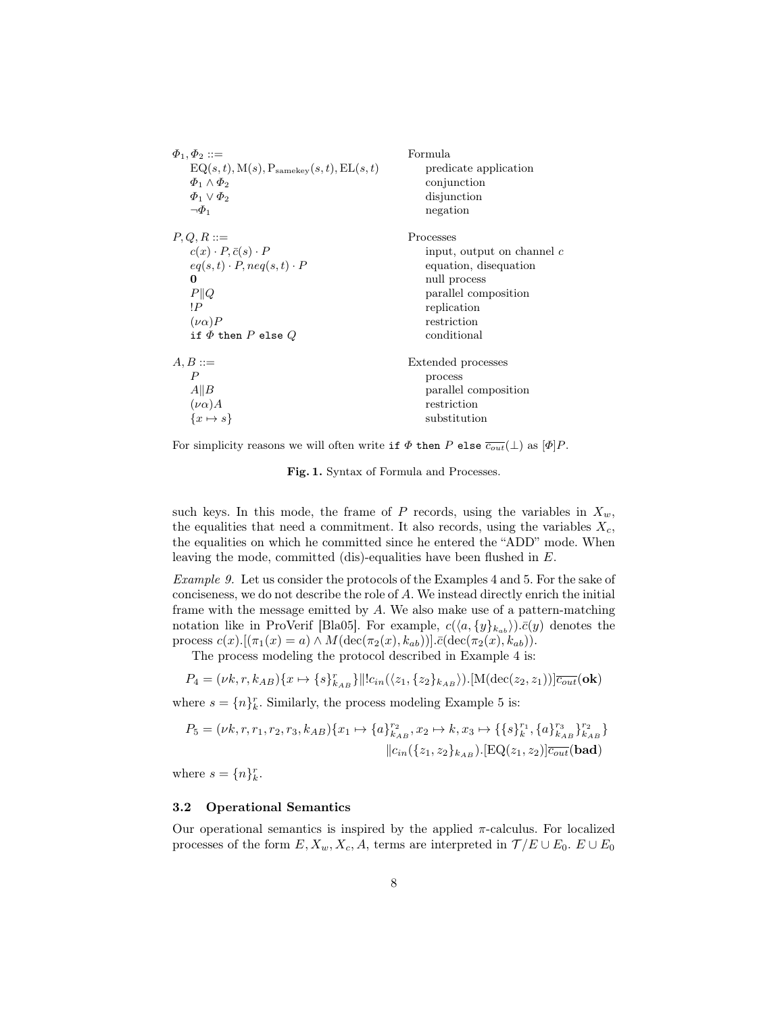| $\Phi_1, \Phi_2 ::=$                              | Formula                      |
|---------------------------------------------------|------------------------------|
| $EQ(s,t), M(s), P_{\text{samekey}}(s,t), EL(s,t)$ | predicate application        |
| $\Phi_1 \wedge \Phi_2$                            | conjunction                  |
| $\Phi_1 \vee \Phi_2$                              | disjunction                  |
| $\neg \Phi_1$                                     | negation                     |
| $P, Q, R ::=$                                     | Processes                    |
| $c(x) \cdot P, \overline{c}(s) \cdot P$           | input, output on channel $c$ |
| $eq(s,t) \cdot P, neg(s,t) \cdot P$               | equation, disequation        |
| $\bf{0}$                                          | null process                 |
| P  Q                                              | parallel composition         |
| P                                                 | replication                  |
| $(\nu \alpha)P$                                   | restriction                  |
| if $\varPhi$ then $P$ else $Q$                    | conditional                  |
| $A, B ::=$                                        | Extended processes           |
| $\boldsymbol{P}$                                  | process                      |
| A  B                                              | parallel composition         |
| $(\nu \alpha) A$                                  | restriction                  |
| $\{x \mapsto s\}$                                 | substitution                 |

For simplicity reasons we will often write if  $\Phi$  then P else  $\overline{c_{out}}(\bot)$  as  $[\Phi]P$ .

Fig. 1. Syntax of Formula and Processes.

such keys. In this mode, the frame of P records, using the variables in  $X_w$ , the equalities that need a commitment. It also records, using the variables  $X_c$ , the equalities on which he committed since he entered the "ADD" mode. When leaving the mode, committed (dis)-equalities have been flushed in E.

Example 9. Let us consider the protocols of the Examples 4 and 5. For the sake of conciseness, we do not describe the role of A. We instead directly enrich the initial frame with the message emitted by A. We also make use of a pattern-matching notation like in ProVerif [Bla05]. For example,  $c(\langle a, {y} \}_{k_{ab}})$ . $\bar{c}(y)$  denotes the process  $c(x)$ . $[(\pi_1(x) = a) \wedge M(\text{dec}(\pi_2(x), k_{ab}))]$ . $\bar{c}(\text{dec}(\pi_2(x), k_{ab}))$ .

The process modeling the protocol described in Example 4 is:

$$
P_4 = (\nu k, r, k_{AB}) \{x \mapsto \{s\}_{k_{AB}}^{r}\} ||! c_{in}(\langle z_1, \{z_2\}_{k_{AB}}\rangle). [\mathbf{M}(\text{dec}(z_2, z_1))] \overline{c_{out}}(\mathbf{ok})
$$

where  $s = \{n\}_{k}^{r}$ . Similarly, the process modeling Example 5 is:

$$
P_5 = (\nu k, r, r_1, r_2, r_3, k_{AB}) \{x_1 \mapsto \{a\}_{k_{AB}}^{r_2}, x_2 \mapsto k, x_3 \mapsto \{\{s\}_{k}^{r_1}, \{a\}_{k_{AB}}^{r_3}\}_{k_{AB}}^{r_2} \}
$$

$$
||c_{in}(\{z_1, z_2\}_{k_{AB}}).[EQ(z_1, z_2)] \overline{c_{out}}(\mathbf{bad})
$$

where  $s = \{n\}_{k}^{r}$ .

#### 3.2 Operational Semantics

Our operational semantics is inspired by the applied  $\pi$ -calculus. For localized processes of the form  $E, X_w, X_c, A$ , terms are interpreted in  $\mathcal{T}/E \cup E_0$ .  $E \cup E_0$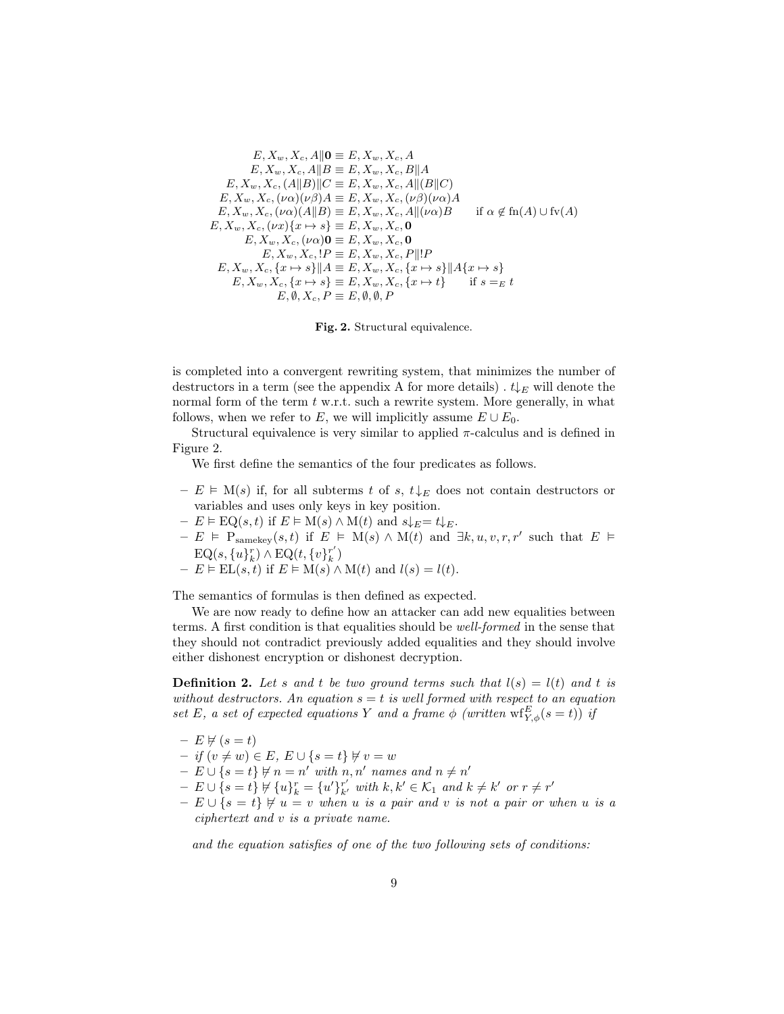$$
E, X_w, X_c, A \|\mathbf{0} \equiv E, X_w, X_c, A
$$
  
\n
$$
E, X_w, X_c, A \| B \equiv E, X_w, X_c, B \| A
$$
  
\n
$$
E, X_w, X_c, (A \| B) \| C \equiv E, X_w, X_c, A \| (B \| C)
$$
  
\n
$$
E, X_w, X_c, (\nu \alpha)(\nu \beta) A \equiv E, X_w, X_c, (\nu \beta)(\nu \alpha) A
$$
  
\n
$$
E, X_w, X_c, (\nu \alpha)(A \| B) \equiv E, X_w, X_c, A \| (\nu \alpha) B
$$
 if  $\alpha \notin f(A) \cup f(v(A))$   
\n
$$
E, X_w, X_c, (\nu x) \{ x \mapsto s \} \equiv E, X_w, X_c, \mathbf{0}
$$
  
\n
$$
E, X_w, X_c, (\nu \alpha) \mathbf{0} \equiv E, X_w, X_c, \mathbf{0}
$$
  
\n
$$
E, X_w, X_c, \{ P \equiv E, X_w, X_c, P \| \| P
$$
  
\n
$$
E, X_w, X_c, \{ x \mapsto s \} \| A \equiv E, X_w, X_c, \{ x \mapsto s \} \| A \{ x \mapsto s \}
$$
  
\n
$$
E, X_w, X_c, \{ x \mapsto s \} \equiv E, X_w, X_c, \{ x \mapsto t \} \text{ if } s =_E t
$$
  
\n
$$
E, \emptyset, X_c, P \equiv E, \emptyset, \emptyset, P
$$

Fig. 2. Structural equivalence.

is completed into a convergent rewriting system, that minimizes the number of destructors in a term (see the appendix A for more details) .  $t\!\!\downarrow_E$  will denote the normal form of the term  $t$  w.r.t. such a rewrite system. More generally, in what follows, when we refer to E, we will implicitly assume  $E \cup E_0$ .

Structural equivalence is very similar to applied  $\pi$ -calculus and is defined in Figure 2.

We first define the semantics of the four predicates as follows.

- $E \models M(s)$  if, for all subterms t of s,  $t \downarrow_E$  does not contain destructors or variables and uses only keys in key position.
- $E \models \mathrm{EQ}(s,t)$  if  $E \models \mathrm{M}(s) \land \mathrm{M}(t)$  and  $s\downarrow_E = t\downarrow_E$ .
- $E \vDash \mathrm{P}_{\mathrm{samekey}}(s,t) \text{ if } E \vDash \mathrm{M}(s) \wedge \mathrm{M}(t) \text{ and } \exists k, u, v, r, r' \text{ such that } E \vDash$  $EQ(s, \{u\}_k^r) \wedge EQ(t, \{v\}_k^{r'})$
- $E \models EL(s, t)$  if  $E \models M(s) \land M(t)$  and  $l(s) = l(t)$ .

The semantics of formulas is then defined as expected.

We are now ready to define how an attacker can add new equalities between terms. A first condition is that equalities should be well-formed in the sense that they should not contradict previously added equalities and they should involve either dishonest encryption or dishonest decryption.

**Definition 2.** Let s and t be two ground terms such that  $l(s) = l(t)$  and t is without destructors. An equation  $s = t$  is well formed with respect to an equation set E, a set of expected equations Y and a frame  $\phi$  (written  $\mathrm{wf}_{Y,\phi}^E(s=t)$ ) if

- $E \not\vDash (s = t)$
- $-$  if  $(v ≠ w) ∈ E, E ∪ \{s = t\}$   $\neq v = w$
- $E \cup \{s = t\} \not\vdash n = n'$  with  $n, n'$  names and  $n \neq n'$
- $(-E \cup \{s=t\}) \neq \{u\}_{k}^{r} = \{u'\}_{k'}^{r'}$  with  $k, k' \in \mathcal{K}_{1}$  and  $k \neq k'$  or  $r \neq r'$
- $E E \cup \{s = t\} \neq u = v$  when u is a pair and v is not a pair or when u is a ciphertext and v is a private name.

and the equation satisfies of one of the two following sets of conditions: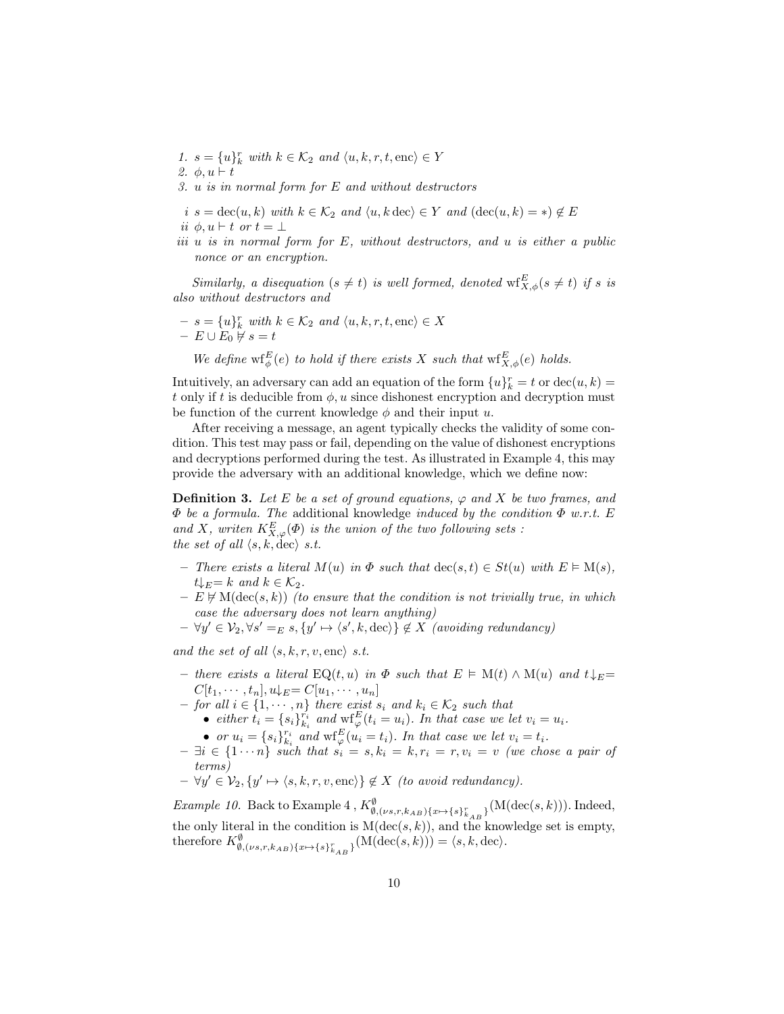- 1.  $s = \{u\}_{k}^{r}$  with  $k \in \mathcal{K}_{2}$  and  $\langle u, k, r, t, \text{enc} \rangle \in Y$
- 2.  $\phi, u \vdash t$
- 3. u is in normal form for E and without destructors
- $i s = \text{dec}(u, k)$  with  $k \in \mathcal{K}_2$  and  $\langle u, k \text{ dec} \rangle \in Y$  and  $(\text{dec}(u, k) = *) \notin E$
- ii  $\phi, u \vdash t$  or  $t = \bot$
- iii u is in normal form for  $E$ , without destructors, and u is either a public nonce or an encryption.

Similarly, a disequation  $(s \neq t)$  is well formed, denoted  $\text{wf}^E_{X,\phi}(s \neq t)$  if s is also without destructors and

 $- s = \{u\}_{k}^{r} \text{ with } k \in \mathcal{K}_{2} \text{ and } \langle u, k, r, t, \text{enc} \rangle \in X$  $- E \cup E_0 \,\forall\, s = t$ 

We define  $\operatorname{wf}_{\phi}^{E}(e)$  to hold if there exists X such that  $\operatorname{wf}_{X,\phi}^{E}(e)$  holds.

Intuitively, an adversary can add an equation of the form  ${u}_{k}^{r} = t$  or  $\text{dec}(u, k) =$ t only if t is deducible from  $\phi$ , u since dishonest encryption and decryption must be function of the current knowledge  $\phi$  and their input u.

After receiving a message, an agent typically checks the validity of some condition. This test may pass or fail, depending on the value of dishonest encryptions and decryptions performed during the test. As illustrated in Example 4, this may provide the adversary with an additional knowledge, which we define now:

**Definition 3.** Let E be a set of ground equations,  $\varphi$  and X be two frames, and  $\Phi$  be a formula. The additional knowledge induced by the condition  $\Phi$  w.r.t. E and X, writen  $K_{X,\varphi}^{E}(\Phi)$  is the union of the two following sets: the set of all  $\langle s, k, \text{dec} \rangle$  s.t.

- There exists a literal  $M(u)$  in  $\Phi$  such that  $\text{dec}(s, t) \in St(u)$  with  $E \models M(s)$ ,  $t\downarrow_E=k$  and  $k \in \mathcal{K}_2$ .
- $-E \not\vdash M(\text{dec}(s, k))$  (to ensure that the condition is not trivially true, in which case the adversary does not learn anything)
- $-\forall y' \in \mathcal{V}_2, \forall s' =_E s, \{y' \mapsto \langle s', k, \text{dec} \rangle\} \notin X$  (avoiding redundancy)

and the set of all  $\langle s, k, r, v, \text{enc} \rangle$  s.t.

- there exists a literal EQ(t, u) in  $\Phi$  such that  $E \vDash M(t) \wedge M(u)$  and  $t\downarrow_E=$  $C[t_1, \cdots, t_n], u \downarrow_E = C[u_1, \cdots, u_n]$
- $−$  for all  $i \in \{1, \dots, n\}$  there exist  $s_i$  and  $k_i \in \mathcal{K}_2$  such that
	- either  $t_i = \{s_i\}_{k_i}^{r_i}$  and  $\text{wf}_{\varphi}^E(t_i = u_i)$ . In that case we let  $v_i = u_i$ .
	- or  $u_i = \{s_i\}_{k_i}^{r_i}$  and  $\text{wf}_{\varphi}^E(u_i = t_i)$ . In that case we let  $v_i = t_i$ .
- $\exists i \in \{1 \cdots n\}$  such that  $s_i = s, k_i = k, r_i = r, v_i = v$  (we chose a pair of terms)
- $-\forall y' \in V_2, \{y' \mapsto \langle s, k, r, v, \text{enc} \rangle\} \notin X$  (to avoid redundancy).

Example 10. Back to Example 4,  $K^{\emptyset}_{\emptyset,(\nu s,r,k_{AB})\{x\mapsto \{s\}^r_{k_{AB}}\}}(\mathcal{M}(\text{dec}(s,k))).$  Indeed, the only literal in the condition is  $M(\text{dec}(s, k))$ , and the knowledge set is empty, therefore  $K^{\emptyset}_{\emptyset,(\nu s,r,k_{AB})\{x\mapsto\{s\}^r_{k_{AB}}\}}(\mathcal{M}(\text{dec}(s,k)))=\langle s,k,\text{dec}\rangle.$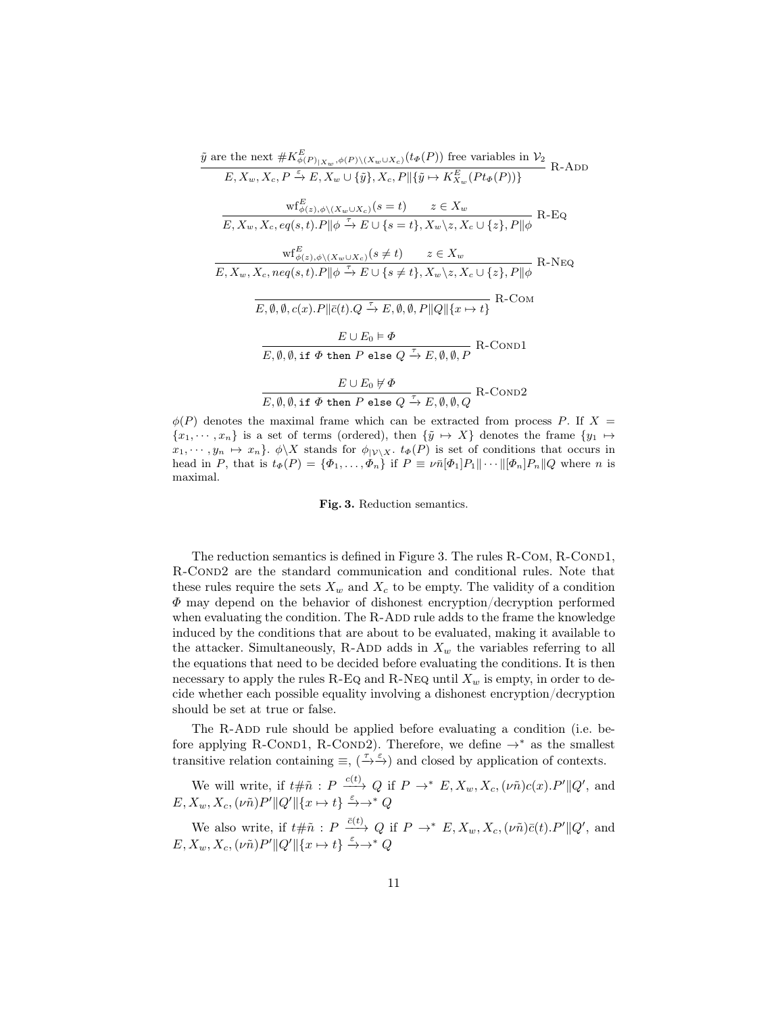| $\tilde{y}$ are the next $\#K^E_{\phi(P) _{X_w}, \phi(P)\setminus (X_w\cup X_c)}(t_\Phi(P))$ free variables in $\mathcal{V}_2$<br>$R$ -Add                                                                                   |
|------------------------------------------------------------------------------------------------------------------------------------------------------------------------------------------------------------------------------|
| $E, X_w, X_c, P \xrightarrow{\varepsilon} E, X_w \cup {\{\tilde{y}\}}, X_c, P    {\{\tilde{y} \mapsto K_{X_w}^E(P t_{\Phi}(P))\}}$                                                                                           |
| $\operatorname{wf}_{\phi(z),\phi\setminus (X_w\cup X_c)}^{E}(s=t)$ $z\in X_w$<br>$R-EO$<br>$E, X_w, X_c, eq(s, t).$ $P    \phi \stackrel{\tau}{\rightarrow} E \cup \{s = t\}, X_w \setminus z, X_c \cup \{z\}, P    \phi$    |
| $\operatorname{wf}_{\phi(z),\phi\setminus (X_w\cup X_c)}^E(s\neq t)$ $z\in X_w$<br>$R-NEO$<br>$E, X_w, X_c, neg(s, t).P    \phi \overset{\tau}{\rightarrow} E \cup \{s \neq t\}, X_w \setminus z, X_c \cup \{z\}, P    \phi$ |
| R-COM<br>$E, \emptyset, \emptyset, c(x)$ . $P    \overline{c}(t)$ . $Q \xrightarrow{\tau} E, \emptyset, \emptyset, P    Q    \{x \mapsto t\}$                                                                                |
| $E \cup E_0 \vDash \Phi$<br>$R$ -Cond $1$<br>$E, \emptyset, \emptyset, \text{if } \Phi \text{ then } P \text{ else } Q \xrightarrow{\tau} E, \emptyset, \emptyset, P$                                                        |
| $E \cup E_0 \not\models \Phi$<br>R-COND2<br>$E, \emptyset, \emptyset$ , if $\Phi$ then P else $Q \xrightarrow{\tau} E, \emptyset, \emptyset, Q$                                                                              |

 $\phi(P)$  denotes the maximal frame which can be extracted from process P. If X =  ${x_1, \dots, x_n}$  is a set of terms (ordered), then  ${\tilde{y} \mapsto X}$  denotes the frame  ${y_1 \mapsto y_2}$  $x_1, \dots, y_n \mapsto x_n$ .  $\phi \setminus X$  stands for  $\phi|_{V\setminus X}$ .  $t_{\Phi}(P)$  is set of conditions that occurs in head in P, that is  $t_{\Phi}(P) = {\Phi_1, \ldots, \Phi_n}$  if  $P \equiv \nu \bar{n}[\Phi_1] P_1 || \cdots ||[\Phi_n] P_n || Q$  where n is maximal.

Fig. 3. Reduction semantics.

The reduction semantics is defined in Figure 3. The rules R-Com, R-Cond1, R-COND2 are the standard communication and conditional rules. Note that these rules require the sets  $X_w$  and  $X_c$  to be empty. The validity of a condition  $\Phi$  may depend on the behavior of dishonest encryption/decryption performed when evaluating the condition. The  $R$ -ADD rule adds to the frame the knowledge induced by the conditions that are about to be evaluated, making it available to the attacker. Simultaneously, R-ADD adds in  $X_w$  the variables referring to all the equations that need to be decided before evaluating the conditions. It is then necessary to apply the rules R-Eq and R-Neq until  $X_w$  is empty, in order to decide whether each possible equality involving a dishonest encryption/decryption should be set at true or false.

The R-ADD rule should be applied before evaluating a condition (i.e. before applying R-COND1, R-COND2). Therefore, we define  $\rightarrow^*$  as the smallest transitive relation containing  $\equiv$ ,  $(\frac{\tau}{\epsilon})$  and closed by application of contexts.

We will write, if  $t\# \tilde{n} : P \xrightarrow{c(t)} Q$  if  $P \to^* E, X_w, X_c, (\nu \tilde{n})c(x) \cdot P' || Q',$  and  $E, X_w, X_c, (\nu \tilde{n})P' || Q' || \{x \mapsto t\} \xrightarrow{\varepsilon} \rightarrow^* Q$ 

We also write, if  $t\# \tilde{n} : P \stackrel{\bar{c}(t)}{\longrightarrow} Q$  if  $P \to^* E, X_w, X_c, (\nu \tilde{n}) \bar{c}(t) \cdot P' || Q',$  and  $E, X_w, X_c, (\nu \tilde{n})P' || Q' || \{x \mapsto t\} \xrightarrow{\varepsilon} \rightarrow^* Q$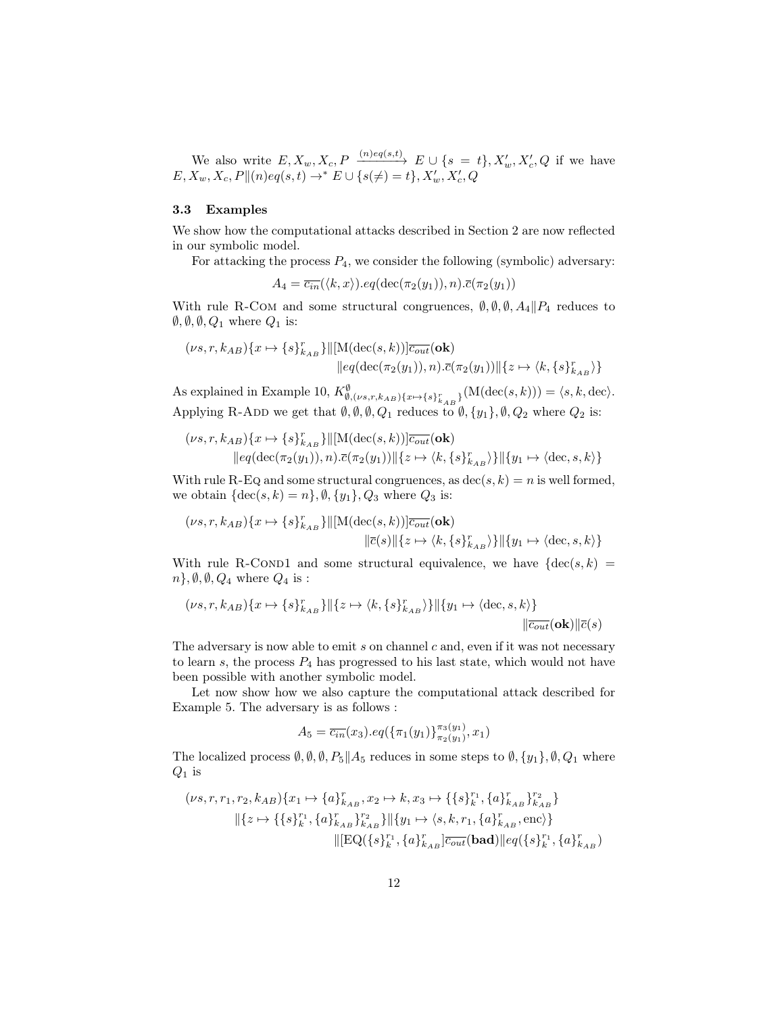We also write  $E, X_w, X_c, P \xrightarrow{(n) eq(s,t)} E \cup \{s = t\}, X'_w, X'_c, Q$  if we have  $E, X_w, X_c, P \|(n) eq(s, t) \to^* E \cup \{s(\neq) = t\}, X'_w, X'_c, Q$ 

## 3.3 Examples

We show how the computational attacks described in Section 2 are now reflected in our symbolic model.

For attacking the process  $P_4$ , we consider the following (symbolic) adversary:

$$
A_4 = \overline{c_{in}}(\langle k, x \rangle).eq(\text{dec}(\pi_2(y_1)), n).\overline{c}(\pi_2(y_1)))
$$

With rule R-Com and some structural congruences,  $\emptyset$ ,  $\emptyset$ ,  $\emptyset$ ,  $A_4||P_4$  reduces to  $\emptyset, \emptyset, \emptyset, Q_1$  where  $Q_1$  is:

$$
(\nu s, r, k_{AB})\{x \mapsto \{s\}_{k_{AB}}^r\} ||[\mathbf{M}(\text{dec}(s,k))] \overline{c_{out}}(\mathbf{ok})
$$

$$
||eq(\text{dec}(\pi_2(y_1)), n).\overline{c}(\pi_2(y_1))||\{z \mapsto \langle k, \{s\}_{k_{AB}}^r \rangle\}
$$

As explained in Example 10,  $K^{\emptyset}_{\emptyset,(\nu s,r,k_{AB})\{x\mapsto \{s\}^r_{k_{AB}}\}}(\mathcal{M}(\text{dec}(s,k))) = \langle s, k, \text{dec} \rangle$ . Applying R-ADD we get that  $\emptyset, \emptyset, Q_1$  reduces to  $\emptyset, \{y_1\}, \emptyset, Q_2$  where  $Q_2$  is:

$$
\begin{aligned} (\nu s, r, k_{AB})\{x \mapsto \{s\}_{k_{AB}}^r\} & ||[\mathbf{M}(\mathrm{dec}(s,k))] \overline{c_{out}}(\mathbf{ok}) \\ & \|eq(\mathrm{dec}(\pi_2(y_1)), n).\overline{c}(\pi_2(y_1))\|\{z \mapsto \langle k, \{s\}_{k_{AB}}^r \rangle\}\|\{y_1 \mapsto \langle \mathrm{dec}, s, k \rangle\} \end{aligned}
$$

With rule R-Eq and some structural congruences, as  $\text{dec}(s, k) = n$  is well formed, we obtain  $\{\text{dec}(s, k) = n\}, \emptyset, \{y_1\}, Q_3$  where  $Q_3$  is:

$$
(\nu s, r, k_{AB})\{x \mapsto \{s\}_{k_{AB}}^{r}\}\|[\mathbf{M}(\text{dec}(s, k))] \overline{c_{out}}(\mathbf{ok})
$$

$$
\|\overline{c}(s)\|\{z \mapsto \langle k, \{s\}_{k_{AB}}^{r}\rangle\}\|\{y_1 \mapsto \langle \text{dec}, s, k\rangle\}
$$

With rule R-COND1 and some structural equivalence, we have  $\{\text{dec}(s, k) =$  $n\}, \emptyset, \emptyset, Q_4$  where  $Q_4$  is :

$$
(\nu s, r, k_{AB})\{x \mapsto \{s\}_{k_{AB}}^{r}\}\|\{z \mapsto \langle k, \{s\}_{k_{AB}}^{r}\rangle\}\|\{y_1 \mapsto \langle \text{dec}, s, k\rangle\}\
$$

$$
\|\overline{c_{out}}(\textbf{ok})\|\overline{c}(s)
$$

The adversary is now able to emit  $s$  on channel  $c$  and, even if it was not necessary to learn  $s$ , the process  $P_4$  has progressed to his last state, which would not have been possible with another symbolic model.

Let now show how we also capture the computational attack described for Example 5. The adversary is as follows :

$$
A_5 = \overline{c_{in}}(x_3).eq(\{\pi_1(y_1)\}_{\pi_2(y_1)}^{\pi_3(y_1)}, x_1)
$$

The localized process  $\emptyset$ ,  $\emptyset$ ,  $\emptyset$ ,  $P_5||A_5$  reduces in some steps to  $\emptyset$ ,  $\{y_1\}$ ,  $\emptyset$ ,  $Q_1$  where  $Q_1$  is

$$
(\nu s, r, r_1, r_2, k_{AB})\{x_1 \mapsto \{a\}_{k_{AB}}^r, x_2 \mapsto k, x_3 \mapsto \{\{s\}_{k}^{r_1}, \{a\}_{k_{AB}}^r\}_{k_{AB}}^{r_2}\}\
$$

$$
||\{z \mapsto \{\{s\}_{k}^{r_1}, \{a\}_{k_{AB}}^r\}_{k_{AB}}^{r_2}\}||\{y_1 \mapsto \langle s, k, r_1, \{a\}_{k_{AB}}^r, \text{enc}\rangle\}
$$

$$
||[\mathbf{EQ}(\{s\}_{k}^{r_1}, \{a\}_{k_{AB}}^r]\overline{c_{out}}(\mathbf{bad})||eq(\{s\}_{k}^{r_1}, \{a\}_{k_{AB}}^r)
$$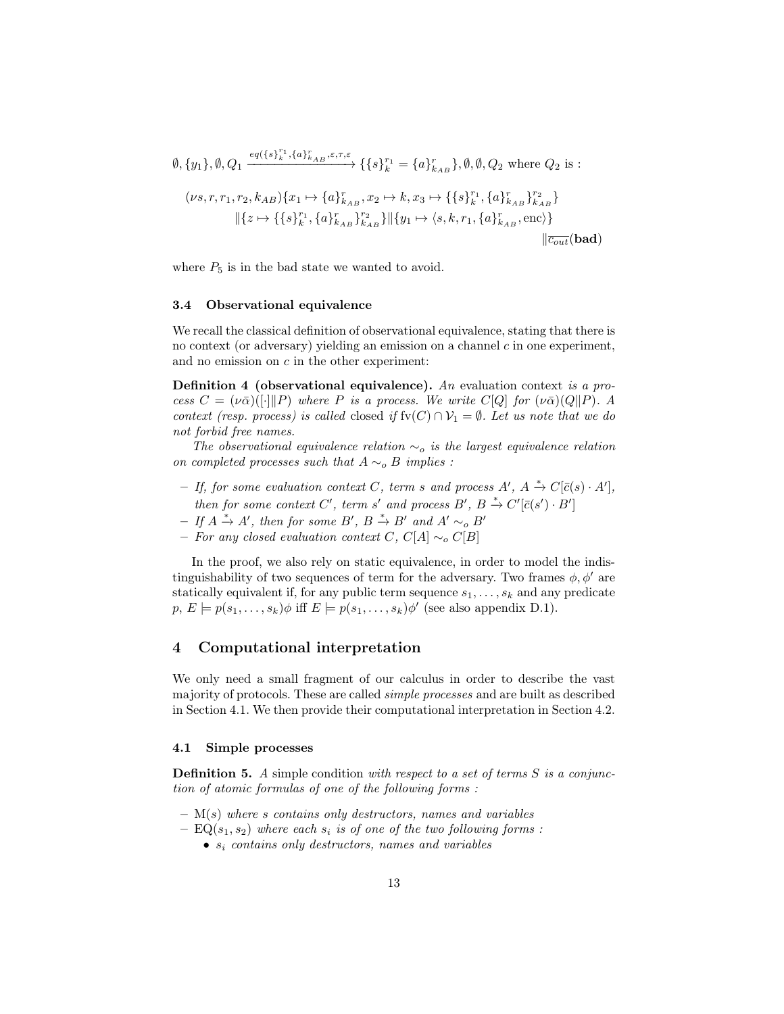$$
\emptyset, \{y_1\}, \emptyset, Q_1 \xrightarrow{eq(\{s\}_{k}^{r_1}, \{a\}_{k_{AB}, \varepsilon, \tau, \varepsilon}} \{ \{s\}_{k}^{r_1} = \{a\}_{k_{AB}}^r \}, \emptyset, \emptyset, Q_2 \text{ where } Q_2 \text{ is :}
$$
\n
$$
(\nu s, r, r_1, r_2, k_{AB}) \{x_1 \mapsto \{a\}_{k_{AB}}^r, x_2 \mapsto k, x_3 \mapsto \{\{s\}_{k}^{r_1}, \{a\}_{k_{AB}}^r\}_{k_{AB}}^r \}
$$
\n
$$
||\{z \mapsto \{\{s\}_{k}^{r_1}, \{a\}_{k_{AB}}^r\}_{k_{AB}}^r\}||\{y_1 \mapsto \langle s, k, r_1, \{a\}_{k_{AB}}^r, \text{enc}\rangle\}
$$
\n
$$
||\overline{c_{out}}(\text{bad})
$$

where  $P_5$  is in the bad state we wanted to avoid.

#### 3.4 Observational equivalence

We recall the classical definition of observational equivalence, stating that there is no context (or adversary) yielding an emission on a channel c in one experiment, and no emission on  $c$  in the other experiment:

Definition 4 (observational equivalence). An evaluation context is a process  $C = (\nu \bar{\alpha})(\lceil \cdot \rceil \| P)$  where P is a process. We write  $C[Q]$  for  $(\nu \bar{\alpha})(Q \| P)$ . A context (resp. process) is called closed if  $fv(C) \cap V_1 = \emptyset$ . Let us note that we do not forbid free names.

The observational equivalence relation  $\sim_o$  is the largest equivalence relation on completed processes such that  $A \sim_o B$  implies :

- − If, for some evaluation context C, term s and process  $A'$ ,  $A \stackrel{*}{\rightarrow} C[\bar{c}(s) \cdot A'],$ then for some context C', term s' and process B',  $B \stackrel{*}{\to} C'[\bar{c}(s') \cdot \bar{B}']$
- $-$  If  $A \stackrel{*}{\rightarrow} A'$ , then for some B',  $B \stackrel{*}{\rightarrow} B'$  and  $A' \sim_o B'$
- For any closed evaluation context C, C[A]  $\sim_o C[B]$

In the proof, we also rely on static equivalence, in order to model the indistinguishability of two sequences of term for the adversary. Two frames  $\phi, \phi'$  are statically equivalent if, for any public term sequence  $s_1, \ldots, s_k$  and any predicate  $p, E \models p(s_1, \ldots, s_k) \phi$  iff  $E \models p(s_1, \ldots, s_k) \phi'$  (see also appendix D.1).

# 4 Computational interpretation

We only need a small fragment of our calculus in order to describe the vast majority of protocols. These are called simple processes and are built as described in Section 4.1. We then provide their computational interpretation in Section 4.2.

#### 4.1 Simple processes

**Definition 5.** A simple condition with respect to a set of terms  $S$  is a conjunction of atomic formulas of one of the following forms :

- $M(s)$  where s contains only destructors, names and variables
- $-$  EQ( $s_1, s_2$ ) where each  $s_i$  is of one of the two following forms :
	- $\bullet$  s<sub>i</sub> contains only destructors, names and variables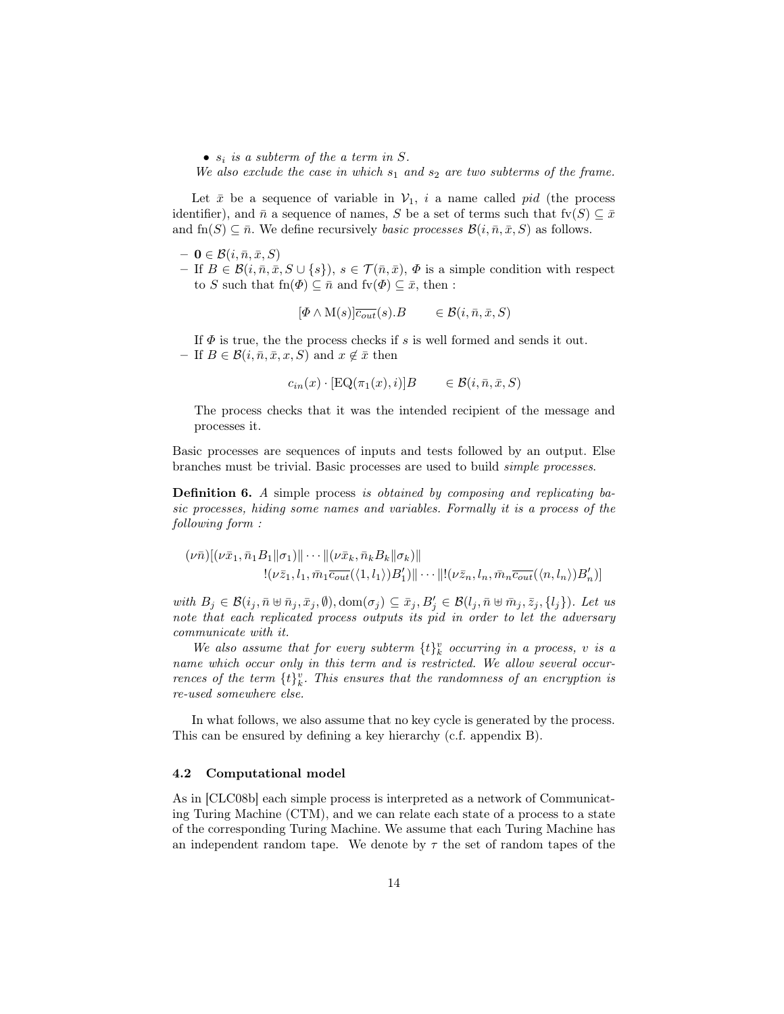•  $s_i$  is a subterm of the a term in S.

We also exclude the case in which  $s_1$  and  $s_2$  are two subterms of the frame.

Let  $\bar{x}$  be a sequence of variable in  $\mathcal{V}_1$ , i a name called pid (the process identifier), and  $\bar{n}$  a sequence of names, S be a set of terms such that fv(S)  $\subseteq \bar{x}$ and fn(S)  $\subseteq$   $\bar{n}$ . We define recursively *basic processes*  $\mathcal{B}(i, \bar{n}, \bar{x}, S)$  as follows.

- $\mathbf{0} \in \mathcal{B}(i, \bar{n}, \bar{x}, S)$
- If  $B \in \mathcal{B}(i, \bar{n}, \bar{x}, S \cup \{s\}), s \in \mathcal{T}(\bar{n}, \bar{x}), \Phi$  is a simple condition with respect to S such that  $fn(\Phi) \subseteq \overline{n}$  and  $fv(\Phi) \subseteq \overline{x}$ , then :

$$
[\Phi \wedge M(s)]\overline{c_{out}}(s).B \qquad \in \mathcal{B}(i,\bar{n},\bar{x},S)
$$

If  $\Phi$  is true, the the process checks if s is well formed and sends it out. – If  $B \in \mathcal{B}(i, \bar{n}, \bar{x}, x, S)$  and  $x \notin \bar{x}$  then

$$
c_{in}(x) \cdot [EQ(\pi_1(x), i)]B \qquad \in \mathcal{B}(i, \bar{n}, \bar{x}, S)
$$

The process checks that it was the intended recipient of the message and processes it.

Basic processes are sequences of inputs and tests followed by an output. Else branches must be trivial. Basic processes are used to build simple processes.

Definition 6. A simple process is obtained by composing and replicating basic processes, hiding some names and variables. Formally it is a process of the following form :

$$
(\nu \bar{n})[(\nu \bar{x}_1, \bar{n}_1 B_1 || \sigma_1) || \cdots || (\nu \bar{x}_k, \bar{n}_k B_k || \sigma_k) ||
$$
  

$$
[(\nu \bar{z}_1, l_1, \bar{m}_1 \bar{c}_{out}(\langle 1, l_1 \rangle) B'_1) || \cdots ||! (\nu \bar{z}_n, l_n, \bar{m}_n \bar{c}_{out}(\langle n, l_n \rangle) B'_n)]
$$

with  $B_j \in \mathcal{B}(i_j, \bar{n} \oplus \bar{n}_j, \bar{x}_j, \emptyset)$ ,  $\text{dom}(\sigma_j) \subseteq \bar{x}_j, B'_j \in \mathcal{B}(l_j, \bar{n} \oplus \bar{m}_j, \bar{z}_j, \{l_j\})$ . Let us note that each replicated process outputs its pid in order to let the adversary communicate with it.

We also assume that for every subterm  $\{t\}_k^v$  occurring in a process, v is a name which occur only in this term and is restricted. We allow several occurrences of the term  $\{t\}_k^v$ . This ensures that the randomness of an encryption is re-used somewhere else.

In what follows, we also assume that no key cycle is generated by the process. This can be ensured by defining a key hierarchy (c.f. appendix B).

#### 4.2 Computational model

As in [CLC08b] each simple process is interpreted as a network of Communicating Turing Machine (CTM), and we can relate each state of a process to a state of the corresponding Turing Machine. We assume that each Turing Machine has an independent random tape. We denote by  $\tau$  the set of random tapes of the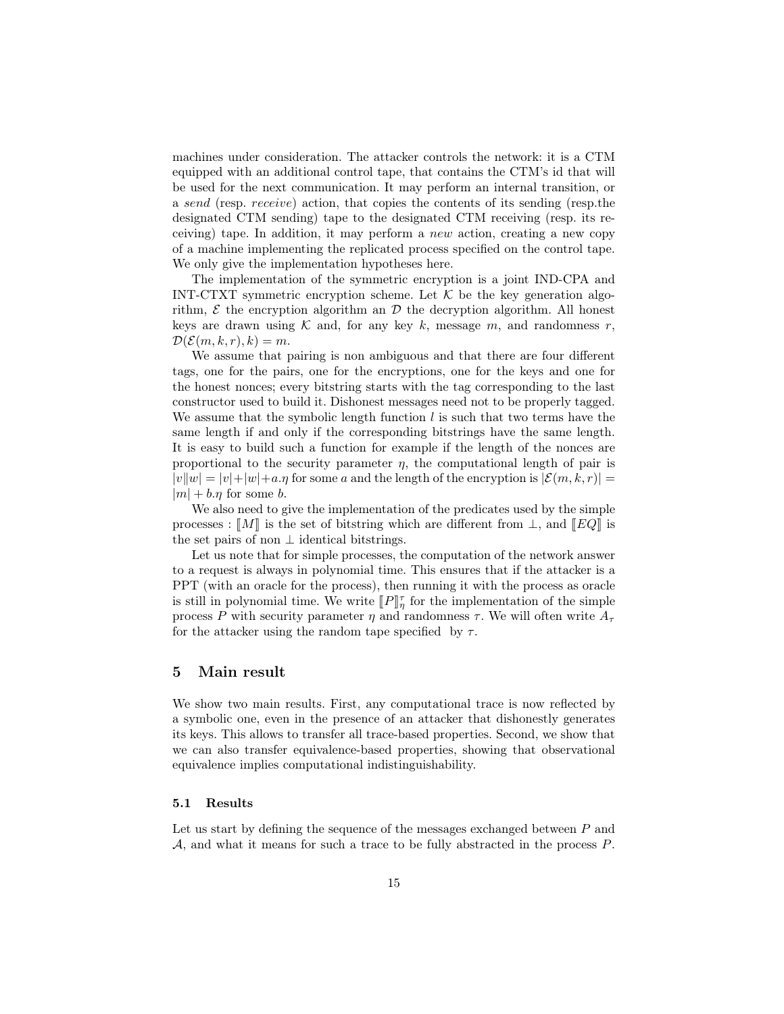machines under consideration. The attacker controls the network: it is a CTM equipped with an additional control tape, that contains the CTM's id that will be used for the next communication. It may perform an internal transition, or a send (resp. receive) action, that copies the contents of its sending (resp.the designated CTM sending) tape to the designated CTM receiving (resp. its receiving) tape. In addition, it may perform a new action, creating a new copy of a machine implementing the replicated process specified on the control tape. We only give the implementation hypotheses here.

The implementation of the symmetric encryption is a joint IND-CPA and INT-CTXT symmetric encryption scheme. Let  $K$  be the key generation algorithm,  $\mathcal E$  the encryption algorithm an  $\mathcal D$  the decryption algorithm. All honest keys are drawn using  $K$  and, for any key k, message m, and randomness r,  $\mathcal{D}(\mathcal{E}(m, k, r), k) = m.$ 

We assume that pairing is non ambiguous and that there are four different tags, one for the pairs, one for the encryptions, one for the keys and one for the honest nonces; every bitstring starts with the tag corresponding to the last constructor used to build it. Dishonest messages need not to be properly tagged. We assume that the symbolic length function  $l$  is such that two terms have the same length if and only if the corresponding bitstrings have the same length. It is easy to build such a function for example if the length of the nonces are proportional to the security parameter  $\eta$ , the computational length of pair is  $|v| |w| = |v| + |w| + a.\eta$  for some a and the length of the encryption is  $|\mathcal{E}(m, k, r)| =$  $|m| + b.\eta$  for some b.

We also need to give the implementation of the predicates used by the simple processes :  $\llbracket M \rrbracket$  is the set of bitstring which are different from  $\perp$ , and  $\llbracket EQ \rrbracket$  is the set pairs of non  $\perp$  identical bitstrings.

Let us note that for simple processes, the computation of the network answer to a request is always in polynomial time. This ensures that if the attacker is a PPT (with an oracle for the process), then running it with the process as oracle is still in polynomial time. We write  $[\![P]\!]_{\eta}^{\tau}$  for the implementation of the simple<br>process  $P$  with sequrity parameter  $n$  and randomness  $\tau$ . We will often write  $A$ process P with security parameter  $\eta$  and randomness  $\tau$ . We will often write  $A_{\tau}$ for the attacker using the random tape specified by  $\tau$ .

### 5 Main result

We show two main results. First, any computational trace is now reflected by a symbolic one, even in the presence of an attacker that dishonestly generates its keys. This allows to transfer all trace-based properties. Second, we show that we can also transfer equivalence-based properties, showing that observational equivalence implies computational indistinguishability.

#### 5.1 Results

Let us start by defining the sequence of the messages exchanged between  $P$  and  $A$ , and what it means for such a trace to be fully abstracted in the process  $P$ .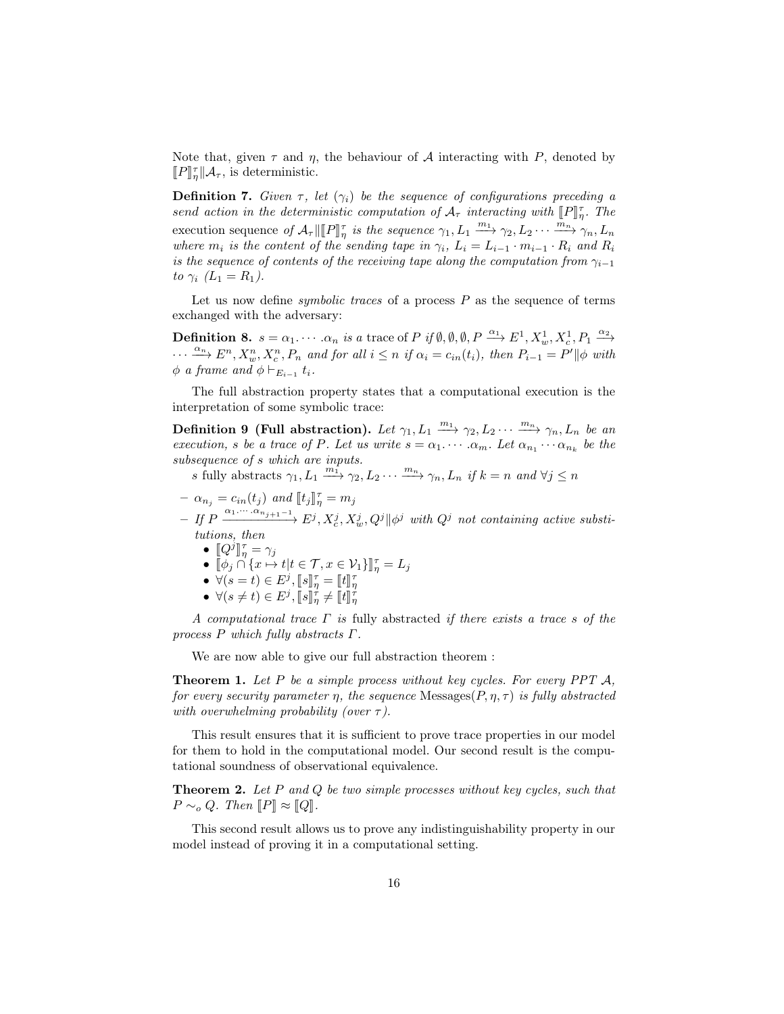Note that, given  $\tau$  and  $\eta$ , the behaviour of A interacting with P, denoted by  $[$ *P* $]$ <sup>*T*</sup><sub>*n*</sub> $|$ *A*<sub>*T*</sub>, is deterministic.

**Definition 7.** Given  $\tau$ , let  $(\gamma_i)$  be the sequence of configurations preceding a send action in the deterministic computation of  $\mathcal{A}_{\tau}$  interacting with  $[P]_{\eta}^{\tau}$ . The execution sequence of  $\mathcal{A}_{\tau} \| \| P \|_{\eta}^{\tau}$  is the sequence  $\gamma_1, L_1 \xrightarrow{m_1} \gamma_2, L_2 \cdots \xrightarrow{m_n} \gamma_n, L_n$ where  $m_i$  is the content of the sending tape in  $\gamma_i$ ,  $L_i = L_{i-1} \cdot m_{i-1} \cdot R_i$  and  $R_i$ is the sequence of contents of the receiving tape along the computation from  $\gamma_{i-1}$ to  $\gamma_i$   $(L_1 = R_1)$ .

Let us now define *symbolic traces* of a process  $P$  as the sequence of terms exchanged with the adversary:

**Definition 8.**  $s = \alpha_1 \cdots \alpha_n$  is a trace of P if  $\emptyset, \emptyset, \emptyset, P \xrightarrow{\alpha_1} E^1, X_w^1, X_c^1, P_1 \xrightarrow{\alpha_2}$  $\cdots \stackrel{\alpha_n}{\longrightarrow} E^n, X_w^n, X_c^n, P_n$  and for all  $i \leq n$  if  $\alpha_i = c_{in}(t_i)$ , then  $P_{i-1} = P' || \phi$  with  $\phi$  a frame and  $\phi \vdash_{E_{i-1}} t_i$ .

The full abstraction property states that a computational execution is the interpretation of some symbolic trace:

Definition 9 (Full abstraction). Let  $\gamma_1, L_1 \stackrel{m_1}{\longrightarrow} \gamma_2, L_2 \cdots \stackrel{m_n}{\longrightarrow} \gamma_n, L_n$  be an execution, s be a trace of P. Let us write  $s = \alpha_1 \cdots \alpha_m$ . Let  $\alpha_{n_1} \cdots \alpha_{n_k}$  be the subsequence of s which are inputs.

s fully abstracts  $\gamma_1, L_1 \xrightarrow{m_1} \gamma_2, L_2 \cdots \xrightarrow{m_n} \gamma_n, L_n$  if  $k = n$  and  $\forall j \leq n$ 

- $-\alpha_{n_j} = c_{in}(t_j)$  and  $[[t_j]]_{\eta}^{\tau} = m_j$
- $-If$   $P \xrightarrow{\alpha_1 \cdots \alpha_{n_{j+1}-1}} E^j$ ,  $X_c^j$ ,  $X_w^j$ ,  $Q^j$   $\|\phi^j \text{ with } Q^j \text{ not containing active substitu.}$ tutions, then
	- $\bullet$   $\llbracket Q^j \rrbracket$  $\pi_{\eta} = \gamma_j$
	- $\begin{aligned} \bullet \ \bar{[\![} \phi_j \cap \{x \mapsto t | t \in \mathcal{T}, x \in \mathcal{V}_1\} ]\!]^\tau_\eta = L_j \end{aligned}$
	- $\forall (s = t) \in E^j, \llbracket s \rrbracket^\tau_\eta = \llbracket t \rrbracket^\tau_\eta$ <br>•  $\forall (s \neq t) \in E^j, \llbracket s \rrbracket^\tau_\eta \neq \llbracket t \rrbracket^\tau_\eta$
	-

A computational trace  $\Gamma$  is fully abstracted if there exists a trace s of the process  $P$  which fully abstracts  $\Gamma$ .

We are now able to give our full abstraction theorem :

**Theorem 1.** Let P be a simple process without key cycles. For every PPT  $\mathcal{A}$ , for every security parameter  $\eta$ , the sequence Messages $(P, \eta, \tau)$  is fully abstracted with overwhelming probability (over  $\tau$ ).

This result ensures that it is sufficient to prove trace properties in our model for them to hold in the computational model. Our second result is the computational soundness of observational equivalence.

**Theorem 2.** Let P and Q be two simple processes without key cycles, such that  $P \sim_o Q$ . Then  $\llbracket P \rrbracket \approx \llbracket Q \rrbracket$ .

This second result allows us to prove any indistinguishability property in our model instead of proving it in a computational setting.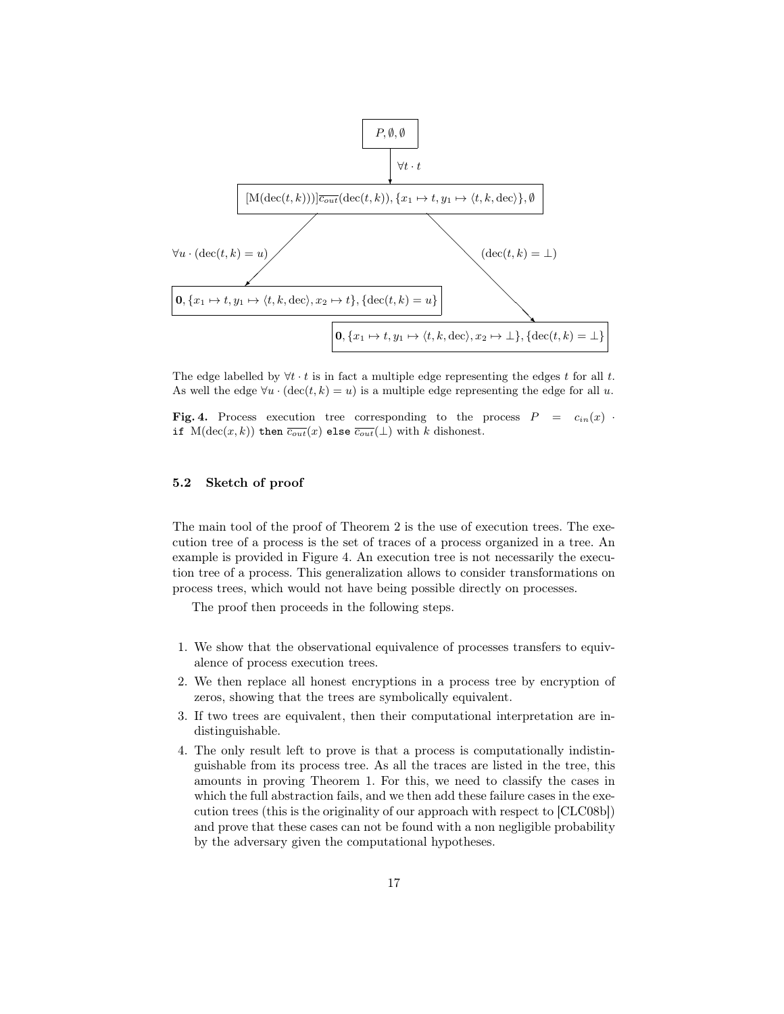

The edge labelled by  $\forall t \cdot t$  is in fact a multiple edge representing the edges t for all t. As well the edge  $\forall u \cdot (\text{dec}(t, k) = u)$  is a multiple edge representing the edge for all u.

Fig. 4. Process execution tree corresponding to the process  $P = c_{in}(x)$ . if  $M(\text{dec}(x, k))$  then  $\overline{c_{out}}(x)$  else  $\overline{c_{out}}(\bot)$  with k dishonest.

#### 5.2 Sketch of proof

The main tool of the proof of Theorem 2 is the use of execution trees. The execution tree of a process is the set of traces of a process organized in a tree. An example is provided in Figure 4. An execution tree is not necessarily the execution tree of a process. This generalization allows to consider transformations on process trees, which would not have being possible directly on processes.

The proof then proceeds in the following steps.

- 1. We show that the observational equivalence of processes transfers to equivalence of process execution trees.
- 2. We then replace all honest encryptions in a process tree by encryption of zeros, showing that the trees are symbolically equivalent.
- 3. If two trees are equivalent, then their computational interpretation are indistinguishable.
- 4. The only result left to prove is that a process is computationally indistinguishable from its process tree. As all the traces are listed in the tree, this amounts in proving Theorem 1. For this, we need to classify the cases in which the full abstraction fails, and we then add these failure cases in the execution trees (this is the originality of our approach with respect to [CLC08b]) and prove that these cases can not be found with a non negligible probability by the adversary given the computational hypotheses.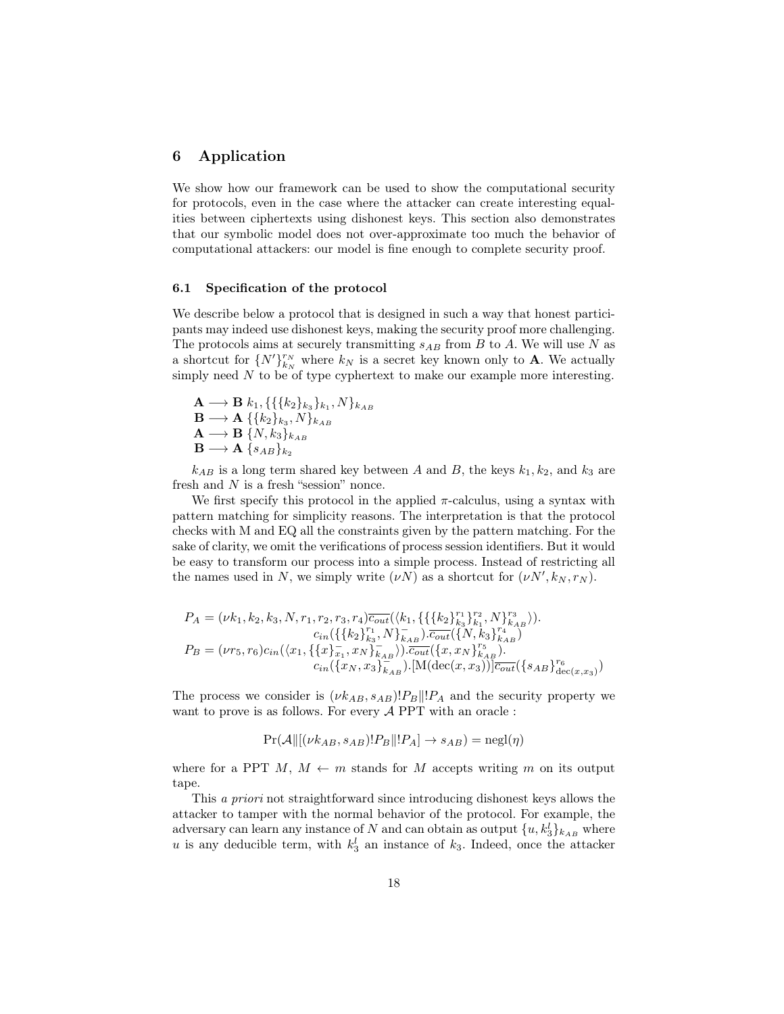### 6 Application

We show how our framework can be used to show the computational security for protocols, even in the case where the attacker can create interesting equalities between ciphertexts using dishonest keys. This section also demonstrates that our symbolic model does not over-approximate too much the behavior of computational attackers: our model is fine enough to complete security proof.

#### 6.1 Specification of the protocol

We describe below a protocol that is designed in such a way that honest participants may indeed use dishonest keys, making the security proof more challenging. The protocols aims at securely transmitting  $s_{AB}$  from B to A. We will use N as a shortcut for  $\{N'\}_{k_N}^{r_N}$  where  $k_N$  is a secret key known only to **A**. We actually simply need  $N$  to be of type cyphertext to make our example more interesting.

$$
\begin{array}{l}\n\mathbf{A} \longrightarrow \mathbf{B} \ k_1, \{\{\{k_2\}_{k_3}\}_{k_1}, N\}_{k_{AB}} \\
\mathbf{B} \longrightarrow \mathbf{A} \ \{\{k_2\}_{k_3}, N\}_{k_{AB}} \\
\mathbf{A} \longrightarrow \mathbf{B} \ \{N, k_3\}_{k_{AB}} \\
\mathbf{B} \longrightarrow \mathbf{A} \ \{s_{AB}\}_{k_2}\n\end{array}
$$

 $k_{AB}$  is a long term shared key between A and B, the keys  $k_1, k_2$ , and  $k_3$  are fresh and N is a fresh "session" nonce.

We first specify this protocol in the applied  $\pi$ -calculus, using a syntax with pattern matching for simplicity reasons. The interpretation is that the protocol checks with M and EQ all the constraints given by the pattern matching. For the sake of clarity, we omit the verifications of process session identifiers. But it would be easy to transform our process into a simple process. Instead of restricting all the names used in N, we simply write  $(\nu N)$  as a shortcut for  $(\nu N', k_N, r_N)$ .

$$
P_A = (\nu k_1, k_2, k_3, N, r_1, r_2, r_3, r_4) \overline{c_{out}}(\langle k_1, \{\{\{k_2\}_{k_3}^{r_1}\}_{k_1}^{r_2}, N\}_{k_A B}^{r_3})\rangle.
$$
  
\n
$$
c_{in}(\{\{k_2\}_{k_3}^{r_1}, N\}_{k_A B}^{r_1}) \cdot \overline{c_{out}}(\{N, k_3\}_{k_A B}^{r_4})
$$
  
\n
$$
P_B = (\nu r_5, r_6) c_{in}(\langle x_1, \{\{x\}_{x_1}^{r_1}, x_N\}_{k_A B}^{r_4}) \cdot \overline{c_{out}}(\{x, x_N\}_{k_A B}^{r_5})\rangle.
$$
  
\n
$$
c_{in}(\{x_N, x_3\}_{k_A B}^{r_4}) \cdot [M(\text{dec}(x, x_3))] \overline{c_{out}}(\{s_{AB}\}_{\text{dec}(x, x_3)}^{r_6})
$$

The process we consider is  $(\nu k_{AB}, s_{AB})!P_B||!P_A$  and the security property we want to prove is as follows. For every  $A$  PPT with an oracle :

$$
Pr(\mathcal{A} \|\left[ (\nu k_{AB}, s_{AB})! P_B \|\!\!\right] P_A] \to s_{AB}) = negl(\eta)
$$

where for a PPT  $M, M \leftarrow m$  stands for M accepts writing m on its output tape.

This a priori not straightforward since introducing dishonest keys allows the attacker to tamper with the normal behavior of the protocol. For example, the adversary can learn any instance of N and can obtain as output  $\{u, k_3^l\}_{k_{AB}}$  where u is any deducible term, with  $k_3^l$  an instance of  $k_3$ . Indeed, once the attacker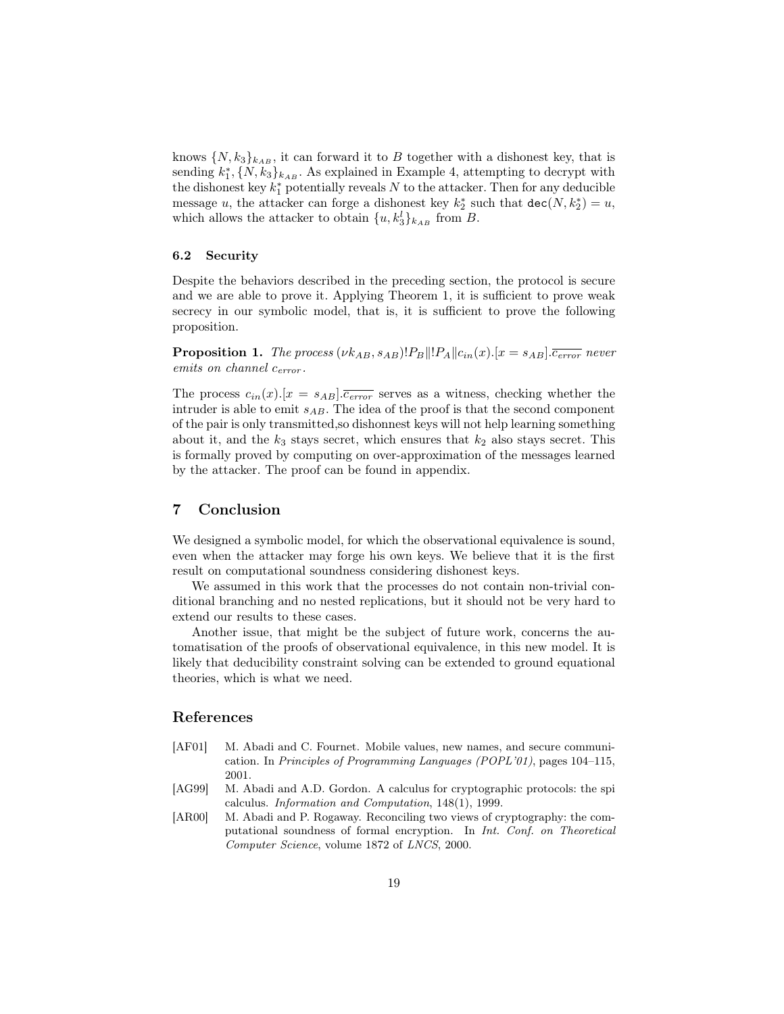knows  $\{N, k_3\}_{k_{AB}}$ , it can forward it to B together with a dishonest key, that is sending  $k_1^*, \{N, k_3\}_{k_{AB}}$ . As explained in Example 4, attempting to decrypt with the dishonest key  $k_1^*$  potentially reveals N to the attacker. Then for any deducible message u, the attacker can forge a dishonest key  $k_2^*$  such that  $\text{dec}(N, k_2^*) = u$ , which allows the attacker to obtain  $\{u, k_3^l\}_{k_{AB}}$  from B.

#### 6.2 Security

Despite the behaviors described in the preceding section, the protocol is secure and we are able to prove it. Applying Theorem 1, it is sufficient to prove weak secrecy in our symbolic model, that is, it is sufficient to prove the following proposition.

**Proposition 1.** The process  $(\nu k_{AB}, s_{AB})!P_B||P_A||c_{in}(x)$ .  $[x = s_{AB}]\overline{c_{error}}$  never emits on channel  $c_{error}$ .

The process  $c_{in}(x)$ .[ $x = s_{AB}$ ]. $\overline{c_{error}}$  serves as a witness, checking whether the intruder is able to emit  $s_{AB}$ . The idea of the proof is that the second component of the pair is only transmitted,so dishonnest keys will not help learning something about it, and the  $k_3$  stays secret, which ensures that  $k_2$  also stays secret. This is formally proved by computing on over-approximation of the messages learned by the attacker. The proof can be found in appendix.

# 7 Conclusion

We designed a symbolic model, for which the observational equivalence is sound, even when the attacker may forge his own keys. We believe that it is the first result on computational soundness considering dishonest keys.

We assumed in this work that the processes do not contain non-trivial conditional branching and no nested replications, but it should not be very hard to extend our results to these cases.

Another issue, that might be the subject of future work, concerns the automatisation of the proofs of observational equivalence, in this new model. It is likely that deducibility constraint solving can be extended to ground equational theories, which is what we need.

# References

- [AF01] M. Abadi and C. Fournet. Mobile values, new names, and secure communication. In Principles of Programming Languages (POPL'01), pages 104–115, 2001.
- [AG99] M. Abadi and A.D. Gordon. A calculus for cryptographic protocols: the spi calculus. Information and Computation, 148(1), 1999.
- [AR00] M. Abadi and P. Rogaway. Reconciling two views of cryptography: the computational soundness of formal encryption. In Int. Conf. on Theoretical Computer Science, volume 1872 of LNCS, 2000.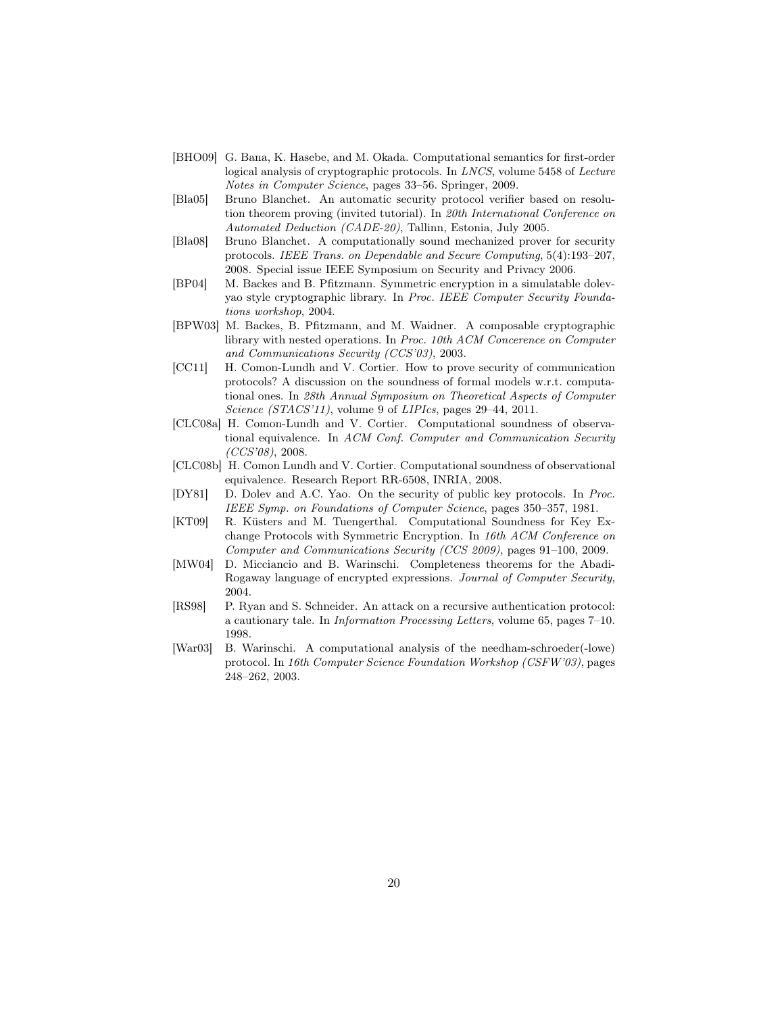- [BHO09] G. Bana, K. Hasebe, and M. Okada. Computational semantics for first-order logical analysis of cryptographic protocols. In LNCS, volume 5458 of Lecture Notes in Computer Science, pages 33–56. Springer, 2009.
- [Bla05] Bruno Blanchet. An automatic security protocol verifier based on resolution theorem proving (invited tutorial). In 20th International Conference on Automated Deduction (CADE-20), Tallinn, Estonia, July 2005.
- [Bla08] Bruno Blanchet. A computationally sound mechanized prover for security protocols. IEEE Trans. on Dependable and Secure Computing, 5(4):193–207, 2008. Special issue IEEE Symposium on Security and Privacy 2006.
- [BP04] M. Backes and B. Pfitzmann. Symmetric encryption in a simulatable dolevyao style cryptographic library. In Proc. IEEE Computer Security Foundations workshop, 2004.
- [BPW03] M. Backes, B. Pfitzmann, and M. Waidner. A composable cryptographic library with nested operations. In Proc. 10th ACM Concerence on Computer and Communications Security (CCS'03), 2003.
- [CC11] H. Comon-Lundh and V. Cortier. How to prove security of communication protocols? A discussion on the soundness of formal models w.r.t. computational ones. In 28th Annual Symposium on Theoretical Aspects of Computer Science (STACS'11), volume 9 of LIPIcs, pages 29-44, 2011.
- [CLC08a] H. Comon-Lundh and V. Cortier. Computational soundness of observational equivalence. In ACM Conf. Computer and Communication Security  $(CCS'08)$ , 2008.
- [CLC08b] H. Comon Lundh and V. Cortier. Computational soundness of observational equivalence. Research Report RR-6508, INRIA, 2008.
- [DY81] D. Dolev and A.C. Yao. On the security of public key protocols. In Proc. IEEE Symp. on Foundations of Computer Science, pages 350–357, 1981.
- [KT09] R. Küsters and M. Tuengerthal. Computational Soundness for Key Exchange Protocols with Symmetric Encryption. In 16th ACM Conference on Computer and Communications Security (CCS 2009), pages 91–100, 2009.
- [MW04] D. Micciancio and B. Warinschi. Completeness theorems for the Abadi-Rogaway language of encrypted expressions. Journal of Computer Security, 2004.
- [RS98] P. Ryan and S. Schneider. An attack on a recursive authentication protocol: a cautionary tale. In Information Processing Letters, volume 65, pages 7–10. 1998.
- [War03] B. Warinschi. A computational analysis of the needham-schroeder(-lowe) protocol. In 16th Computer Science Foundation Workshop (CSFW'03), pages 248–262, 2003.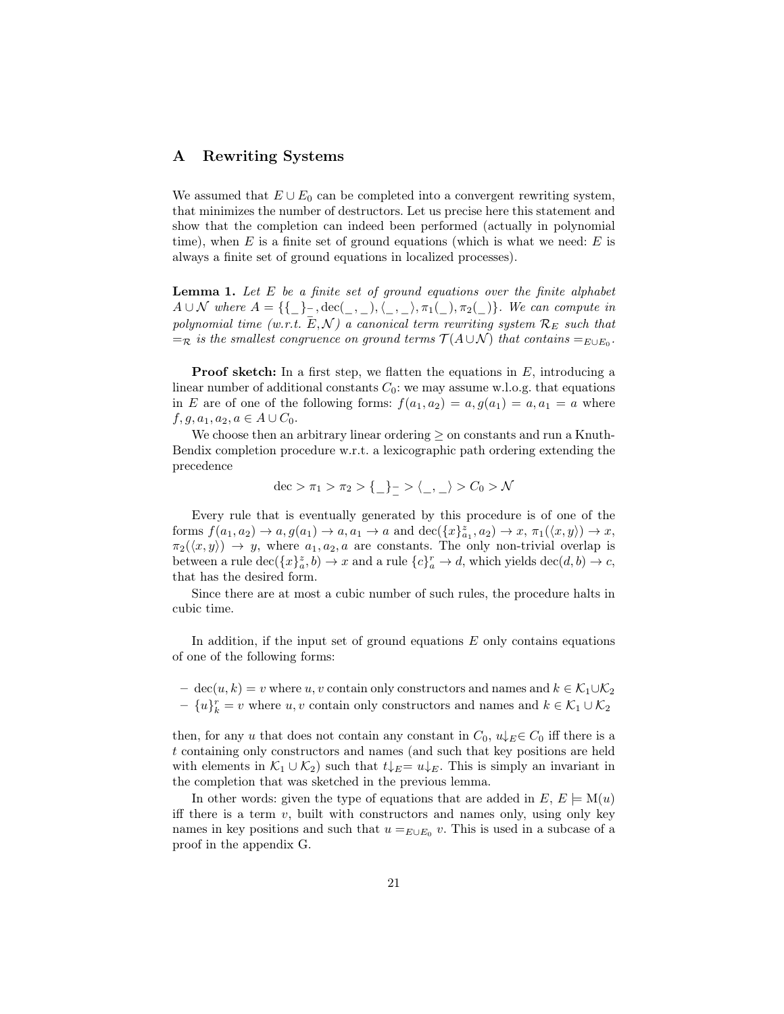# A Rewriting Systems

We assumed that  $E \cup E_0$  can be completed into a convergent rewriting system, that minimizes the number of destructors. Let us precise here this statement and show that the completion can indeed been performed (actually in polynomial time), when  $E$  is a finite set of ground equations (which is what we need:  $E$  is always a finite set of ground equations in localized processes).

**Lemma 1.** Let  $E$  be a finite set of ground equations over the finite alphabet  $A \cup \mathcal{N}$  where  $A = \{\{\_\}$ ,  $\text{dec}(\_,\_\),\langle \_,\_\rangle, \pi_1(\_,\), \pi_2(\_\)$ . We can compute in polynomial time (w.r.t.  $\overline{E}$ , N) a canonical term rewriting system  $\mathcal{R}_E$  such that  $=_{\mathcal{R}}$  is the smallest congruence on ground terms  ${\mathcal{T}}(A\cup {\mathcal{N}})$  that contains  $=_{{E\cup E_0}}.$ 

**Proof sketch:** In a first step, we flatten the equations in  $E$ , introducing a linear number of additional constants  $C_0$ : we may assume w.l.o.g. that equations in E are of one of the following forms:  $f(a_1, a_2) = a, g(a_1) = a, a_1 = a$  where  $f, g, a_1, a_2, a \in A \cup C_0.$ 

We choose then an arbitrary linear ordering  $\geq$  on constants and run a Knuth-Bendix completion procedure w.r.t. a lexicographic path ordering extending the precedence

$$
\mathrm{dec} > \pi_1 > \pi_2 > \{\_\} - \rangle \langle \_\,,\_\rangle > C_0 > \mathcal{N}
$$

Every rule that is eventually generated by this procedure is of one of the forms  $f(a_1, a_2) \to a, g(a_1) \to a, a_1 \to a$  and  $\text{dec}(\lbrace x \rbrace_{a_1}^z, a_2) \to x, \pi_1(\langle x, y \rangle) \to x$ ,  $\pi_2(\langle x, y \rangle) \rightarrow y$ , where  $a_1, a_2, a$  are constants. The only non-trivial overlap is between a rule  $\text{dec}(\{x\}_{a}^{z}, b) \to x$  and a rule  $\{c\}_{a}^{r} \to d$ , which yields  $\text{dec}(d, b) \to c$ , that has the desired form.

Since there are at most a cubic number of such rules, the procedure halts in cubic time.

In addition, if the input set of ground equations  $E$  only contains equations of one of the following forms:

– dec $(u, k) = v$  where  $u, v$  contain only constructors and names and  $k \in \mathcal{K}_1 \cup \mathcal{K}_2$  $-$  {*u*}<sup>*r*</sup><sub>*k*</sub> = *v* where *u*, *v* contain only constructors and names and  $k \in K_1 \cup K_2$ 

then, for any u that does not contain any constant in  $C_0$ ,  $u \downarrow_{E} \in C_0$  iff there is a t containing only constructors and names (and such that key positions are held with elements in  $\mathcal{K}_1 \cup \mathcal{K}_2$  such that  $t \downarrow_E = u \downarrow_E$ . This is simply an invariant in the completion that was sketched in the previous lemma.

In other words: given the type of equations that are added in  $E, E \models M(u)$ iff there is a term  $v$ , built with constructors and names only, using only key names in key positions and such that  $u =_{E \cup E_0} v$ . This is used in a subcase of a proof in the appendix G.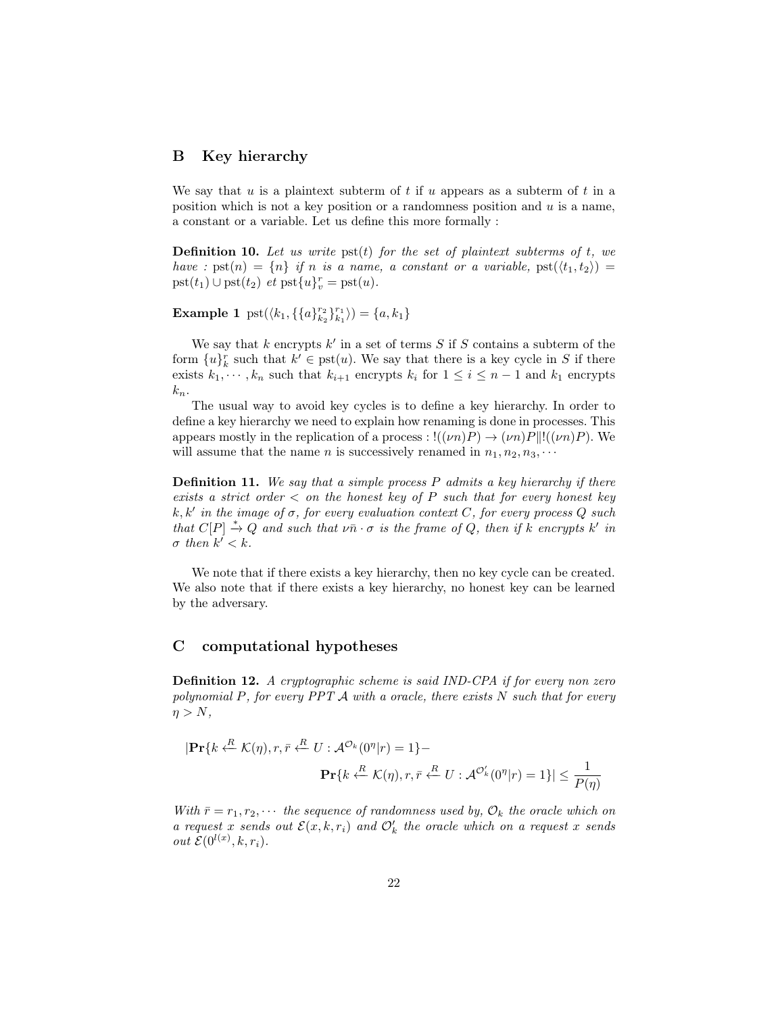### B Key hierarchy

We say that  $u$  is a plaintext subterm of  $t$  if  $u$  appears as a subterm of  $t$  in a position which is not a key position or a randomness position and  $u$  is a name, a constant or a variable. Let us define this more formally :

**Definition 10.** Let us write  $pst(t)$  for the set of plaintext subterms of t, we have : pst $(n) = \{n\}$  if n is a name, a constant or a variable, pst $(\langle t_1, t_2 \rangle)$  $\text{pst}(t_1) \cup \text{pst}(t_2)$  et  $\text{pst}(u)_v^r = \text{pst}(u)$ .

**Example 1** pst $(\langle k_1, \{\{a\}_{k_2}^{r_2}\}_{k_1}^{r_1}) = \{a, k_1\}$ 

We say that  $k$  encrypts  $k'$  in a set of terms  $S$  if  $S$  contains a subterm of the form  $\{u\}_k^r$  such that  $k' \in \text{pst}(u)$ . We say that there is a key cycle in S if there exists  $k_1, \dots, k_n$  such that  $k_{i+1}$  encrypts  $k_i$  for  $1 \leq i \leq n-1$  and  $k_1$  encrypts  $k_n$ .

The usual way to avoid key cycles is to define a key hierarchy. In order to define a key hierarchy we need to explain how renaming is done in processes. This appears mostly in the replication of a process :  $!((\nu n)P) \rightarrow (\nu n)P$ !! $((\nu n)P)$ . We will assume that the name *n* is successively renamed in  $n_1, n_2, n_3, \cdots$ 

**Definition 11.** We say that a simple process  $P$  admits a key hierarchy if there exists a strict order  $\langle$  on the honest key of P such that for every honest key  $k, k'$  in the image of  $\sigma$ , for every evaluation context C, for every process Q such that  $C[P] \stackrel{*}{\rightarrow} Q$  and such that  $\nu \bar{n} \cdot \sigma$  is the frame of Q, then if k encrypts k' in  $\sigma$  then  $k' < k$ .

We note that if there exists a key hierarchy, then no key cycle can be created. We also note that if there exists a key hierarchy, no honest key can be learned by the adversary.

# C computational hypotheses

**Definition 12.** A cryptographic scheme is said IND-CPA if for every non zero polynomial  $P$ , for every  $PPT A$  with a oracle, there exists  $N$  such that for every  $\eta > N$ ,

$$
|\mathbf{Pr}\{k \stackrel{R}{\leftarrow} \mathcal{K}(\eta), r, \bar{r} \stackrel{R}{\leftarrow} U : \mathcal{A}^{\mathcal{O}_k}(0^{\eta}|r) = 1\} -
$$

$$
\mathbf{Pr}\{k \stackrel{R}{\leftarrow} \mathcal{K}(\eta), r, \bar{r} \stackrel{R}{\leftarrow} U : \mathcal{A}^{\mathcal{O}'_k}(0^{\eta}|r) = 1\}| \le \frac{1}{P(\eta)}
$$

With  $\bar{r} = r_1, r_2, \cdots$  the sequence of randomness used by,  $\mathcal{O}_k$  the oracle which on a request x sends out  $\mathcal{E}(x, k, r_i)$  and  $\mathcal{O}'_k$  the oracle which on a request x sends out  $\mathcal{E}(0^{l(x)}, k, r_i)$ .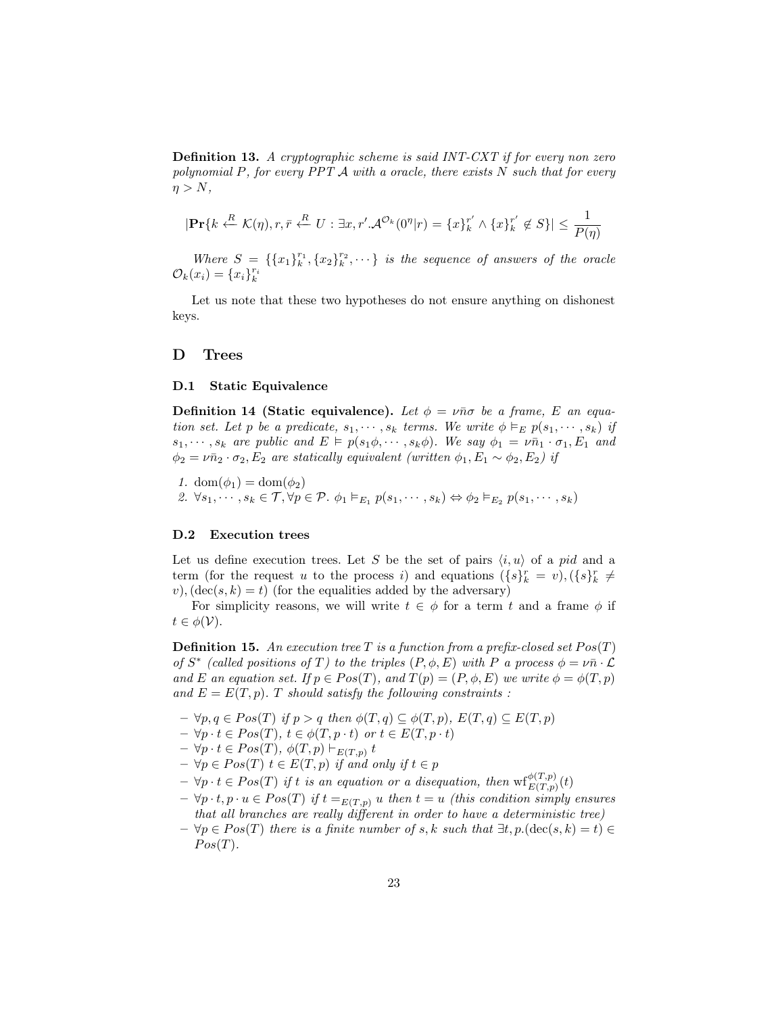**Definition 13.** A cryptographic scheme is said INT-CXT if for every non zero polynomial  $P$ , for every  $PPT\mathcal{A}$  with a oracle, there exists  $N$  such that for every  $\eta > N$ ,

$$
|\mathbf{Pr}\{k \stackrel{R}{\leftarrow} \mathcal{K}(\eta), r, \bar{r} \stackrel{R}{\leftarrow} U : \exists x, r'. \mathcal{A}^{\mathcal{O}_k}(0^{\eta}|r) = \{x\}_k^{r'} \wedge \{x\}_k^{r'} \notin S\}| \leq \frac{1}{P(\eta)}
$$

Where  $S = \{\{x_1\}_{k}^{r_1}, \{x_2\}_{k}^{r_2}, \cdots\}$  is the sequence of answers of the oracle  $\mathcal{O}_k(x_i) = \{x_i\}_k^{r_i}$ 

Let us note that these two hypotheses do not ensure anything on dishonest keys.

### D Trees

#### D.1 Static Equivalence

**Definition 14 (Static equivalence).** Let  $\phi = \nu \bar{n} \sigma$  be a frame, E an equation set. Let p be a predicate,  $s_1, \dots, s_k$  terms. We write  $\phi \vDash_E p(s_1, \dots, s_k)$  if  $s_1, \dots, s_k$  are public and  $E \models p(s_1 \phi, \dots, s_k \phi)$ . We say  $\phi_1 = \nu \bar{n}_1 \cdot \sigma_1$ ,  $E_1$  and  $\phi_2 = \nu \bar{n}_2 \cdot \sigma_2$ ,  $E_2$  are statically equivalent (written  $\phi_1, E_1 \sim \phi_2, E_2$ ) if

1. dom $(\phi_1) = \text{dom}(\phi_2)$ 2.  $\forall s_1, \dots, s_k \in \mathcal{T}, \forall p \in \mathcal{P}. \phi_1 \models_{E_1} p(s_1, \dots, s_k) \Leftrightarrow \phi_2 \models_{E_2} p(s_1, \dots, s_k)$ 

### D.2 Execution trees

Let us define execution trees. Let S be the set of pairs  $\langle i, u \rangle$  of a pid and a term (for the request u to the process i) and equations  $({s}^r_k = v), ({s}^r_k \neq v)$ v),  $(\text{dec}(s, k) = t)$  (for the equalities added by the adversary)

For simplicity reasons, we will write  $t \in \phi$  for a term t and a frame  $\phi$  if  $t \in \phi(\mathcal{V}).$ 

**Definition 15.** An execution tree T is a function from a prefix-closed set  $Pos(T)$ of  $S^*$  (called positions of T) to the triples  $(P, \phi, E)$  with P a process  $\phi = \nu \bar{n} \cdot \mathcal{L}$ and E an equation set. If  $p \in Pos(T)$ , and  $T(p) = (P, \phi, E)$  we write  $\phi = \phi(T, p)$ and  $E = E(T, p)$ . T should satisfy the following constraints:

- $-\forall p,q \in Pos(T)$  if  $p > q$  then  $\phi(T,q) \subseteq \phi(T,p)$ ,  $E(T,q) \subseteq E(T,p)$
- $-\forall p \cdot t \in Pos(T), t \in \phi(T, p \cdot t) \text{ or } t \in E(T, p \cdot t)$
- $-\forall p \cdot t \in Pos(T), \ \phi(T, p) \vdash_{E(T, p)} t$
- $\forall p \in Pos(T) \ t \in E(T, p) \ \text{if and only if } t \in p$
- $-\forall p \cdot t \in Pos(T)$  if t is an equation or a disequation, then  $\text{wf}_{E(T,p)}^{\phi(T,p)}(t)$
- $-\forall p \cdot t, p \cdot u \in Pos(T)$  if  $t =_{E(T,p)} u$  then  $t = u$  (this condition simply ensures that all branches are really different in order to have a deterministic tree)
- $\forall p \in Pos(T)$  there is a finite number of s, k such that  $\exists t, p.(\text{dec}(s, k) = t) \in$  $Pos(T).$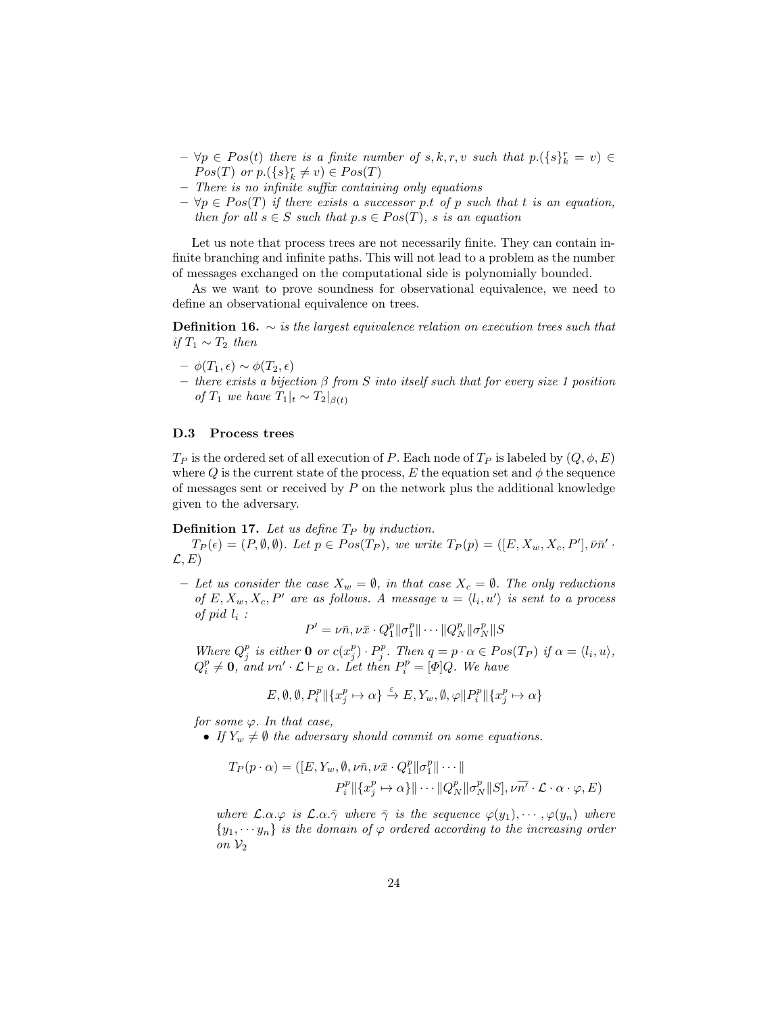- $-\forall p \in Pos(t)$  there is a finite number of  $s, k, r, v$  such that  $p.({s})_k^r = v$   $\in$  $Pos(T)$  or  $p.({s})_k^r \neq v) \in Pos(T)$
- There is no infinite suffix containing only equations
- $-\forall p \in Pos(T)$  if there exists a successor p.t of p such that t is an equation, then for all  $s \in S$  such that  $p.s \in Pos(T)$ , s is an equation

Let us note that process trees are not necessarily finite. They can contain infinite branching and infinite paths. This will not lead to a problem as the number of messages exchanged on the computational side is polynomially bounded.

As we want to prove soundness for observational equivalence, we need to define an observational equivalence on trees.

Definition 16.  $∼$  is the largest equivalence relation on execution trees such that *if*  $T_1$  ∼  $T_2$  then

- $-$  φ(T<sub>1</sub>, ε) ~ φ(T<sub>2</sub>, ε)
- there exists a bijection  $\beta$  from S into itself such that for every size 1 position of  $T_1$  we have  $T_1|_t \sim T_2|_{\beta(t)}$

#### D.3 Process trees

 $T_P$  is the ordered set of all execution of P. Each node of  $T_P$  is labeled by  $(Q, \phi, E)$ where Q is the current state of the process, E the equation set and  $\phi$  the sequence of messages sent or received by  $P$  on the network plus the additional knowledge given to the adversary.

**Definition 17.** Let us define  $T_P$  by induction.

 $T_P(\epsilon) = (P, \emptyset, \emptyset)$ . Let  $p \in Pos(T_P)$ , we write  $T_P(p) = ([E, X_w, X_c, P'], \bar{\nu}\bar{n}']$ .  $\mathcal{L}, E$ 

– Let us consider the case  $X_w = \emptyset$ , in that case  $X_c = \emptyset$ . The only reductions of E,  $X_w$ ,  $X_c$ ,  $P'$  are as follows. A message  $u = \langle l_i, u' \rangle$  is sent to a process of pid  $l_i$ :

$$
P' = \nu \bar{n}, \nu \bar{x} \cdot Q_1^p \|\sigma_1^p\| \cdots \|Q_N^p\|\sigma_N^p\| S
$$

Where  $Q_j^p$  is either **0** or  $c(x_j^p) \cdot P_j^p$ . Then  $q = p \cdot \alpha \in Pos(T_P)$  if  $\alpha = \langle l_i, u \rangle$ ,  $Q_i^p \neq 0$ , and  $\nu n' \cdot \mathcal{L} \vdash_E \alpha$ . Let then  $P_i^p = [\Phi] Q$ . We have

$$
E, \emptyset, \emptyset, P_i^p \|\{x_j^p \mapsto \alpha\} \xrightarrow{\varepsilon} E, Y_w, \emptyset, \varphi \|P_i^p\|\{x_j^p \mapsto \alpha\}
$$

for some  $\varphi$ . In that case,

• If  $Y_w \neq \emptyset$  the adversary should commit on some equations.

$$
T_P(p \cdot \alpha) = ([E, Y_w, \emptyset, \nu \bar{n}, \nu \bar{x} \cdot Q_1^p || \sigma_1^p || \cdots ||
$$
  

$$
P_i^p || \{x_j^p \mapsto \alpha\} || \cdots || Q_N^p || \sigma_N^p || S], \nu \overline{n'} \cdot \mathcal{L} \cdot \alpha \cdot \varphi, E)
$$

where  $\mathcal{L}.\alpha.\varphi$  is  $\mathcal{L}.\alpha.\bar{\gamma}$  where  $\bar{\gamma}$  is the sequence  $\varphi(y_1), \cdots, \varphi(y_n)$  where  ${y_1, \dots y_n}$  is the domain of  $\varphi$  ordered according to the increasing order on  $\mathcal{V}_2$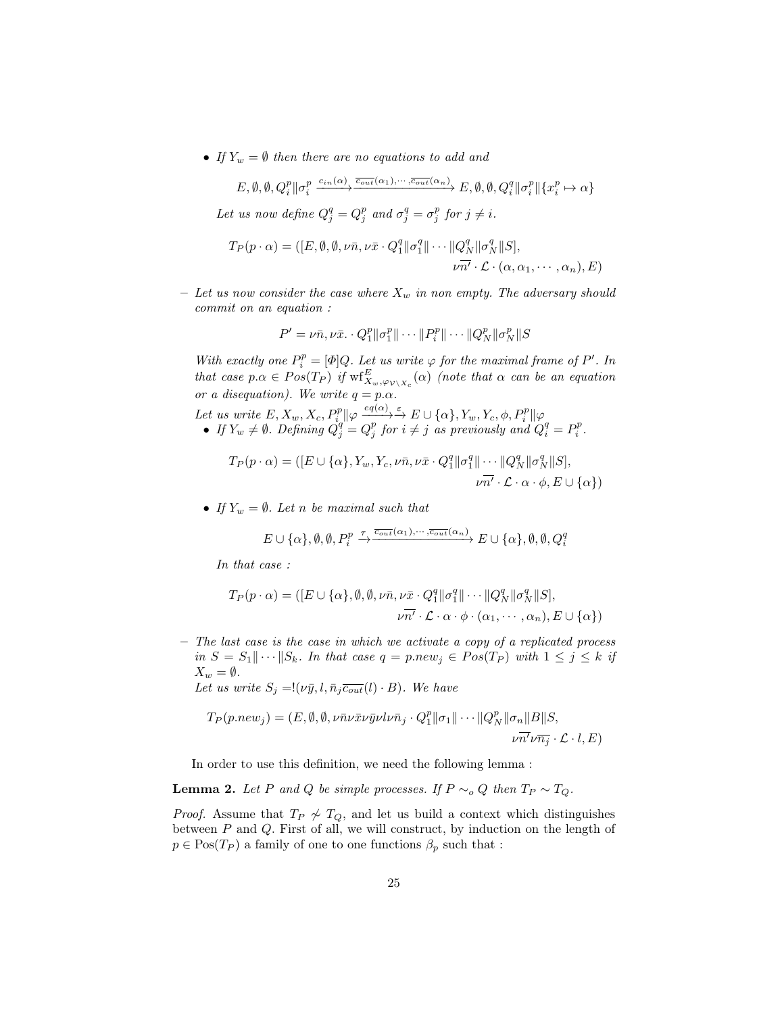• If  $Y_w = \emptyset$  then there are no equations to add and

$$
E, \emptyset, \emptyset, Q_i^p || \sigma_i^p \xrightarrow{c_{in}(\alpha)} \xrightarrow{c_{out}(\alpha_1), \cdots, \overline{c_{out}}(\alpha_n)} E, \emptyset, \emptyset, Q_i^q || \sigma_i^p || \{x_i^p \mapsto \alpha\}
$$

Let us now define  $Q_j^q = Q_j^p$  and  $\sigma_j^q = \sigma_j^p$  for  $j \neq i$ .

$$
T_P(p \cdot \alpha) = ([E, \emptyset, \emptyset, \nu \bar{n}, \nu \bar{x} \cdot Q_1^q || \sigma_1^q || \cdots || Q_N^q || \sigma_N^q || S],
$$
  

$$
\nu \overline{n'} \cdot \mathcal{L} \cdot (\alpha, \alpha_1, \dots, \alpha_n), E)
$$

– Let us now consider the case where  $X_w$  in non empty. The adversary should commit on an equation :

$$
P' = \nu \bar{n}, \nu \bar{x}. \cdot Q_1^p \|\sigma_1^p \|\cdots \| P_i^p \|\cdots \| Q_N^p \|\sigma_N^p \| S
$$

With exactly one  $P_i^p = [\Phi]Q$ . Let us write  $\varphi$  for the maximal frame of  $P'$ . In that case  $p.\alpha \in Pos(T_P)$  if  $\mathrm{wf}^E_{X_w,\varphi_{\mathcal{V}\setminus X_c}}(\alpha)$  (note that  $\alpha$  can be an equation or a disequation). We write  $q = p.\alpha$ .

Let us write  $E, X_w, X_c, P_i^p || \varphi \xrightarrow{eq(\alpha)} \xi \to E \cup {\{\alpha\}, Y_w, Y_c, \phi, P_i^p} || \varphi$ • If  $Y_w \neq \emptyset$ . Defining  $Q_j^q = Q_j^p$  for  $i \neq j$  as previously and  $Q_i^q = P_i^p$ .

$$
T_P(p \cdot \alpha) = ([E \cup \{\alpha\}, Y_w, Y_c, \nu \bar{n}, \nu \bar{x} \cdot Q_1^q || \sigma_1^q || \cdots || Q_N^q || \sigma_N^q || S],
$$
  

$$
\nu \bar{n'} \cdot \mathcal{L} \cdot \alpha \cdot \phi, E \cup {\alpha} \})
$$

• If  $Y_w = \emptyset$ . Let n be maximal such that

$$
E\cup\{\alpha\},\emptyset,\emptyset,P_i^p\xrightarrow{\tau}\xrightarrow{\overline{c_{out}}(\alpha_1),\cdots,\overline{c_{out}}(\alpha_n)}E\cup\{\alpha\},\emptyset,\emptyset,Q_i^q
$$

In that case :

$$
T_P(p \cdot \alpha) = ([E \cup \{\alpha\}, \emptyset, \emptyset, \nu\bar{n}, \nu\bar{x} \cdot Q_1^q || \sigma_1^q || \cdots ||Q_N^q || \sigma_N^q || S],
$$
  

$$
\nu\bar{n'} \cdot \mathcal{L} \cdot \alpha \cdot \phi \cdot (\alpha_1, \cdots, \alpha_n), E \cup \{\alpha\})
$$

– The last case is the case in which we activate a copy of a replicated process in  $S = S_1 || \cdots || S_k$ . In that case  $q = p.new_j \in Pos(T_P)$  with  $1 \leq j \leq k$  if  $X_w = \emptyset.$ 

Let us write  $S_j = \{(\nu \bar{y}, l, \bar{n}_j \overline{c_{out}}(l) \cdot B)$ . We have

$$
T_P(p.new_j) = (E, \emptyset, \emptyset, \nu \bar{n} \nu \bar{x} \nu \bar{y} \nu l \nu \bar{n}_j \cdot Q_1^p || \sigma_1 || \cdots || Q_N^p || \sigma_n || B || S, \nu \bar{n'} \nu \bar{n}_j \cdot \mathcal{L} \cdot l, E)
$$

In order to use this definition, we need the following lemma :

**Lemma 2.** Let P and Q be simple processes. If  $P \sim_o Q$  then  $T_P \sim T_Q$ .

*Proof.* Assume that  $T_P \nsim T_Q$ , and let us build a context which distinguishes between  $P$  and  $Q$ . First of all, we will construct, by induction on the length of  $p \in \text{Pos}(T_P)$  a family of one to one functions  $\beta_p$  such that :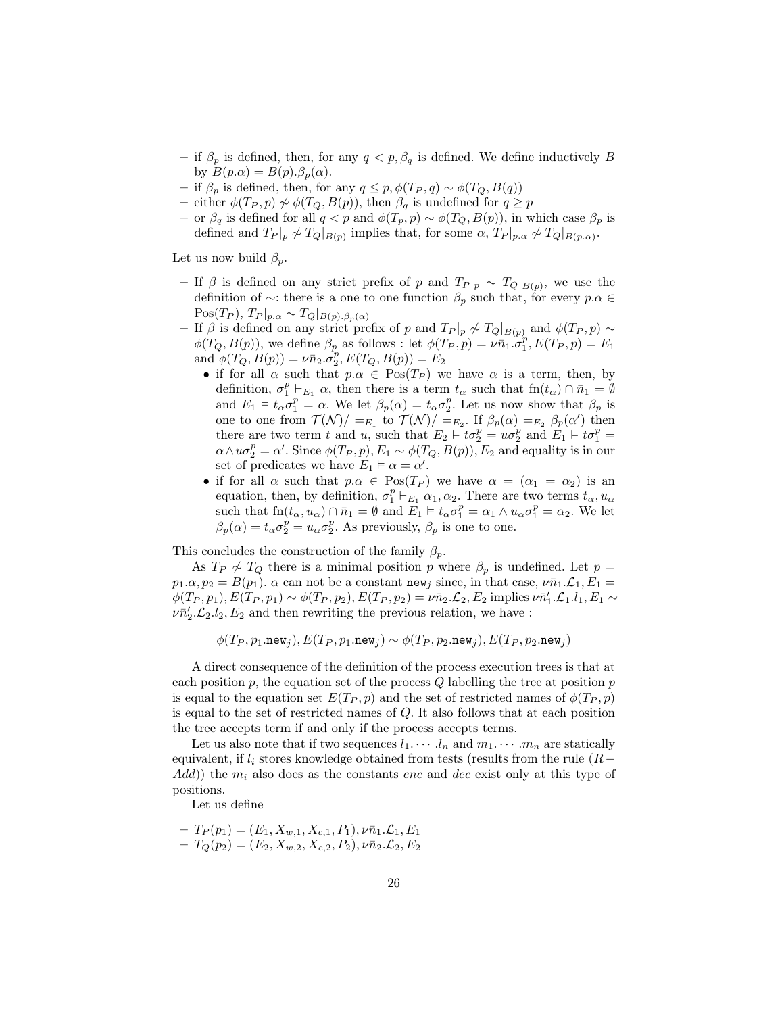- if  $\beta_p$  is defined, then, for any  $q < p, \beta_q$  is defined. We define inductively B by  $B(p,\alpha) = B(p).\beta_p(\alpha)$ .
- if  $β_p$  is defined, then, for any  $q ≤ p, φ(T_P, q) ∼ φ(T_Q, B(q))$
- either  $\phi(T_P, p)$  ≁  $\phi(T_Q, B(p))$ , then  $\beta_q$  is undefined for  $q \geq p$
- or  $β<sub>q</sub>$  is defined for all  $q < p$  and  $φ(T<sub>p</sub>, p) ∼ φ(T<sub>Q</sub>, B(p))$ , in which case  $β<sub>p</sub>$  is defined and  $T_P|_p \not\sim T_Q|_{B(p)}$  implies that, for some  $\alpha$ ,  $T_P|_{p,\alpha} \not\sim T_Q|_{B(p,\alpha)}$ .

Let us now build  $\beta_p$ .

- $-$  If β is defined on any strict prefix of p and  $T_P|_p \sim T_Q|_{B(p)}$ , we use the definition of ∼: there is a one to one function  $\beta_p$  such that, for every  $p.\alpha \in$  $Pos(T_P), T_P|_{p,\alpha} \sim T_Q|_{B(p),\beta_p(\alpha)}$
- If β is defined on any strict prefix of p and  $T_P|_p \not\sim T_Q|_{B(p)}$  and  $\phi(T_P, p) \sim$  $\phi(T_Q, B(p))$ , we define  $\beta_p$  as follows : let  $\phi(T_P, p) = \nu \overline{n}_1 \cdot \sigma_1^p$ ,  $E(T_P, p) = E_1$ and  $\phi(T_Q, B(p)) = \nu \bar{n}_2 \dot{\sigma}_2^p$ ,  $E(T_Q, B(p)) = E_2$ 
	- if for all  $\alpha$  such that  $p.\alpha \in Pos(T_P)$  we have  $\alpha$  is a term, then, by definition,  $\sigma_1^p \vdash_{E_1} \alpha$ , then there is a term  $t_\alpha$  such that  $fn(t_\alpha) \cap \bar{n}_1 = \emptyset$ and  $E_1 \vDash t_\alpha \sigma_1^p = \alpha$ . We let  $\beta_p(\alpha) = t_\alpha \sigma_2^p$ . Let us now show that  $\beta_p$  is one to one from  $\mathcal{T}(\mathcal{N})/ =_{E_1}$  to  $\mathcal{T}(\mathcal{N})/ =_{E_2}$ . If  $\beta_p(\alpha) =_{E_2} \beta_p(\alpha')$  then there are two term t and u, such that  $E_2 \vDash t\sigma_2^p = u\sigma_2^p$  and  $E_1 \vDash t\sigma_1^p =$  $\alpha \wedge u \sigma_2^p = \alpha'$ . Since  $\phi(T_P, p), E_1 \sim \phi(T_Q, B(p)), E_2$  and equality is in our set of predicates we have  $E_1 \models \alpha = \alpha'$ .
	- if for all  $\alpha$  such that  $p.\alpha \in Pos(T_P)$  we have  $\alpha = (\alpha_1 = \alpha_2)$  is an equation, then, by definition,  $\sigma_1^p \vdash_{E_1} \alpha_1, \alpha_2$ . There are two terms  $t_{\alpha}, u_{\alpha}$ such that  $\text{fn}(t_{\alpha}, u_{\alpha}) \cap \bar{n}_1 = \emptyset$  and  $E_1 \models t_{\alpha} \sigma_1^p = \alpha_1 \wedge u_{\alpha} \sigma_1^p = \alpha_2$ . We let  $\beta_p(\alpha) = t_\alpha \sigma_2^p - u_\alpha \sigma_2^p$ . As previously,  $\beta_p$  is one to one.

This concludes the construction of the family  $\beta_p$ .

As  $T_P \nsim T_Q$  there is a minimal position p where  $\beta_p$  is undefined. Let  $p =$  $p_1 \alpha, p_2 = B(p_1)$ .  $\alpha$  can not be a constant new<sub>j</sub> since, in that case,  $\nu \bar{n}_1 \mathcal{L}_1, E_1 =$  $\phi(T_P, p_1), E(T_P, p_1) \sim \phi(T_P, p_2), E(T_P, p_2) = \nu \bar{n}_2 \cdot \mathcal{L}_2, E_2$  implies  $\nu \bar{n}'_1 \cdot \mathcal{L}_1 I_1, E_1 \sim$  $\nu \bar{n}'_2 \mathcal{L}_2 \mathcal{L}_2 \mathcal{L}_2$  and then rewriting the previous relation, we have :

 $\phi(T_P, p_1.\texttt{new}_j), E(T_P, p_1.\texttt{new}_j) \sim \phi(T_P, p_2.\texttt{new}_j), E(T_P, p_2.\texttt{new}_j)$ 

A direct consequence of the definition of the process execution trees is that at each position  $p$ , the equation set of the process  $Q$  labelling the tree at position  $p$ is equal to the equation set  $E(T_P, p)$  and the set of restricted names of  $\phi(T_P, p)$ is equal to the set of restricted names of Q. It also follows that at each position the tree accepts term if and only if the process accepts terms.

Let us also note that if two sequences  $l_1 \cdots l_n$  and  $m_1 \cdots m_n$  are statically equivalent, if  $l_i$  stores knowledge obtained from tests (results from the rule ( $R (Add)$ ) the  $m_i$  also does as the constants enc and dec exist only at this type of positions.

Let us define

 $-T_P(p_1)=(E_1, X_{w,1}, X_{c,1}, P_1), \nu\bar{n}_1.\mathcal{L}_1, E_1$  $-T_Q(p_2)=(E_2, X_{w,2}, X_{c,2}, P_2), \nu\bar{n}_2.\mathcal{L}_2, E_2$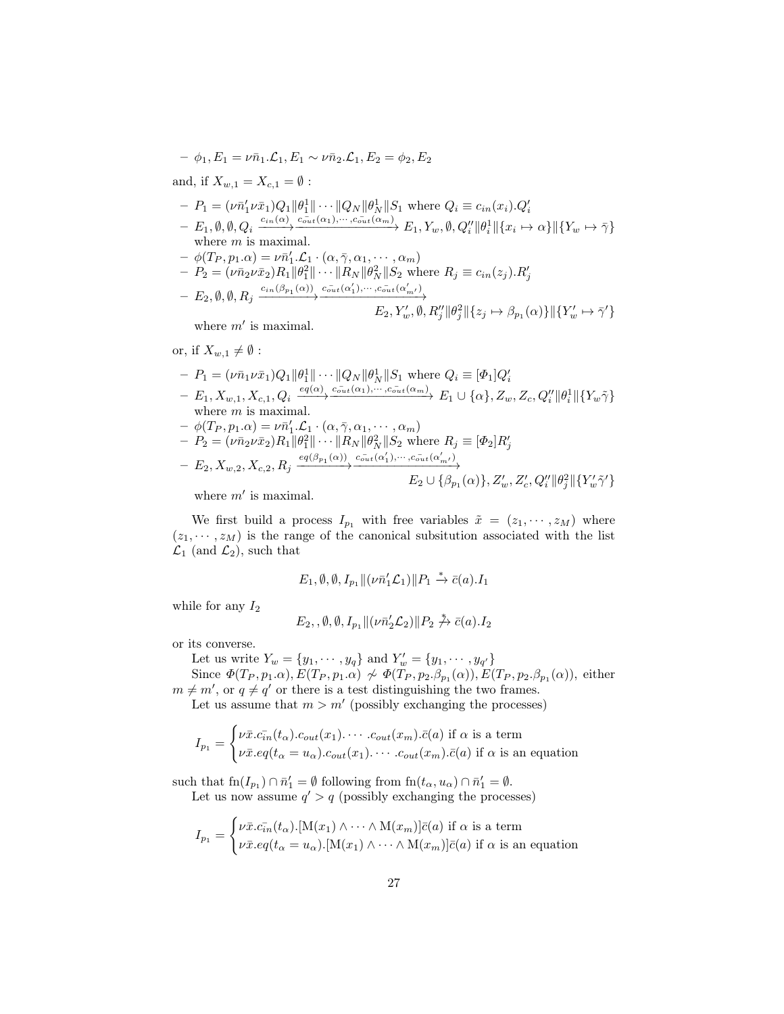and, if 
$$
X_{w,1} = X_{c,1} = \emptyset
$$
:  
\n
$$
P_1 = (\nu \bar{n}_1' \nu \bar{x}_1) Q_1 ||\theta_1^1 || \cdots ||Q_N|| \theta_N^1 ||S_1 \text{ where } Q_i \equiv c_{in}(x_i).Q_i'
$$
\n
$$
- E_1, \emptyset, \emptyset, Q_i \xrightarrow{c_{in}(\alpha)} \xrightarrow{c_{out}(\alpha_1), \cdots, c_{out}(\alpha_m)} E_1, Y_w, \emptyset, Q_i'' ||\theta_i^1 || \{x_i \mapsto \alpha\} || \{Y_w \mapsto \bar{\gamma}\}
$$
\nwhere *m* is maximal.  
\n
$$
- \phi(T_P, p_1.\alpha) = \nu \bar{n}_1' . \mathcal{L}_1 \cdot (\alpha, \bar{\gamma}, \alpha_1, \cdots, \alpha_m)
$$
\n
$$
- P_2 = (\nu \bar{n}_2 \nu \bar{x}_2) R_1 ||\theta_1^2 || \cdots ||R_N ||\theta_N^2 || S_2 \text{ where } R_j \equiv c_{in}(z_j).R_j'
$$
\n
$$
- E_2, \emptyset, \emptyset, R_j \xrightarrow{c_{in}(\beta_{p_1}(\alpha))} \xrightarrow{c_{out}(\alpha_1'), \cdots, c_{out}(\alpha_m')}
$$
\n
$$
E_2, Y_w', \emptyset, R_j'' ||\theta_j^2 || \{z_j \mapsto \beta_{p_1}(\alpha)\} || \{Y_w' \mapsto \bar{\gamma}'\}
$$

where  $m'$  is maximal.

 $- φ_1, E_1 = ν\bar{n}_1. \mathcal{L}_1, E_1 ∼ ν\bar{n}_2. \mathcal{L}_1, E_2 = φ_2, E_2$ 

or, if 
$$
X_{w,1} \neq \emptyset
$$
:

$$
P_1 = (\nu \bar{n}_1 \nu \bar{x}_1) Q_1 \|\theta_1^1\| \cdots \|\mathcal{Q}_N\|\theta_N^1\| S_1 \text{ where } Q_i \equiv [\Phi_1] Q_i'
$$
  
\n
$$
= E_1, X_{w,1}, X_{c,1}, Q_i \xrightarrow{eq(\alpha)} \xrightarrow{c_{out}(\alpha_1), \cdots, c_{out}(\alpha_m)} E_1 \cup \{\alpha\}, Z_w, Z_c, Q_i'' \|\theta_i^1\| \{Y_w \tilde{\gamma}\}
$$
  
\nwhere *m* is maximal.  
\n
$$
- \phi(T_P, p_1.\alpha) = \nu \bar{n}'_1 \mathcal{L}_1 \cdot (\alpha, \bar{\gamma}, \alpha_1, \cdots, \alpha_m)
$$
  
\n
$$
- P_2 = (\nu \bar{n}_2 \nu \bar{x}_2) R_1 \|\theta_1^2\| \cdots \|R_N \|\theta_N^2\| S_2 \text{ where } R_j \equiv [\Phi_2] R_j'
$$
  
\n
$$
- E_2, X_{w,2}, X_{c,2}, R_j \xrightarrow{eq(\beta_{p_1}(\alpha))} \xrightarrow{c_{out}(\alpha'_1), \cdots, c_{out}(\alpha'_m')}
$$
  
\n
$$
E_2 \cup \{\beta_{p_1}(\alpha)\}, Z_w', Z_c', Q_i'' \|\theta_j^2\| \{Y_w'\tilde{\gamma}'\}
$$

where  $m'$  is maximal.

We first build a process  $I_{p_1}$  with free variables  $\tilde{x} = (z_1, \dots, z_M)$  where  $(z_1, \dots, z_M)$  is the range of the canonical subsitution associated with the list  $\mathcal{L}_1$  (and  $\mathcal{L}_2$ ), such that

$$
E_1, \emptyset, \emptyset, I_{p_1} \| (\nu \bar{n}'_1 \mathcal{L}_1) \| P_1 \xrightarrow{*} \bar{c}(a) . I_1
$$

while for any  $I_2$ 

$$
E_2,,\emptyset,\emptyset,I_{p_1}\|(\nu\bar{n}'_2\mathcal{L}_2)\|P_2\nrightarrow{\ast}\bar{c}(a).I_2
$$

or its converse.

Let us write  $Y_w = \{y_1, \dots, y_q\}$  and  $Y'_w = \{y_1, \dots, y_{q'}\}$ Since  $\Phi(T_P, p_1 \ldots), E(T_P, p_1 \ldots) \nsim \Phi(T_P, p_2 \ldots, \beta_{p_1}(\alpha)), E(T_P, p_2 \ldots, \beta_{p_1}(\alpha)),$  either

 $m \neq m'$ , or  $q \neq q'$  or there is a test distinguishing the two frames. Let us assume that  $m > m'$  (possibly exchanging the processes)

$$
I_{p_1} = \begin{cases} \nu \bar{x} . \bar{c_{in}}(t_{\alpha}) . c_{out}(x_1) . \cdots . c_{out}(x_m) . \bar{c}(a) \text{ if } \alpha \text{ is a term} \\ \nu \bar{x} . eq(t_{\alpha} = u_{\alpha}) . c_{out}(x_1) . \cdots . c_{out}(x_m) . \bar{c}(a) \text{ if } \alpha \text{ is an equation} \end{cases}
$$

such that  $\text{fn}(I_{p_1}) \cap \bar{n}'_1 = \emptyset$  following from  $\text{fn}(t_\alpha, u_\alpha) \cap \bar{n}'_1 = \emptyset$ . Let us now assume  $q' > q$  (possibly exchanging the processes)

$$
I_{p_1} = \begin{cases} \nu \bar{x} . \bar{c_{in}}(t_\alpha) . [M(x_1) \wedge \cdots \wedge M(x_m)] \bar{c}(a) \text{ if } \alpha \text{ is a term} \\ \nu \bar{x} . eq(t_\alpha = u_\alpha) . [M(x_1) \wedge \cdots \wedge M(x_m)] \bar{c}(a) \text{ if } \alpha \text{ is an equation} \end{cases}
$$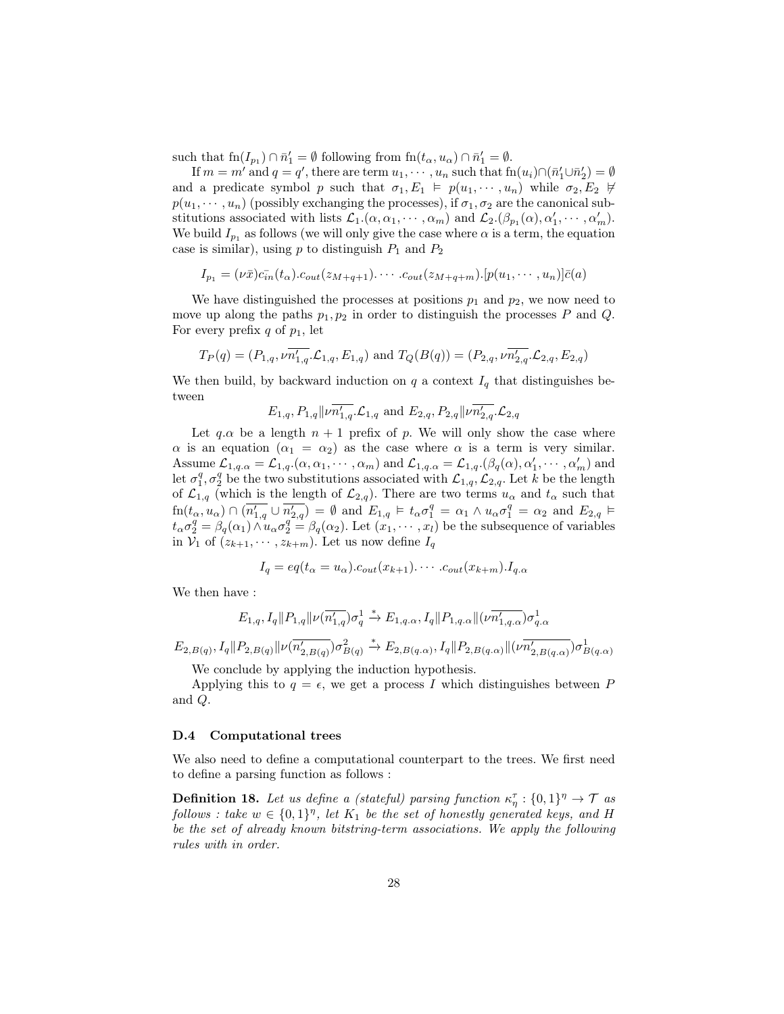such that  $\text{fn}(I_{p_1}) \cap \bar{n}'_1 = \emptyset$  following from  $\text{fn}(t_\alpha, u_\alpha) \cap \bar{n}'_1 = \emptyset$ .

If  $m = m'$  and  $q = q'$ , there are term  $u_1, \dots, u_n$  such that  $fn(u_i) \cap (n'_1 \cup n'_2) = \emptyset$ and a predicate symbol p such that  $\sigma_1, E_1 \models p(u_1, \dots, u_n)$  while  $\sigma_2, E_2 \not\models$  $p(u_1, \dots, u_n)$  (possibly exchanging the processes), if  $\sigma_1, \sigma_2$  are the canonical substitutions associated with lists  $\mathcal{L}_1 \cdot (\alpha, \alpha_1, \dots, \alpha_m)$  and  $\mathcal{L}_2 \cdot (\beta_{p_1}(\alpha), \alpha'_1, \dots, \alpha'_m)$ . We build  $I_{p_1}$  as follows (we will only give the case where  $\alpha$  is a term, the equation case is similar), using p to distinguish  $P_1$  and  $P_2$ 

$$
I_{p_1} = (\nu \bar{x}) c_{in}^{-}(t_{\alpha}) \cdot c_{out}(z_{M+q+1}) \cdot \cdots \cdot c_{out}(z_{M+q+m}) \cdot [p(u_1, \dots, u_n)] \bar{c}(a)
$$

We have distinguished the processes at positions  $p_1$  and  $p_2$ , we now need to move up along the paths  $p_1, p_2$  in order to distinguish the processes P and Q. For every prefix  $q$  of  $p_1$ , let

$$
T_P(q) = (P_{1,q}, \nu \overline{n'_{1,q}}, \mathcal{L}_{1,q}, E_{1,q})
$$
 and  $T_Q(B(q)) = (P_{2,q}, \nu \overline{n'_{2,q}}, \mathcal{L}_{2,q}, E_{2,q})$ 

We then build, by backward induction on q a context  $I_q$  that distinguishes between

$$
E_{1,q}, P_{1,q} || \nu \overline{n'_{1,q}}. \mathcal{L}_{1,q}
$$
 and  $E_{2,q}, P_{2,q} || \nu \overline{n'_{2,q}}. \mathcal{L}_{2,q}$ 

Let  $q.\alpha$  be a length  $n + 1$  prefix of p. We will only show the case where  $\alpha$  is an equation  $(\alpha_1 = \alpha_2)$  as the case where  $\alpha$  is a term is very similar. Assume  $\mathcal{L}_{1,q,\alpha} = \mathcal{L}_{1,q}(\alpha, \alpha_1, \cdots, \alpha_m)$  and  $\mathcal{L}_{1,q,\alpha} = \mathcal{L}_{1,q}(\beta_q(\alpha), \alpha'_1, \cdots, \alpha'_m)$  and let  $\sigma_1^q$ ,  $\sigma_2^q$  be the two substitutions associated with  $\mathcal{L}_{1,q}$ ,  $\mathcal{L}_{2,q}$ . Let k be the length of  $\mathcal{L}_{1,q}$  (which is the length of  $\mathcal{L}_{2,q}$ ). There are two terms  $u_{\alpha}$  and  $t_{\alpha}$  such that  $\text{fn}(t_{\alpha}, u_{\alpha}) \cap (n_{1,q}^{\prime} \cup n_{2,q}^{\prime}) = \emptyset \text{ and } E_{1,q} \models t_{\alpha} \sigma_1^q = \alpha_1 \wedge u_{\alpha} \sigma_1^q = \alpha_2 \text{ and } E_{2,q} \models$  $t_{\alpha}\sigma_2^q = \beta_q(\alpha_1) \wedge u_{\alpha}\sigma_2^q = \beta_q(\alpha_2)$ . Let  $(x_1, \dots, x_l)$  be the subsequence of variables in  $V_1$  of  $(z_{k+1}, \dots, z_{k+m})$ . Let us now define  $I_q$ 

$$
I_q = eq(t_\alpha = u_\alpha).c_{out}(x_{k+1}).\cdots.c_{out}(x_{k+m}).I_{q.\alpha}
$$

We then have :

$$
E_{1,q}, I_q \Vert P_{1,q} \Vert \nu(\overline{n_{1,q}'}) \sigma_q^1 \xrightarrow{*} E_{1,q,\alpha}, I_q \Vert P_{1,q,\alpha} \Vert (\nu \overline{n_{1,q,\alpha}'}) \sigma_{q,\alpha}^1
$$

 $E_{2,B(q)}, I_q \| P_{2,B(q)} \| \nu(\overline{n'_{2,B(q)}}) \sigma_{B(q)}^2 \stackrel{*}{\to} E_{2,B(q.\alpha)}, I_q \| P_{2,B(q.\alpha)} \| (\nu \overline{n'_{2,B(q.\alpha)}}) \sigma_{B(q.\alpha)}^1$ We conclude by applying the induction hypothesis.

Applying this to  $q = \epsilon$ , we get a process I which distinguishes between P and Q.

#### D.4 Computational trees

We also need to define a computational counterpart to the trees. We first need to define a parsing function as follows :

**Definition 18.** Let us define a (stateful) parsing function  $\kappa_{\eta}^{\tau} : \{0,1\}^{\eta} \to \mathcal{T}$  as follows : take  $w \in \{0,1\}^{\eta}$ , let  $K_1$  be the set of honestly generated keys, and H be the set of already known bitstring-term associations. We apply the following rules with in order.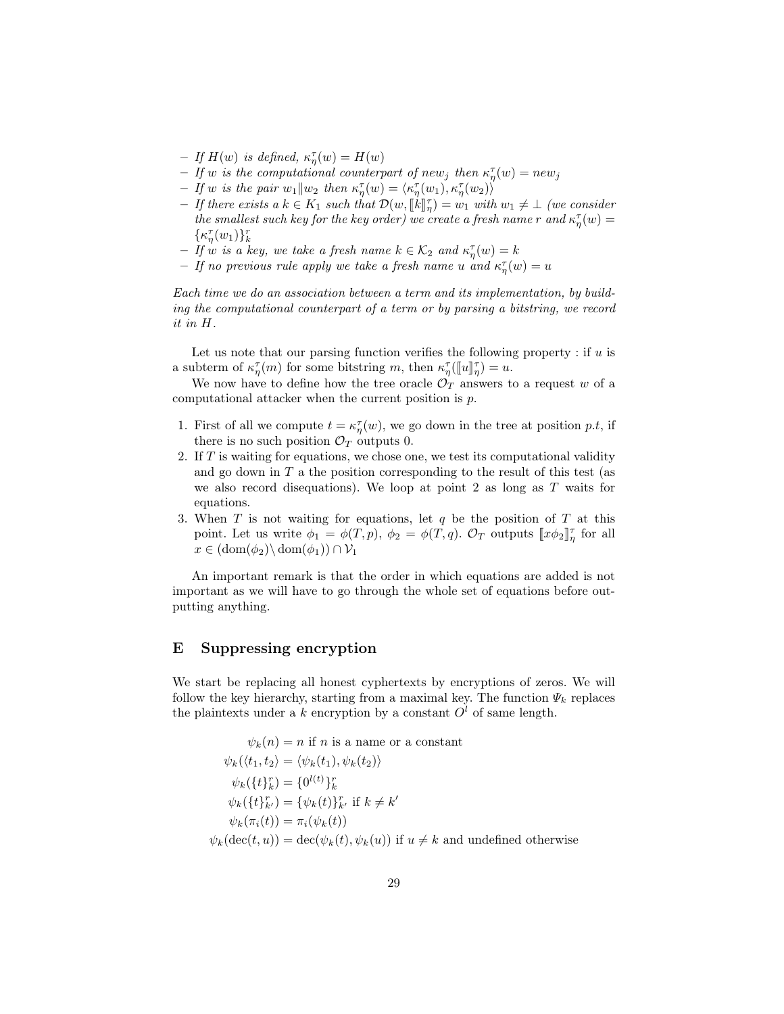- If  $H(w)$  is defined,  $\kappa_{\eta}^{\tau}(w) = H(w)$
- If w is the computational counterpart of new<sub>j</sub> then  $\kappa_{\eta}^{\tau}(w) = new_j$
- If w is the pair  $w_1||w_2$  then  $\kappa_{\eta}^{\tau}(w) = \langle \kappa_{\eta}^{\tau}(w_1), \kappa_{\eta}^{\tau}(w_2) \rangle$
- $-$  If there exists a k ∈ K<sub>1</sub> such that  $\mathcal{D}(w, \llbracket k \rrbracket_{\eta}^{\tau}) = w_1$  with  $w_1 \neq \bot$  (we consider<br>the employed such loss for the loss order) successive a fresh name r and  $\mathcal{F}(w)$  the smallest such key for the key order) we create a fresh name r and  $\kappa_{\eta}^{\tau}(w) =$  $\{\kappa_{\eta}^{\tau}(w_1)\}_{k}^{r}$
- If w is a key, we take a fresh name  $k \in \mathcal{K}_2$  and  $\kappa_{\eta}^{\tau}(w) = k$
- If no previous rule apply we take a fresh name u and  $\kappa_{\eta}^{\tau}(w) = u$

Each time we do an association between a term and its implementation, by building the computational counterpart of a term or by parsing a bitstring, we record it in H.

Let us note that our parsing function verifies the following property : if  $u$  is a subterm of  $\kappa_{\eta}^{\tau}(m)$  for some bitstring m, then  $\kappa_{\eta}^{\tau}(\llbracket u \rrbracket_{\eta}^{\tau}) = u$ .<br>We now have to define how the tree excels  $\mathcal{O}_{\eta}$  expresses to

We now have to define how the tree oracle  $\mathcal{O}_T$  answers to a request w of a computational attacker when the current position is p.

- 1. First of all we compute  $t = \kappa_{\eta}^{\tau}(w)$ , we go down in the tree at position p.t, if there is no such position  $\mathcal{O}_T$  outputs 0.
- 2. If  $T$  is waiting for equations, we chose one, we test its computational validity and go down in  $T$  a the position corresponding to the result of this test (as we also record disequations). We loop at point 2 as long as T waits for equations.
- 3. When  $T$  is not waiting for equations, let  $q$  be the position of  $T$  at this point. Let us write  $\phi_1 = \phi(T, p)$ ,  $\phi_2 = \phi(T, q)$ .  $\mathcal{O}_T$  outputs  $\llbracket x \phi_2 \rrbracket_{\eta}^{\tau}$  for all  $x \in (\text{dom}(\phi_1)) \text{ dom}(\phi_2) \cap \mathcal{Y}$ .  $x \in (\text{dom}(\phi_2) \setminus \text{dom}(\phi_1)) \cap \mathcal{V}_1$

An important remark is that the order in which equations are added is not important as we will have to go through the whole set of equations before outputting anything.

# E Suppressing encryption

We start be replacing all honest cyphertexts by encryptions of zeros. We will follow the key hierarchy, starting from a maximal key. The function  $\Psi_k$  replaces the plaintexts under a k encryption by a constant  $O^l$  of same length.

$$
\psi_k(n) = n \text{ if } n \text{ is a name or a constant}
$$
  
\n
$$
\psi_k(\langle t_1, t_2 \rangle) = \langle \psi_k(t_1), \psi_k(t_2) \rangle
$$
  
\n
$$
\psi_k(\{t\}_k^r) = \{0^{l(t)}\}_k^r
$$
  
\n
$$
\psi_k(\{t\}_{k'}^r) = \{\psi_k(t)\}_{k'}^r \text{ if } k \neq k'
$$
  
\n
$$
\psi_k(\pi_i(t)) = \pi_i(\psi_k(t))
$$
  
\n
$$
\psi_k(\text{dec}(t, u)) = \text{dec}(\psi_k(t), \psi_k(u)) \text{ if } u \neq k \text{ and undefined otherwise}
$$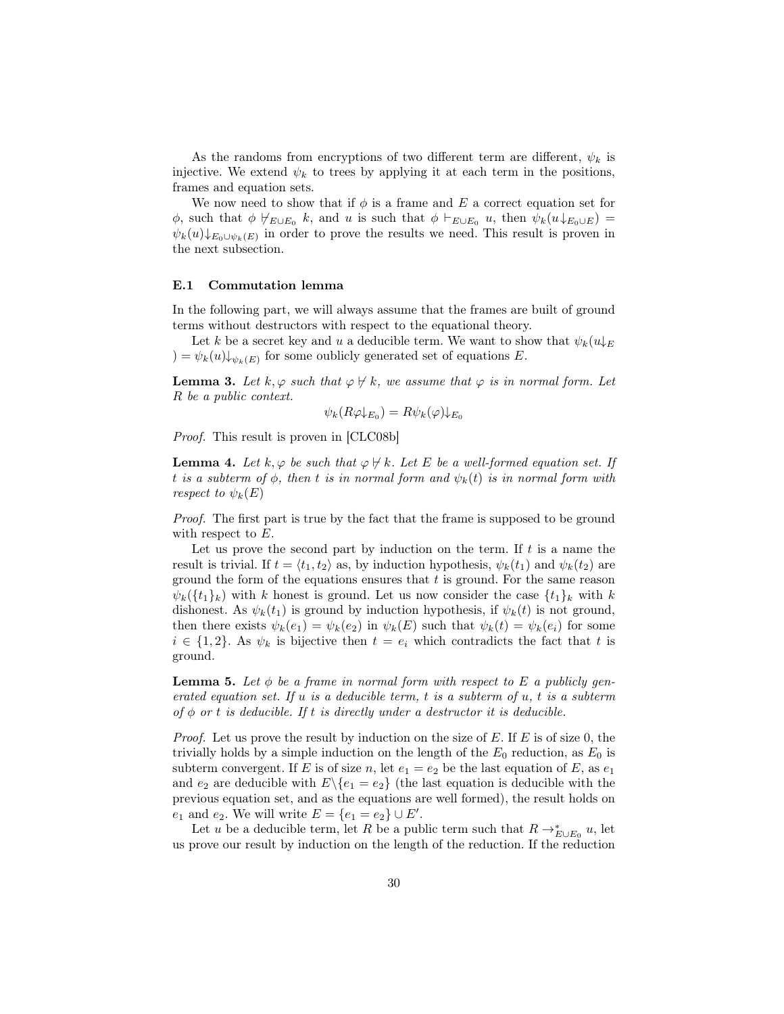As the randoms from encryptions of two different term are different,  $\psi_k$  is injective. We extend  $\psi_k$  to trees by applying it at each term in the positions, frames and equation sets.

We now need to show that if  $\phi$  is a frame and E a correct equation set for  $\phi$ , such that  $\phi \nvDash_{E\cup E_0} k$ , and u is such that  $\phi \vdash_{E\cup E_0} u$ , then  $\psi_k(u\downarrow_{E_0\cup E}) =$  $\psi_k(u)\downarrow_{E_0\cup\psi_k(E)}$  in order to prove the results we need. This result is proven in the next subsection.

#### E.1 Commutation lemma

In the following part, we will always assume that the frames are built of ground terms without destructors with respect to the equational theory.

Let k be a secret key and u a deducible term. We want to show that  $\psi_k(u)\neq \mathbb{R}$  $=\psi_k(u)\big|_{\psi_k(E)}$  for some oublicly generated set of equations E.

**Lemma 3.** Let  $k, \varphi$  such that  $\varphi \not\vdash k$ , we assume that  $\varphi$  is in normal form. Let R be a public context.

$$
\psi_k(R\varphi\downarrow_{E_0})=R\psi_k(\varphi)\downarrow_{E_0}
$$

Proof. This result is proven in [CLC08b]

**Lemma 4.** Let  $k, \varphi$  be such that  $\varphi \not\vdash k$ . Let E be a well-formed equation set. If t is a subterm of  $\phi$ , then t is in normal form and  $\psi_k(t)$  is in normal form with respect to  $\psi_k(E)$ 

Proof. The first part is true by the fact that the frame is supposed to be ground with respect to E.

Let us prove the second part by induction on the term. If  $t$  is a name the result is trivial. If  $t = \langle t_1, t_2 \rangle$  as, by induction hypothesis,  $\psi_k(t_1)$  and  $\psi_k(t_2)$  are ground the form of the equations ensures that  $t$  is ground. For the same reason  $\psi_k({t_1}_k)$  with k honest is ground. Let us now consider the case  ${t_1}_k$  with k dishonest. As  $\psi_k(t_1)$  is ground by induction hypothesis, if  $\psi_k(t)$  is not ground, then there exists  $\psi_k(e_1) = \psi_k(e_2)$  in  $\psi_k(E)$  such that  $\psi_k(t) = \psi_k(e_i)$  for some  $i \in \{1,2\}$ . As  $\psi_k$  is bijective then  $t = e_i$  which contradicts the fact that t is ground.

**Lemma 5.** Let  $\phi$  be a frame in normal form with respect to E a publicly generated equation set. If u is a deducible term, t is a subterm of  $u$ , t is a subterm of  $\phi$  or t is deducible. If t is directly under a destructor it is deducible.

*Proof.* Let us prove the result by induction on the size of  $E$ . If  $E$  is of size 0, the trivially holds by a simple induction on the length of the  $E_0$  reduction, as  $E_0$  is subterm convergent. If E is of size n, let  $e_1 = e_2$  be the last equation of E, as  $e_1$ and  $e_2$  are deducible with  $E\backslash\{e_1 = e_2\}$  (the last equation is deducible with the previous equation set, and as the equations are well formed), the result holds on  $e_1$  and  $e_2$ . We will write  $E = \{e_1 = e_2\} \cup E'.$ 

Let u be a deducible term, let R be a public term such that  $R \to_{E \cup E_0}^* u$ , let us prove our result by induction on the length of the reduction. If the reduction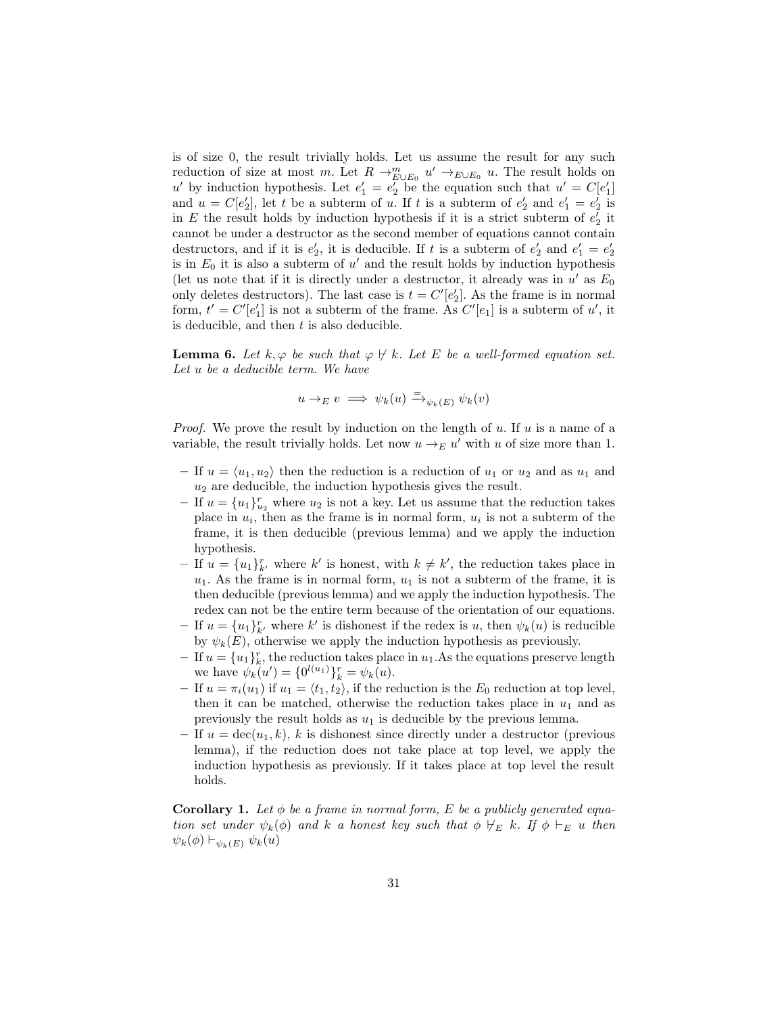is of size 0, the result trivially holds. Let us assume the result for any such reduction of size at most m. Let  $R \to_{E \cup E_0}^m u' \to_{E \cup E_0} u$ . The result holds on u' by induction hypothesis. Let  $e'_1 = e'_2$  be the equation such that  $u' = C[e'_1]$ and  $u = C[e'_2]$ , let t be a subterm of u. If t is a subterm of  $e'_2$  and  $e'_1 = e'_2$  is in E the result holds by induction hypothesis if it is a strict subterm of  $e'_2$  it cannot be under a destructor as the second member of equations cannot contain destructors, and if it is  $e'_2$ , it is deducible. If t is a subterm of  $e'_2$  and  $e'_1 = e'_2$ is in  $E_0$  it is also a subterm of  $u'$  and the result holds by induction hypothesis (let us note that if it is directly under a destructor, it already was in  $u'$  as  $E_0$ only deletes destructors). The last case is  $t = C'[e'_2]$ . As the frame is in normal form,  $t' = C'[e'_1]$  is not a subterm of the frame. As  $C'[e_1]$  is a subterm of  $u'$ , it is deducible, and then  $t$  is also deducible.

**Lemma 6.** Let  $k, \varphi$  be such that  $\varphi \not\vdash k$ . Let E be a well-formed equation set. Let u be a deducible term. We have

$$
u \to_E v \implies \psi_k(u) \xrightarrow{\equiv} \psi_k(E) \psi_k(v)
$$

*Proof.* We prove the result by induction on the length of  $u$ . If  $u$  is a name of a variable, the result trivially holds. Let now  $u \rightarrow_E u'$  with u of size more than 1.

- If  $u = \langle u_1, u_2 \rangle$  then the reduction is a reduction of  $u_1$  or  $u_2$  and as  $u_1$  and  $u_2$  are deducible, the induction hypothesis gives the result.
- If  $u = \{u_1\}_{u_2}^r$  where  $u_2$  is not a key. Let us assume that the reduction takes place in  $u_i$ , then as the frame is in normal form,  $u_i$  is not a subterm of the frame, it is then deducible (previous lemma) and we apply the induction hypothesis.
- If  $u = \{u_1\}_{k}^r$  where k' is honest, with  $k \neq k'$ , the reduction takes place in  $u_1$ . As the frame is in normal form,  $u_1$  is not a subterm of the frame, it is then deducible (previous lemma) and we apply the induction hypothesis. The redex can not be the entire term because of the orientation of our equations.
- If  $u = \{u_1\}_{k}^r$  where  $k'$  is dishonest if the redex is u, then  $\psi_k(u)$  is reducible by  $\psi_k(E)$ , otherwise we apply the induction hypothesis as previously.
- If  $u = {u_1}_k^r$ , the reduction takes place in  $u_1$ . As the equations preserve length we have  $\psi_k(u') = \{0^{l(u_1)}\}_{k}^{r} = \psi_k(u)$ .
- If  $u = \pi_i(u_1)$  if  $u_1 = \langle t_1, t_2 \rangle$ , if the reduction is the  $E_0$  reduction at top level, then it can be matched, otherwise the reduction takes place in  $u_1$  and as previously the result holds as  $u_1$  is deducible by the previous lemma.
- If  $u = \text{dec}(u_1, k)$ , k is dishonest since directly under a destructor (previous lemma), if the reduction does not take place at top level, we apply the induction hypothesis as previously. If it takes place at top level the result holds.

**Corollary 1.** Let  $\phi$  be a frame in normal form, E be a publicly generated equation set under  $\psi_k(\phi)$  and k a honest key such that  $\phi \nvDash_E k$ . If  $\phi \vdash_E u$  then  $\psi_k(\phi) \vdash_{\psi_k(E)} \psi_k(u)$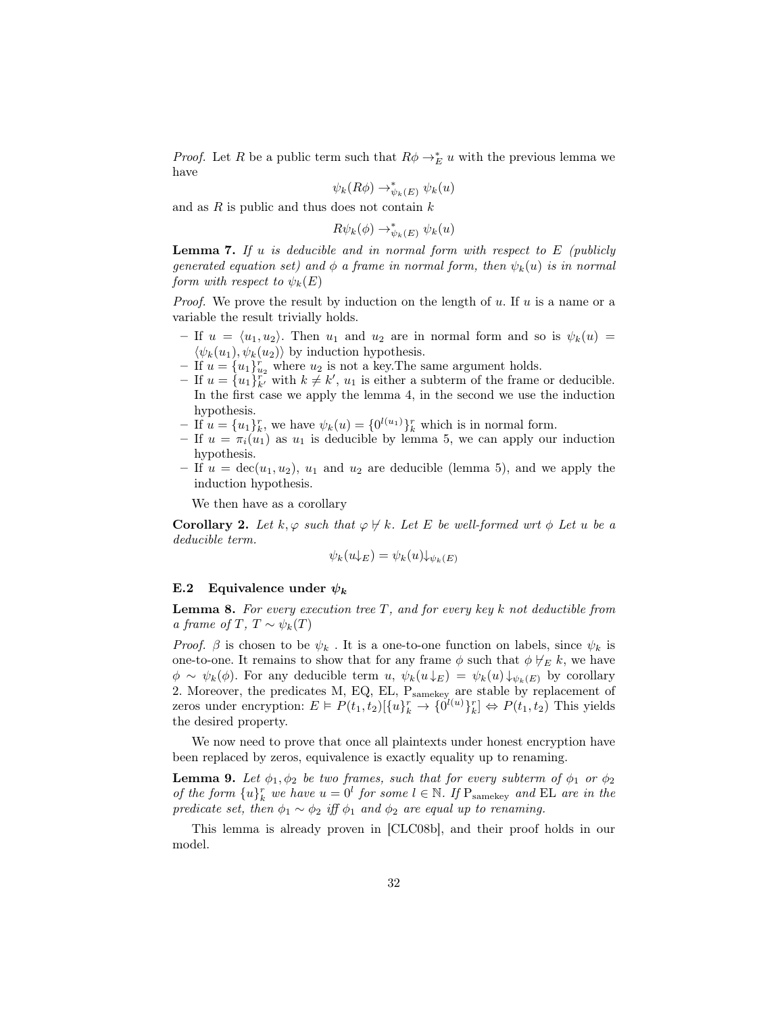*Proof.* Let R be a public term such that  $R\phi \rightarrow_E^* u$  with the previous lemma we have

$$
\psi_k(R\phi) \to_{\psi_k(E)}^* \psi_k(u)
$$

and as  $R$  is public and thus does not contain  $k$ 

 $R\psi_k(\phi) \to_{\psi_k(E)}^* \psi_k(u)$ 

**Lemma 7.** If u is deducible and in normal form with respect to  $E$  (publicly generated equation set) and  $\phi$  a frame in normal form, then  $\psi_k(u)$  is in normal form with respect to  $\psi_k(E)$ 

*Proof.* We prove the result by induction on the length of  $u$ . If  $u$  is a name or a variable the result trivially holds.

- If  $u = \langle u_1, u_2 \rangle$ . Then  $u_1$  and  $u_2$  are in normal form and so is  $\psi_k(u) =$  $\langle \psi_k(u_1), \psi_k(u_2) \rangle$  by induction hypothesis.
- If  $u = \{u_1\}_{u_2}^r$  where  $u_2$  is not a key. The same argument holds.
- If  $u = \{u_1\}_{k'}^{r^2}$  with  $k \neq k'$ ,  $u_1$  is either a subterm of the frame or deducible. In the first case we apply the lemma 4, in the second we use the induction hypothesis.
- If  $u = {u_1}_{k}^r$ , we have  $\psi_k(u) = {0}^{l(u_1)}_{k}^r$  which is in normal form.
- If  $u = \pi_i(u_1)$  as  $u_1$  is deducible by lemma 5, we can apply our induction hypothesis.
- If  $u = \text{dec}(u_1, u_2), u_1$  and  $u_2$  are deducible (lemma 5), and we apply the induction hypothesis.

We then have as a corollary

**Corollary 2.** Let  $k, \varphi$  such that  $\varphi \not\vdash k$ . Let E be well-formed wrt  $\varphi$  Let u be a deducible term.

$$
\psi_k(u\mathcal{L}_E) = \psi_k(u)\mathcal{L}_{\psi_k(E)}
$$

#### E.2 Equivalence under  $\psi_k$

**Lemma 8.** For every execution tree  $T$ , and for every key k not deductible from a frame of T,  $T \sim \psi_k(T)$ 

*Proof.*  $\beta$  is chosen to be  $\psi_k$ . It is a one-to-one function on labels, since  $\psi_k$  is one-to-one. It remains to show that for any frame  $\phi$  such that  $\phi \not\vdash_{E} k$ , we have  $\phi \sim \psi_k(\phi)$ . For any deducible term u,  $\psi_k(u \downarrow_E) = \psi_k(u) \downarrow_{\psi_k(E)}$  by corollary 2. Moreover, the predicates M, EQ, EL, P<sub>samekey</sub> are stable by replacement of zeros under encryption:  $E \models P(t_1, t_2)[\{u\}_k^r \rightarrow {\mathfrak{h}}^{(u)}\}_k^r] \Leftrightarrow P(t_1, t_2)$  This yields the desired property.

We now need to prove that once all plaintexts under honest encryption have been replaced by zeros, equivalence is exactly equality up to renaming.

**Lemma 9.** Let  $\phi_1, \phi_2$  be two frames, such that for every subterm of  $\phi_1$  or  $\phi_2$ of the form  $\{u\}_k^r$  we have  $u = 0^l$  for some  $l \in \mathbb{N}$ . If  $P_{\text{samekey}}$  and EL are in the predicate set, then  $\phi_1 \sim \phi_2$  iff  $\phi_1$  and  $\phi_2$  are equal up to renaming.

This lemma is already proven in [CLC08b], and their proof holds in our model.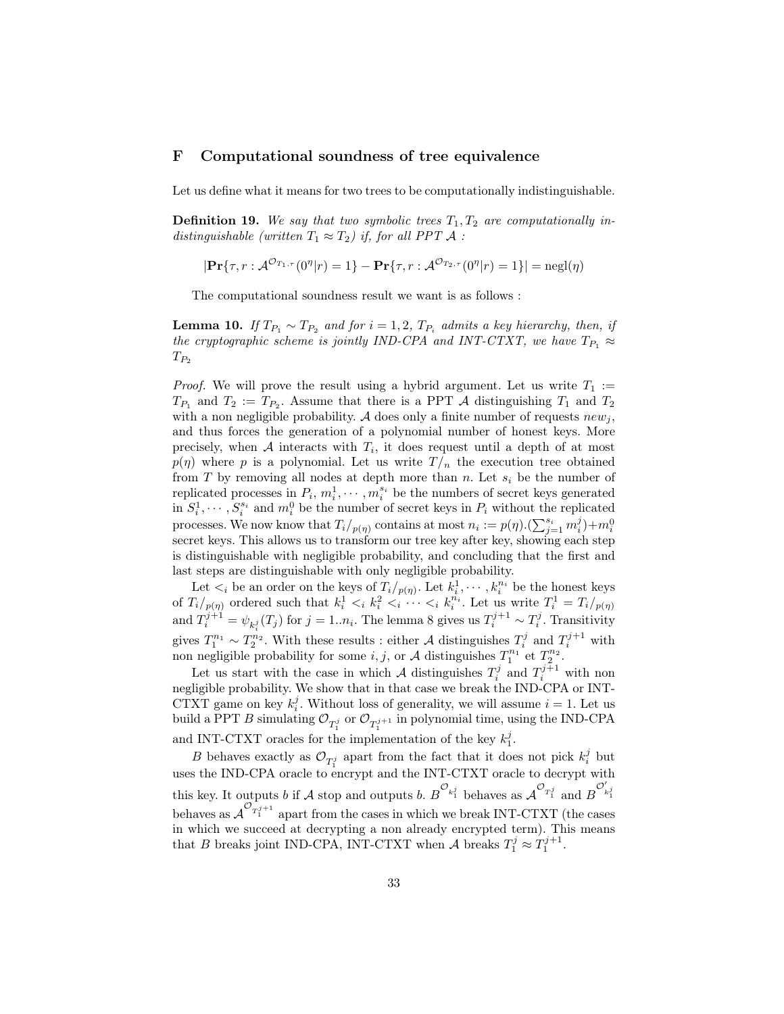### F Computational soundness of tree equivalence

Let us define what it means for two trees to be computationally indistinguishable.

**Definition 19.** We say that two symbolic trees  $T_1, T_2$  are computationally indistinguishable (written  $T_1 \approx T_2$ ) if, for all PPT A :

$$
|\mathbf{Pr}\{\tau, r : \mathcal{A}^{\mathcal{O}_{T_1, \tau}}(0^{\eta}|r) = 1\} - \mathbf{Pr}\{\tau, r : \mathcal{A}^{\mathcal{O}_{T_2, \tau}}(0^{\eta}|r) = 1\}| = \text{negl}(\eta)
$$

The computational soundness result we want is as follows :

**Lemma 10.** If  $T_{P_1} \sim T_{P_2}$  and for  $i = 1, 2, T_{P_i}$  admits a key hierarchy, then, if the cryptographic scheme is jointly IND-CPA and INT-CTXT, we have  $T_{P_1} \approx$  $T_{P_2}$ 

*Proof.* We will prove the result using a hybrid argument. Let us write  $T_1 :=$  $T_{P_1}$  and  $T_2 := T_{P_2}$ . Assume that there is a PPT A distinguishing  $T_1$  and  $T_2$ with a non negligible probability. A does only a finite number of requests  $new_i$ , and thus forces the generation of a polynomial number of honest keys. More precisely, when  $A$  interacts with  $T_i$ , it does request until a depth of at most  $p(\eta)$  where p is a polynomial. Let us write  $T/n$  the execution tree obtained from  $T$  by removing all nodes at depth more than  $n$ . Let  $s_i$  be the number of replicated processes in  $P_i$ ,  $m_i^1$ ,  $\cdots$ ,  $m_i^{s_i}$  be the numbers of secret keys generated in  $S_i^1, \dots, S_i^{s_i}$  and  $m_i^0$  be the number of secret keys in  $P_i$  without the replicated processes. We now know that  $T_i/_{p(\eta)}$  contains at most  $n_i := p(\eta) \cdot (\sum_{j=1}^{s_i} m_i^j) + m_i^0$ secret keys. This allows us to transform our tree key after key, showing each step is distinguishable with negligible probability, and concluding that the first and last steps are distinguishable with only negligible probability.

Let  $\lt_i$  be an order on the keys of  $T_i/p_{(\eta)}$ . Let  $k_i^1, \dots, k_i^{n_i}$  be the honest keys of  $T_i/p_{(\eta)}$  ordered such that  $k_i^1 \leq i \leq i \cdots \leq i \leq k_i^{n_i}$ . Let us write  $T_i^1 = T_i/p_{(\eta)}$ and  $T_i^{j+1} = \psi_{k_i^j}(T_j)$  for  $j = 1..n_i$ . The lemma 8 gives us  $T_i^{j+1} \sim T_i^j$ . Transitivity gives  $T_1^{n_1} \sim T_2^{n_2}$ . With these results : either A distinguishes  $T_i^j$  and  $T_i^{j+1}$  with non negligible probability for some  $i, j$ , or A distinguishes  $T_1^{n_1}$  et  $T_2^{n_2}$ .

Let us start with the case in which  $A$  distinguishes  $T_i^j$  and  $T_i^{j+1}$  with non negligible probability. We show that in that case we break the IND-CPA or INT-CTXT game on key  $k_i^j$ . Without loss of generality, we will assume  $i = 1$ . Let us build a PPT  $B$  simulating  $\mathcal{O}_{T_1^j}$  or  $\mathcal{O}_{T_1^{j+1}}$  in polynomial time, using the IND-CPA and INT-CTXT oracles for the implementation of the key  $k_1^j$ .

B behaves exactly as  $\mathcal{O}_{T_1^j}$  apart from the fact that it does not pick  $k_i^j$  but uses the IND-CPA oracle to encrypt and the INT-CTXT oracle to decrypt with this key. It outputs b if A stop and outputs b.  $B^{\mathcal{O}_{k_1^j}}$  behaves as  $\mathcal{A}^{\mathcal{O}_{T_1^j}}$  and  $B^{\mathcal{O}'_{k_1^j}}$ behaves as  $\mathcal{A}^{\mathcal{O}_{T_1^{j+1}}}$  apart from the cases in which we break INT-CTXT (the cases in which we succeed at decrypting a non already encrypted term). This means that B breaks joint IND-CPA, INT-CTXT when A breaks  $T_1^j \approx T_1^{j+1}$ .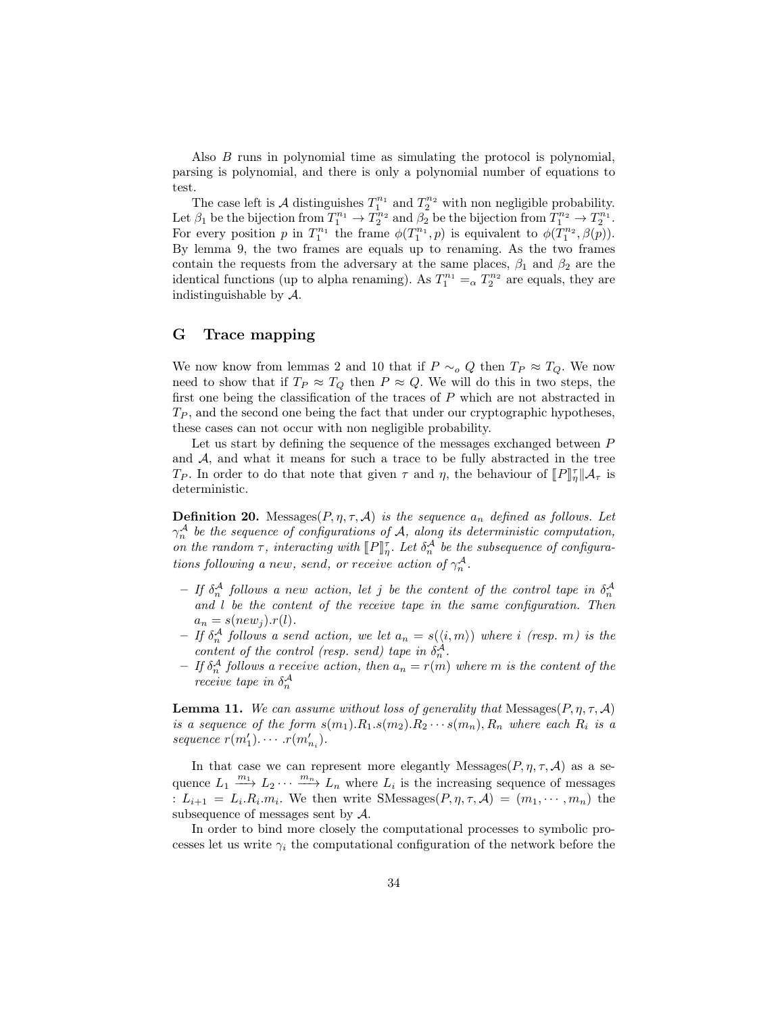Also B runs in polynomial time as simulating the protocol is polynomial, parsing is polynomial, and there is only a polynomial number of equations to test.

The case left is  $A$  distinguishes  $T_1^{n_1}$  and  $T_2^{n_2}$  with non negligible probability. Let  $\beta_1$  be the bijection from  $T_1^{n_1} \rightarrow T_2^{n_2}$  and  $\beta_2$  be the bijection from  $T_1^{n_2} \rightarrow T_2^{n_1}$ . For every position p in  $T_1^{n_1}$  the frame  $\phi(T_1^{n_1}, p)$  is equivalent to  $\phi(T_1^{n_2}, \beta(p))$ . By lemma 9, the two frames are equals up to renaming. As the two frames contain the requests from the adversary at the same places,  $\beta_1$  and  $\beta_2$  are the identical functions (up to alpha renaming). As  $T_1^{n_1} = \alpha T_2^{n_2}$  are equals, they are indistinguishable by  $A$ .

# G Trace mapping

We now know from lemmas 2 and 10 that if  $P \sim_{o} Q$  then  $T_P \approx T_Q$ . We now need to show that if  $T_P \approx T_Q$  then  $P \approx Q$ . We will do this in two steps, the first one being the classification of the traces of P which are not abstracted in  $T_P$ , and the second one being the fact that under our cryptographic hypotheses, these cases can not occur with non negligible probability.

Let us start by defining the sequence of the messages exchanged between P and  $A$ , and what it means for such a trace to be fully abstracted in the tree T<sub>P</sub>. In order to do that note that given  $\tau$  and  $\eta$ , the behaviour of  $[$ P $]\eta$  $||\mathcal{A}_{\tau}$  is deterministic deterministic.

**Definition 20.** Messages $(P, \eta, \tau, A)$  is the sequence  $a_n$  defined as follows. Let  $\gamma_n^{\mathcal{A}}$  be the sequence of configurations of  $\mathcal{A}$ , along its deterministic computation, on the random  $\tau$ , interacting with  $[\![P]\!]_T^{\tau}$ . Let  $\delta_n^A$  be the subsequence of configura-<br>time following a new and approximately state of  $A$ tions following a new, send, or receive action of  $\gamma_n^{\mathcal{A}}$ .

- $-$  If  $\delta_n^{\mathcal{A}}$  follows a new action, let j be the content of the control tape in  $\delta_n^{\mathcal{A}}$ and l be the content of the receive tape in the same configuration. Then  $a_n = s(new_i).r(l).$
- $-$  If  $\delta_n^{\mathcal{A}}$  follows a send action, we let  $a_n = s(\langle i,m \rangle)$  where i (resp. m) is the content of the control (resp. send) tape in  $\delta_n^{\mathcal{A}}$ .
- $-$  If  $\delta_n^{\mathcal{A}}$  follows a receive action, then  $a_n = r(m)$  where m is the content of the receive tape in  $\delta_n^{\mathcal{A}}$

**Lemma 11.** We can assume without loss of generality that Messages $(P, \eta, \tau, \mathcal{A})$ is a sequence of the form  $s(m_1).R_1.s(m_2).R_2 \cdots s(m_n), R_n$  where each  $R_i$  is a sequence  $r(m'_1) \cdots r(m'_{n_i})$ .

In that case we can represent more elegantly Messages $(P, \eta, \tau, \mathcal{A})$  as a sequence  $L_1 \xrightarrow{m_1} L_2 \cdots \xrightarrow{m_n} L_n$  where  $L_i$  is the increasing sequence of messages :  $L_{i+1} = L_i \cdot R_i \cdot m_i$ . We then write SMessages $(P, \eta, \tau, \mathcal{A}) = (m_1, \dots, m_n)$  the subsequence of messages sent by  $\mathcal{A}$ .

In order to bind more closely the computational processes to symbolic processes let us write  $\gamma_i$  the computational configuration of the network before the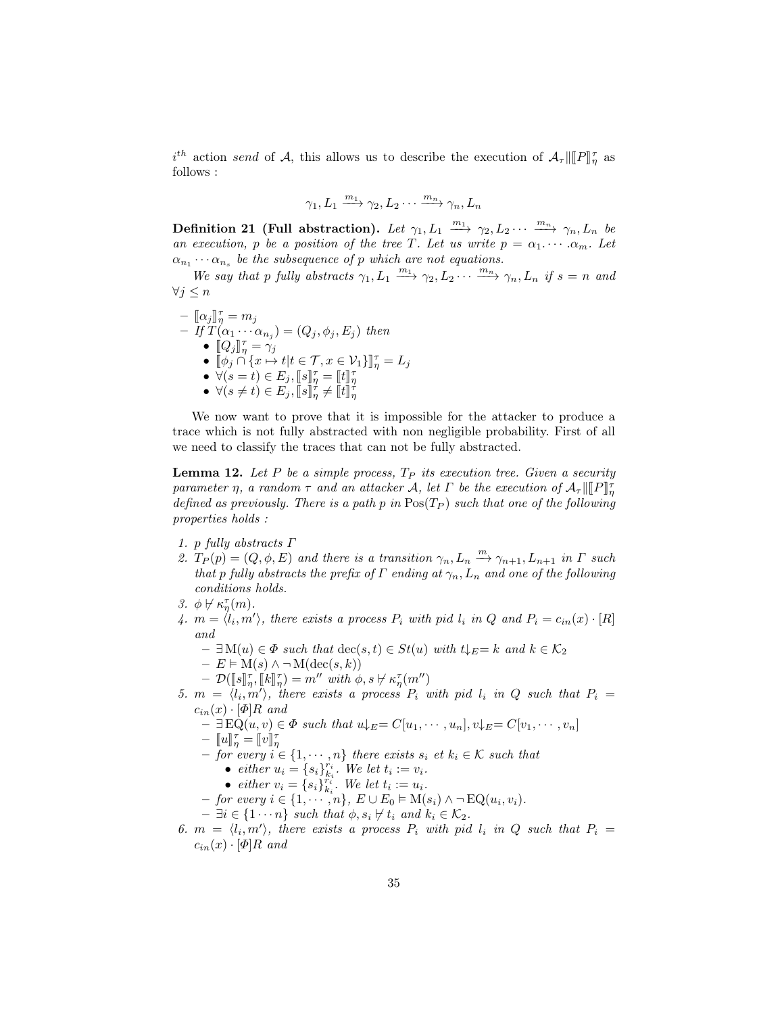$i^{th}$  action send of A, this allows us to describe the execution of  $\mathcal{A}_{\tau} \| \| P \|_{\eta}^{\tau}$  as follows: follows :

$$
\gamma_1, L_1 \xrightarrow{m_1} \gamma_2, L_2 \cdots \xrightarrow{m_n} \gamma_n, L_n
$$

Definition 21 (Full abstraction). Let  $\gamma_1, L_1 \stackrel{m_1}{\longrightarrow} \gamma_2, L_2 \cdots \stackrel{m_n}{\longrightarrow} \gamma_n, L_n$  be an execution, p be a position of the tree T. Let us write  $p = \alpha_1 \cdots \alpha_m$ . Let  $\alpha_{n_1} \cdots \alpha_{n_s}$  be the subsequence of p which are not equations.

We say that p fully abstracts  $\gamma_1, L_1 \xrightarrow{m_1} \gamma_2, L_2 \cdots \xrightarrow{m_n} \gamma_n, L_n$  if  $s = n$  and  $∀j ≤ n$ 

$$
\begin{aligned}\n&= \left[ \alpha_j \right]_{\eta}^{\tau} = m_j \\
&= \text{If } T(\alpha_1 \cdots \alpha_{n_j}) = (Q_j, \phi_j, E_j) \text{ then} \\
& \bullet \left[ \left[ Q_j \right]_{\eta}^{\tau} = \gamma_j \\
& \bullet \left[ \phi_j \cap \{ x \mapsto t | t \in \mathcal{T}, x \in \mathcal{V}_1 \} \right]_{\eta}^{\tau} = L_j \\
& \bullet \forall (s = t) \in E_j, \left[ s \right]_{\eta}^{\tau} = \left[ \left[ t \right]_{\eta}^{\tau} \\
& \bullet \forall (s \neq t) \in E_j, \left[ s \right]_{\eta}^{\tau} \neq \left[ \left[ t \right]_{\eta}^{\tau}\right]\n\end{aligned}
$$

We now want to prove that it is impossible for the attacker to produce a trace which is not fully abstracted with non negligible probability. First of all we need to classify the traces that can not be fully abstracted.

**Lemma 12.** Let P be a simple process,  $T_P$  its execution tree. Given a security parameter  $\eta$ , a random  $\tau$  and an attacker A, let  $\Gamma$  be the execution of  $\mathcal{A}_{\tau} \parallel \llbracket \mathbb{P} \rrbracket^{\tau}$ defined as previously. There is a path p in  $Pos(T_P)$  such that one of the following properties holds :

- 1. p fully abstracts Γ
- 2.  $T_P(p) = (Q, \phi, E)$  and there is a transition  $\gamma_n, L_n \xrightarrow{m} \gamma_{n+1}, L_{n+1}$  in  $\Gamma$  such that p fully abstracts the prefix of  $\Gamma$  ending at  $\gamma_n, L_n$  and one of the following conditions holds.
- 3.  $\phi \not\vdash \kappa^{\tau}_{\eta}(m)$ .
- 4.  $m = \langle l_i, m' \rangle$ , there exists a process  $P_i$  with pid  $l_i$  in Q and  $P_i = c_{in}(x) \cdot [R]$ and
	- $\exists M(u) \in \Phi$  such that  $\text{dec}(s, t) \in St(u)$  with  $t \downarrow_E = k$  and  $k \in \mathcal{K}_2$

$$
- E \vDash M(s) \land \neg M(\text{dec}(s, k))
$$

- $\mathcal{D}(\llbracket s \rrbracket_{\eta}^{\tau}, \llbracket k \rrbracket_{\eta}^{\tau} ) = m'' \text{ with } \phi, s \not\vdash \kappa_{\eta}^{\tau}(m'')$
- 5.  $m = \langle l_i, m' \rangle$ , there exists a process  $P_i$  with pid  $l_i$  in Q such that  $P_i =$  $c_{in}(x) \cdot [\Phi]R$  and
	- $\exists \mathrm{EQ}(u, v) \in \Phi$  such that  $u \downarrow_E = C[u_1, \cdots, u_n], v \downarrow_E = C[v_1, \cdots, v_n]$
	- $-\llbracket u \rrbracket^{\tau}_{\eta} = \llbracket v \rrbracket^{\tau}_{\eta}$ <br>for every i.
	- $-$  for every  $i \in \{1, \dots, n\}$  there exists  $s_i$  et  $k_i \in \mathcal{K}$  such that
		- either  $u_i = \{s_i\}_{k_i}^{r_i}$ . We let  $t_i := v_i$ .
		- either  $v_i = \{s_i\}_{k_i}^{r_i}$ . We let  $t_i := u_i$ .
	- $-$  for every  $i \in \{1, \cdots, n\}, E \cup E_0 \models M(s_i) \land \neg \, \mathrm{EQ}(u_i, v_i).$
	- $\exists i \in \{1 \cdots n\}$  such that  $\phi, s_i \not\vdash t_i$  and  $k_i \in \mathcal{K}_2$ .
- 6.  $m = \langle l_i, m' \rangle$ , there exists a process  $P_i$  with pid  $l_i$  in Q such that  $P_i =$  $c_{in}(x) \cdot [\Phi]R$  and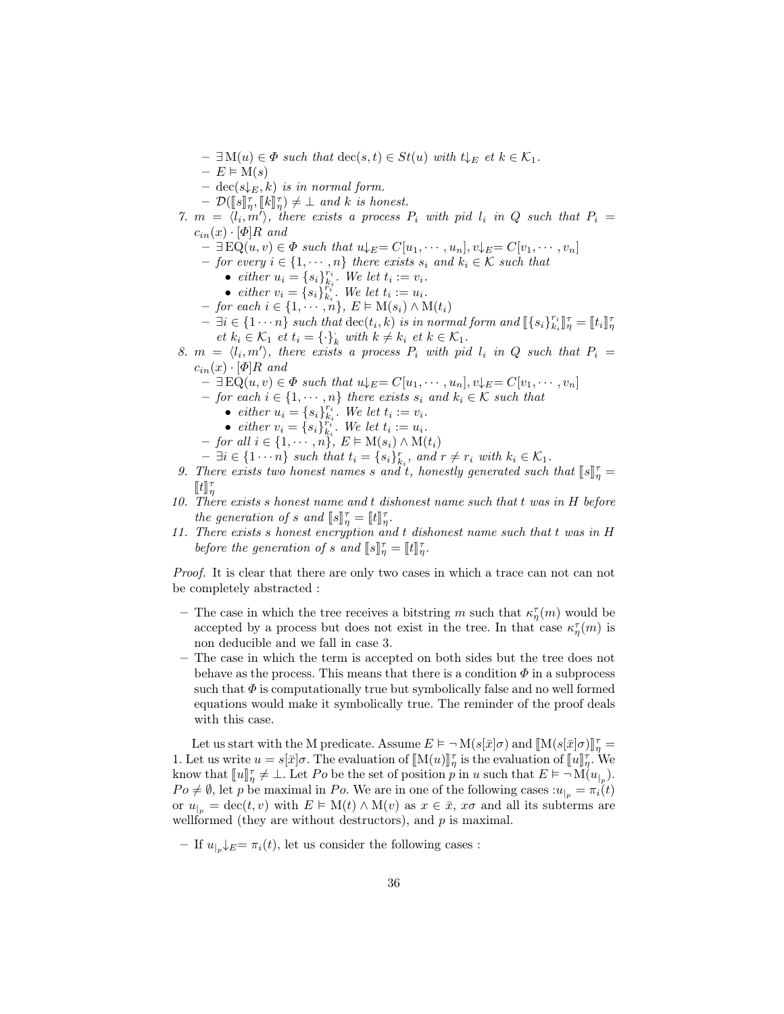- $\exists M(u) \in \Phi$  such that  $\text{dec}(s, t) \in St(u)$  with  $t \downarrow_E \text{ et } k \in \mathcal{K}_1$ .
- $E \models M(s)$
- $\text{dec}(s \downarrow_E, k)$  is in normal form.
- $-\mathcal{D}(\llbracket s \rrbracket_{\eta}^{\tau}, \llbracket k \rrbracket_{\eta}^{\tau}) \neq \bot$  and k is honest.
- 7.  $m = \langle l_i, m' \rangle$ , there exists a process  $P_i$  with pid  $l_i$  in Q such that  $P_i =$  $c_{in}(x) \cdot [\Phi]R$  and
	- $\exists \mathrm{EQ}(u, v) \in \Phi$  such that  $u \downarrow_{E} = C[u_1, \cdots, u_n], v \downarrow_{E} = C[v_1, \cdots, v_n]$
	- for every  $i \in \{1, \dots, n\}$  there exists  $s_i$  and  $k_i \in \mathcal{K}$  such that
		- either  $u_i = \{s_i\}_{k_i}^{r_i}$ . We let  $t_i := v_i$ .
		- either  $v_i = \{s_i\}_{k_i}^{r_i}$ . We let  $t_i := u_i$ .
	- for each  $i \in \{1, \cdots, n\}$ ,  $E \models M(s_i) \land M(t_i)$
	- $\begin{aligned} -\exists i \in \{1 \cdots n\} \text{ such that } \text{dec}(t_i, k) \text{ is in normal form and } \llbracket \{s_i\}_{k_i}^{r_i} \rrbracket \end{aligned}$  $\mathbf{r}_{\eta} = \llbracket t_i \rrbracket_{\eta}^{\tau}$  $et \ k_i \in \mathcal{K}_1 \ et \ t_i = \{\cdot\}_k \ with \ k \neq k_i \ et \ k \in \mathcal{K}_1.$
- 8.  $m = \langle l_i, m' \rangle$ , there exists a process  $P_i$  with pid  $l_i$  in Q such that  $P_i =$  $c_{in}(x) \cdot [\Phi]R$  and
	- $\exists \mathrm{EQ}(u, v) \in \Phi$  such that  $u \downarrow_E = C[u_1, \cdots, u_n], v \downarrow_E = C[v_1, \cdots, v_n]$
	- for each  $i \in \{1, \dots, n\}$  there exists  $s_i$  and  $k_i \in \mathcal{K}$  such that
		- either  $u_i = \{s_i\}_{k_i}^{r_i}$ . We let  $t_i := v_i$ .
		- either  $v_i = \{s_i\}_{k_i}^{r_i}$ . We let  $t_i := u_i$ .
	- $-$  for all  $i \in \{1, \cdots, n\}$ ,  $E \models M(s_i) \land M(t_i)$
	- $\exists i \in \{1 \cdots n\}$  such that  $t_i = \{s_i\}_{k_i}^r$ , and  $r \neq r_i$  with  $k_i \in \mathcal{K}_1$ .
- 9. There exists two honest names s and t, honestly generated such that  $[\![s]\!]_{\eta}^{\tau} =$ <br> $\mathbb{I} \cdot \mathbb{I}^{\tau}$  $[[t]]_\eta^\tau$
- 10. There exists s honest name and t dishonest name such that t was in H before the generation of s and  $\llbracket s \rrbracket_{\eta}^{\tau} = \llbracket t \rrbracket_{\eta}^{\tau}$ .<br>There exists a honest encryption on
- 11. There exists s honest encryption and t dishonest name such that t was in H before the generation of s and  $\llbracket s \rrbracket_{\eta}^{\tau} = \llbracket t \rrbracket_{\eta}^{\tau}$ .

Proof. It is clear that there are only two cases in which a trace can not can not be completely abstracted :

- The case in which the tree receives a bitstring m such that  $\kappa_{\eta}^{\tau}(m)$  would be accepted by a process but does not exist in the tree. In that case  $\kappa_{\eta}^{\tau}(m)$  is non deducible and we fall in case 3.
- The case in which the term is accepted on both sides but the tree does not behave as the process. This means that there is a condition  $\Phi$  in a subprocess such that  $\Phi$  is computationally true but symbolically false and no well formed equations would make it symbolically true. The reminder of the proof deals with this case.

Let us start with the M predicate. Assume  $E \models \neg M(s[\bar{x}]\sigma)$  and  $[\![M(s[\bar{x}]\sigma)]\!]_{\sigma}^{\tau} =$ <br>of us write  $u = e^{[\bar{x}]} \sigma$ . The evaluation of  $[\![M(\omega)]\!]_{\sigma}^{\tau}$  is the evaluation of  $[\![u]\!]_{\sigma}^{\tau}$ . 1. Let us write  $u = s[\bar{x}]\sigma$ . The evaluation of  $[\![\mathbf{M}(u)]\!]_{\eta}^{\tau}$  is the evaluation of  $[\![u]\!]_{\eta}^{\tau}$ . We<br>know that  $[\![u]\!]_{\eta}^{\tau} \perp \perp$  Let  $B_{\alpha}$  be the set of position  $\eta$  in  $u$  such that  $E \vdash \neg \mathbf{M}(u)$ . know that  $\llbracket u \rrbracket_{\eta}^{\tau} \neq \bot$ . Let Po be the set of position p in u such that  $E \models \neg M(u_{|p})$ .<br>  $P_0 \neq \emptyset$  let n be mayimal in Pe. We are in and of the following associate  $-\pi(t)$ .  $Po \neq \emptyset$ , let p be maximal in Po. We are in one of the following cases  $:u|_p = \pi_i(t)$ or  $u_{|p} = \text{dec}(t, v)$  with  $E \models M(t) \land M(v)$  as  $x \in \bar{x}$ ,  $x\sigma$  and all its subterms are wellformed (they are without destructors), and  $p$  is maximal.

- If  $u_{|p} \downarrow_E = \pi_i(t)$ , let us consider the following cases :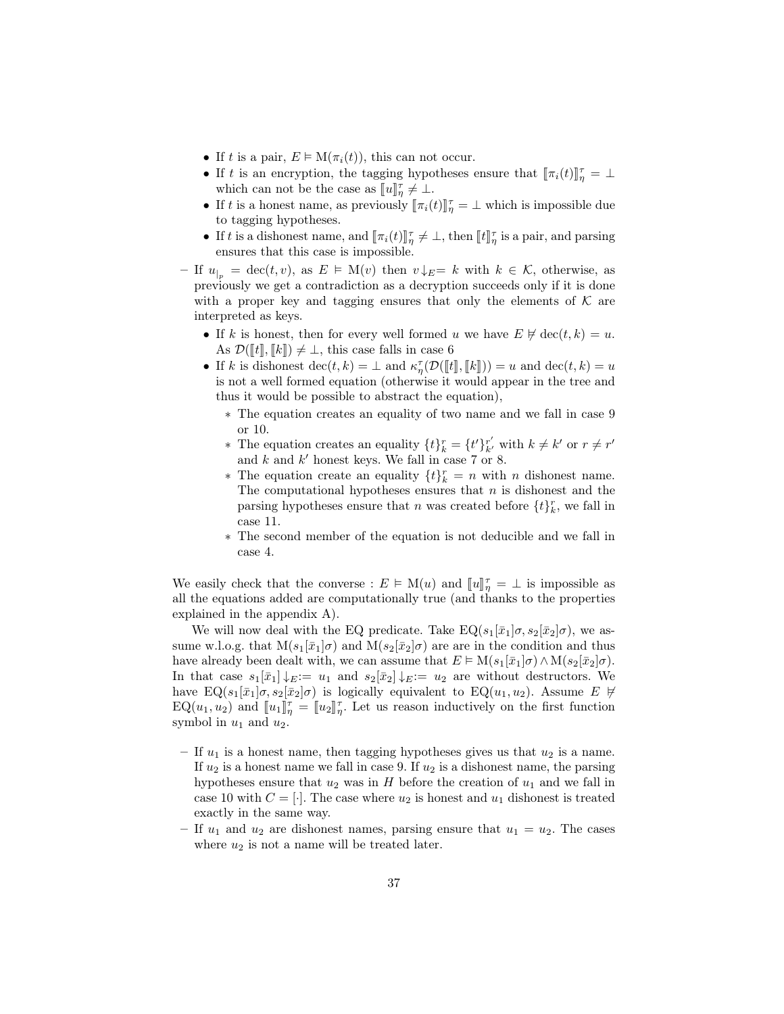- If t is a pair,  $E \models M(\pi_i(t))$ , this can not occur.
- If t is an encryption, the tagging hypotheses ensure that  $[\![\pi_i(t)]\!]_{\eta}^{\tau} = \bot$ <br>which can not be the case as  $[\![u]\!]_{\eta}^{\tau} \perp \bot$ which can not be the case as  $[\![u]\!]_{\eta}^{\tau} \neq \bot$ .
- If t is a honest name, as previously  $[\![\pi_i(t)]\!]_\eta^{\tau} = \bot$  which is impossible due to tagging hypotheses.
- If t is a dishonest name, and  $[\![\pi_i(t)]\!]_{\eta}^{\tau} \neq \bot$ , then  $[\![t]\!]_{\eta}^{\tau}$  is a pair, and parsing one that this case is impossible. ensures that this case is impossible.
- If  $u_{|p} = \text{dec}(t, v)$ , as  $E \models M(v)$  then  $v \downarrow_E = k$  with  $k \in \mathcal{K}$ , otherwise, as previously we get a contradiction as a decryption succeeds only if it is done with a proper key and tagging ensures that only the elements of  $K$  are interpreted as keys.
	- If k is honest, then for every well formed u we have  $E \not\models \text{dec}(t, k) = u$ . As  $\mathcal{D}(\llbracket t \rrbracket, \llbracket k \rrbracket) \neq \bot$ , this case falls in case 6
	- If k is dishonest  $\text{dec}(t, k) = \bot$  and  $\kappa_{\eta}^{\tau}(\mathcal{D}(\llbracket t \rrbracket, \llbracket k \rrbracket)) = u$  and  $\text{dec}(t, k) = u$ <br>is not a well formed equation (otherwise it would appear in the tree and is not a well formed equation (otherwise it would appear in the tree and thus it would be possible to abstract the equation),
		- ∗ The equation creates an equality of two name and we fall in case 9 or 10.
		- ∗ The equation creates an equality  $\{t\}_k^r = \{t'\}_{k'}^{r'}$  with  $k \neq k'$  or  $r \neq r'$ and  $k$  and  $k'$  honest keys. We fall in case 7 or 8.
		- ∗ The equation create an equality  ${t}^r_k = n$  with n dishonest name. The computational hypotheses ensures that  $n$  is dishonest and the parsing hypotheses ensure that n was created before  $\{t\}_k^r$ , we fall in case 11.
		- ∗ The second member of the equation is not deducible and we fall in case 4.

We easily check that the converse :  $E \models M(u)$  and  $[\![u]\!]_{\eta}^{\tau} = \bot$  is impossible as all the equations added are computationally true (and thanks to the properties explained in the appendix A).

We will now deal with the EQ predicate. Take  $EQ(s_1[\bar{x}_1]\sigma, s_2[\bar{x}_2]\sigma)$ , we assume w.l.o.g. that  $M(s_1[\bar{x}_1]\sigma)$  and  $M(s_2[\bar{x}_2]\sigma)$  are are in the condition and thus have already been dealt with, we can assume that  $E \models M(s_1[\bar{x}_1]\sigma) \land M(s_2[\bar{x}_2]\sigma)$ . In that case  $s_1[\bar{x}_1] \downarrow_E := u_1$  and  $s_2[\bar{x}_2] \downarrow_E := u_2$  are without destructors. We have  $EQ(s_1[\bar{x}_1]\sigma, s_2[\bar{x}_2]\sigma)$  is logically equivalent to  $EQ(u_1, u_2)$ . Assume  $E \not\vdash \phi$  $EQ(u_1, u_2)$  and  $[[u_1]]_{\eta}^{\tau} = [[u_2]]_{\eta}^{\tau}$ . Let us reason inductively on the first function symbol in  $u_1$  and  $u_2$ .

- If  $u_1$  is a honest name, then tagging hypotheses gives us that  $u_2$  is a name. If  $u_2$  is a honest name we fall in case 9. If  $u_2$  is a dishonest name, the parsing hypotheses ensure that  $u_2$  was in H before the creation of  $u_1$  and we fall in case 10 with  $C = [\cdot]$ . The case where  $u_2$  is honest and  $u_1$  dishonest is treated exactly in the same way.
- If  $u_1$  and  $u_2$  are dishonest names, parsing ensure that  $u_1 = u_2$ . The cases where  $u_2$  is not a name will be treated later.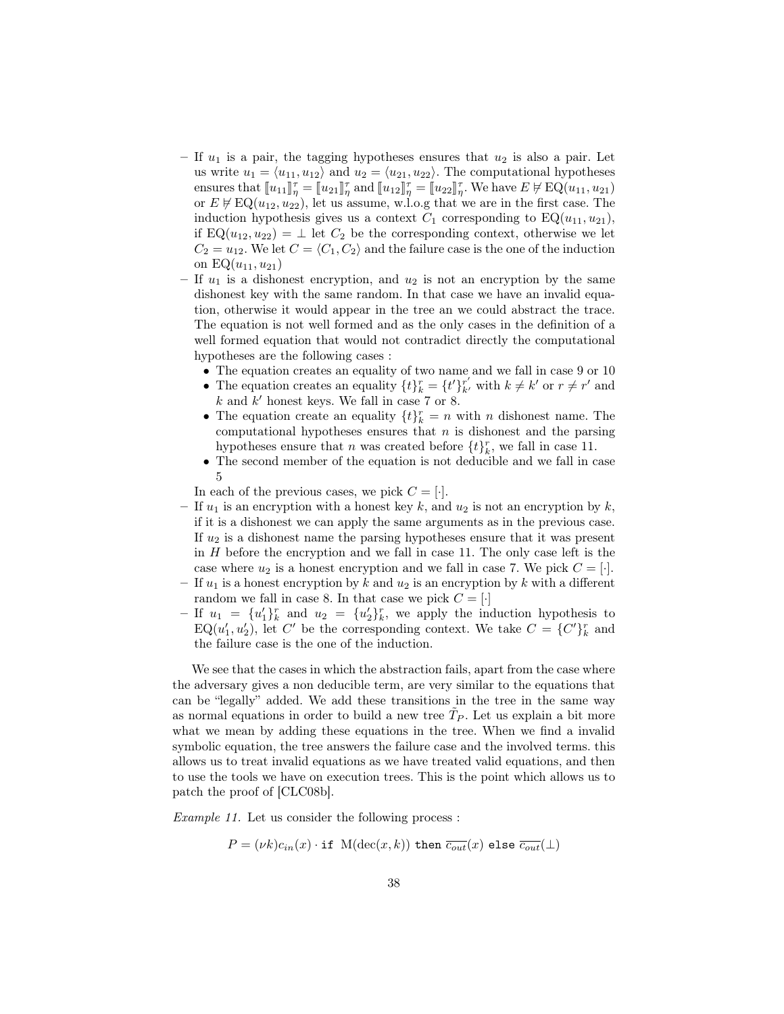- If  $u_1$  is a pair, the tagging hypotheses ensures that  $u_2$  is also a pair. Let us write  $u_1 = \langle u_{11}, u_{12} \rangle$  and  $u_2 = \langle u_{21}, u_{22} \rangle$ . The computational hypotheses ensures that  $[\![u_{11}]\!]_{\eta}^{\pi} = [\![u_{21}]\!]_{\eta}^{\pi}$  and  $[\![u_{12}]\!]_{\eta}^{\pi} = [\![u_{22}]\!]_{\eta}^{\pi}$ . We have  $E \not\models \mathrm{EQ}(u_{11}, u_{21})$ or  $E \not\models \mathrm{EQ}(u_{12}, u_{22})$ , let us assume, w.l.o.g that we are in the first case. The induction hypothesis gives us a context  $C_1$  corresponding to  $EQ(u_{11}, u_{21}),$ if EQ( $u_{12}, u_{22}$ ) =  $\perp$  let  $C_2$  be the corresponding context, otherwise we let  $C_2 = u_{12}$ . We let  $C = \langle C_1, C_2 \rangle$  and the failure case is the one of the induction on  $EQ(u_{11}, u_{21})$
- If  $u_1$  is a dishonest encryption, and  $u_2$  is not an encryption by the same dishonest key with the same random. In that case we have an invalid equation, otherwise it would appear in the tree an we could abstract the trace. The equation is not well formed and as the only cases in the definition of a well formed equation that would not contradict directly the computational hypotheses are the following cases :
	- The equation creates an equality of two name and we fall in case 9 or 10
	- The equation creates an equality  $\{t\}_k^r = \{t'\}_{k'}^{r'}$  with  $k \neq k'$  or  $r \neq r'$  and  $k$  and  $k'$  honest keys. We fall in case 7 or 8.
	- The equation create an equality  $\{t\}_k^r = n$  with n dishonest name. The computational hypotheses ensures that  $n$  is dishonest and the parsing hypotheses ensure that *n* was created before  $\{t\}_k^r$ , we fall in case 11.
	- The second member of the equation is not deducible and we fall in case 5

In each of the previous cases, we pick  $C = [\cdot]$ .

- If  $u_1$  is an encryption with a honest key k, and  $u_2$  is not an encryption by k, if it is a dishonest we can apply the same arguments as in the previous case. If  $u_2$  is a dishonest name the parsing hypotheses ensure that it was present in H before the encryption and we fall in case 11. The only case left is the case where  $u_2$  is a honest encryption and we fall in case 7. We pick  $C = [\cdot]$ .
- If  $u_1$  is a honest encryption by k and  $u_2$  is an encryption by k with a different random we fall in case 8. In that case we pick  $C = [\cdot]$
- If  $u_1 = \{u'_1\}_k^r$  and  $u_2 = \{u'_2\}_k^r$ , we apply the induction hypothesis to EQ( $u'_1, u'_2$ ), let C' be the corresponding context. We take  $C = \{C'\}_k^r$  and the failure case is the one of the induction.

We see that the cases in which the abstraction fails, apart from the case where the adversary gives a non deducible term, are very similar to the equations that can be "legally" added. We add these transitions in the tree in the same way as normal equations in order to build a new tree  $\tilde{T}_P$ . Let us explain a bit more what we mean by adding these equations in the tree. When we find a invalid symbolic equation, the tree answers the failure case and the involved terms. this allows us to treat invalid equations as we have treated valid equations, and then to use the tools we have on execution trees. This is the point which allows us to patch the proof of [CLC08b].

Example 11. Let us consider the following process :

$$
P = (\nu k)c_{in}(x) \cdot \text{if } M(\text{dec}(x, k)) \text{ then } \overline{c_{out}}(x) \text{ else } \overline{c_{out}}(\bot)
$$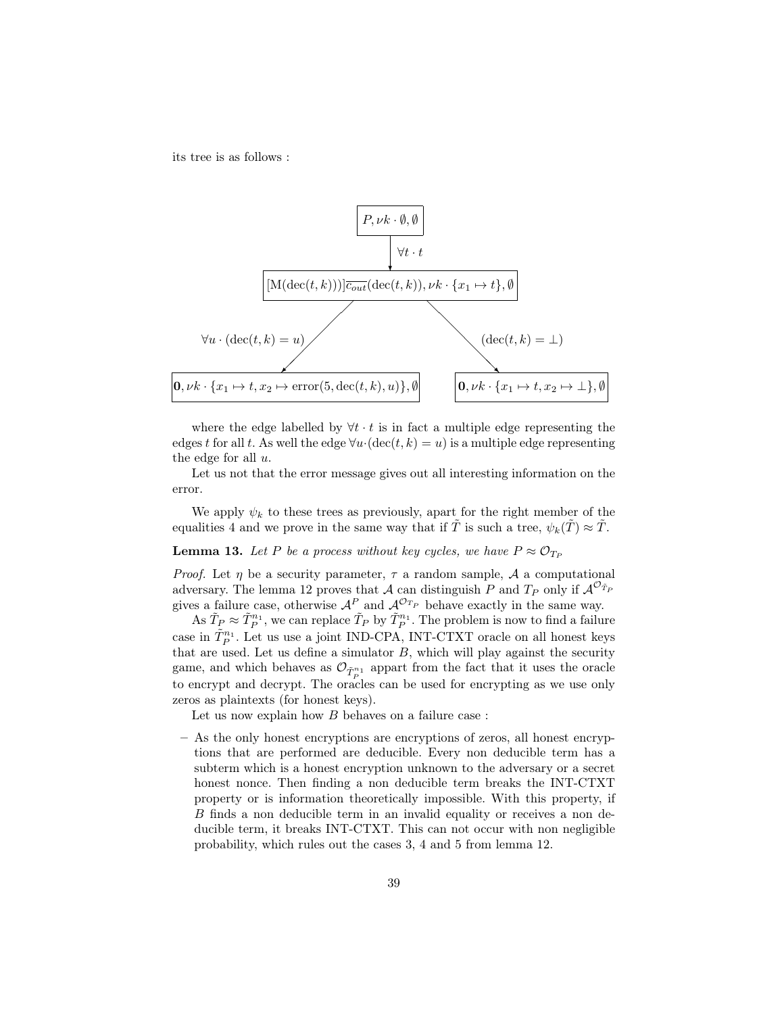its tree is as follows :



where the edge labelled by  $\forall t \cdot t$  is in fact a multiple edge representing the edges t for all t. As well the edge  $\forall u \cdot (\text{dec}(t, k) = u)$  is a multiple edge representing the edge for all  $u$ .

Let us not that the error message gives out all interesting information on the error.

We apply  $\psi_k$  to these trees as previously, apart for the right member of the equalities 4 and we prove in the same way that if  $\tilde{T}$  is such a tree,  $\psi_k(\tilde{T}) \approx \tilde{T}$ .

# **Lemma 13.** Let P be a process without key cycles, we have  $P \approx \mathcal{O}_{T_P}$

*Proof.* Let  $\eta$  be a security parameter,  $\tau$  a random sample, A a computational adversary. The lemma 12 proves that A can distinguish P and  $T_P$  only if  $\mathcal{A}^{\mathcal{O}_{T_P}}$ gives a failure case, otherwise  $A^P$  and  $A^{\mathcal{O}_{T_P}}$  behave exactly in the same way.

As  $\tilde{T}_P \approx \tilde{T}_P^{n_1}$ , we can replace  $\tilde{T}_P$  by  $\tilde{T}_P^{n_1}$ . The problem is now to find a failure case in  $\tilde{T}_P^{n_1}$ . Let us use a joint IND-CPA, INT-CTXT oracle on all honest keys that are used. Let us define a simulator  $B$ , which will play against the security game, and which behaves as  $\mathcal{O}_{\tilde{T}_P^{n_1}}$  appart from the fact that it uses the oracle to encrypt and decrypt. The oracles can be used for encrypting as we use only zeros as plaintexts (for honest keys).

Let us now explain how B behaves on a failure case :

– As the only honest encryptions are encryptions of zeros, all honest encryptions that are performed are deducible. Every non deducible term has a subterm which is a honest encryption unknown to the adversary or a secret honest nonce. Then finding a non deducible term breaks the INT-CTXT property or is information theoretically impossible. With this property, if B finds a non deducible term in an invalid equality or receives a non deducible term, it breaks INT-CTXT. This can not occur with non negligible probability, which rules out the cases 3, 4 and 5 from lemma 12.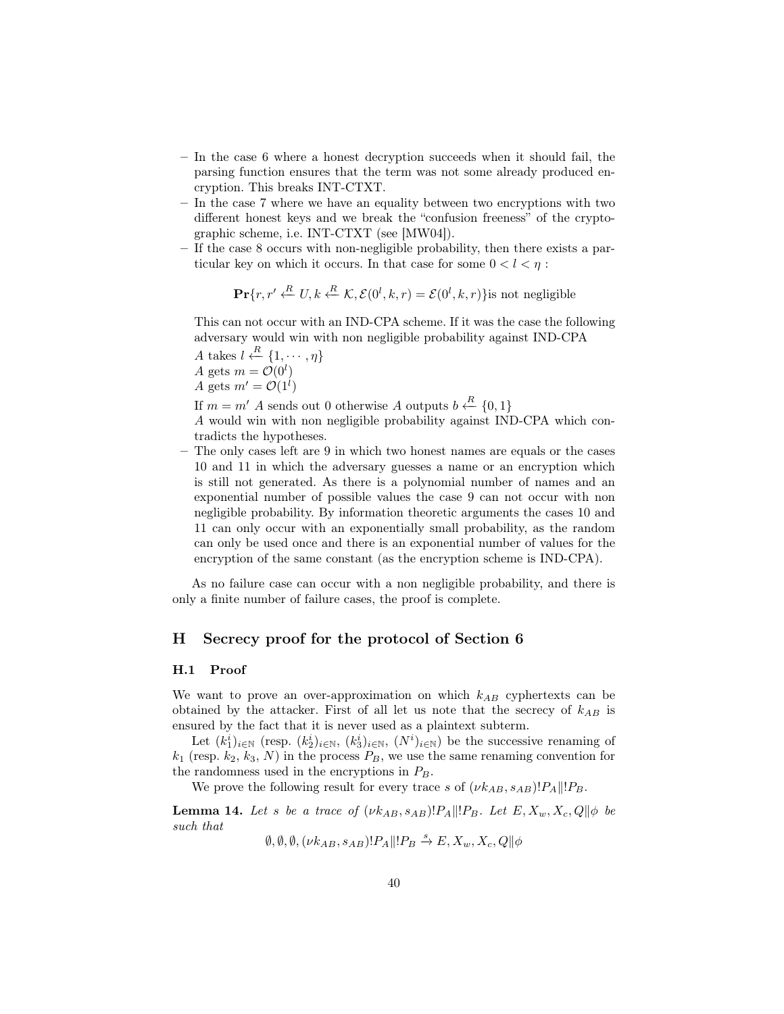- In the case 6 where a honest decryption succeeds when it should fail, the parsing function ensures that the term was not some already produced encryption. This breaks INT-CTXT.
- In the case 7 where we have an equality between two encryptions with two different honest keys and we break the "confusion freeness" of the cryptographic scheme, i.e. INT-CTXT (see [MW04]).
- If the case 8 occurs with non-negligible probability, then there exists a particular key on which it occurs. In that case for some  $0 < l < n$ :

$$
\mathbf{Pr}\{r, r' \stackrel{R}{\leftarrow} U, k \stackrel{R}{\leftarrow} \mathcal{K}, \mathcal{E}(0^l, k, r) = \mathcal{E}(0^l, k, r)\}\text{is not negligible}
$$

This can not occur with an IND-CPA scheme. If it was the case the following adversary would win with non negligible probability against IND-CPA

A takes  $l \stackrel{R}{\leftarrow} \{1, \cdots, \eta\}$ 

A gets  $m = \mathcal{O}(0^l)$ A gets  $m' = \mathcal{O}(1^l)$ 

If  $m = m'$  A sends out 0 otherwise A outputs  $b \stackrel{R}{\leftarrow} \{0, 1\}$ 

A would win with non negligible probability against IND-CPA which contradicts the hypotheses.

– The only cases left are 9 in which two honest names are equals or the cases 10 and 11 in which the adversary guesses a name or an encryption which is still not generated. As there is a polynomial number of names and an exponential number of possible values the case 9 can not occur with non negligible probability. By information theoretic arguments the cases 10 and 11 can only occur with an exponentially small probability, as the random can only be used once and there is an exponential number of values for the encryption of the same constant (as the encryption scheme is IND-CPA).

As no failure case can occur with a non negligible probability, and there is only a finite number of failure cases, the proof is complete.

# H Secrecy proof for the protocol of Section 6

#### H.1 Proof

We want to prove an over-approximation on which  $k_{AB}$  cyphertexts can be obtained by the attacker. First of all let us note that the secrecy of  $k_{AB}$  is ensured by the fact that it is never used as a plaintext subterm.

Let  $(k_1^i)_{i\in\mathbb{N}}$  (resp.  $(k_2^i)_{i\in\mathbb{N}}$ ,  $(k_3^i)_{i\in\mathbb{N}}$ ,  $(N^i)_{i\in\mathbb{N}}$ ) be the successive renaming of  $k_1$  (resp.  $k_2$ ,  $k_3$ , N) in the process  $P_B$ , we use the same renaming convention for the randomness used in the encryptions in  $P_B$ .

We prove the following result for every trace s of  $(\nu k_{AB}, s_{AB})!P_A||P_B$ .

**Lemma 14.** Let s be a trace of  $(\nu k_{AB}, s_{AB})!P_A||P_B$ . Let  $E, X_w, X_c, Q||\phi$  be such that

 $\emptyset$ ,  $\emptyset$ ,  $\emptyset$ ,  $(\nu k_{AB}, s_{AB})!P_A$ || $!P_B \overset{s}{\rightarrow} E$ ,  $X_w$ ,  $X_c$ ,  $Q$ || $\phi$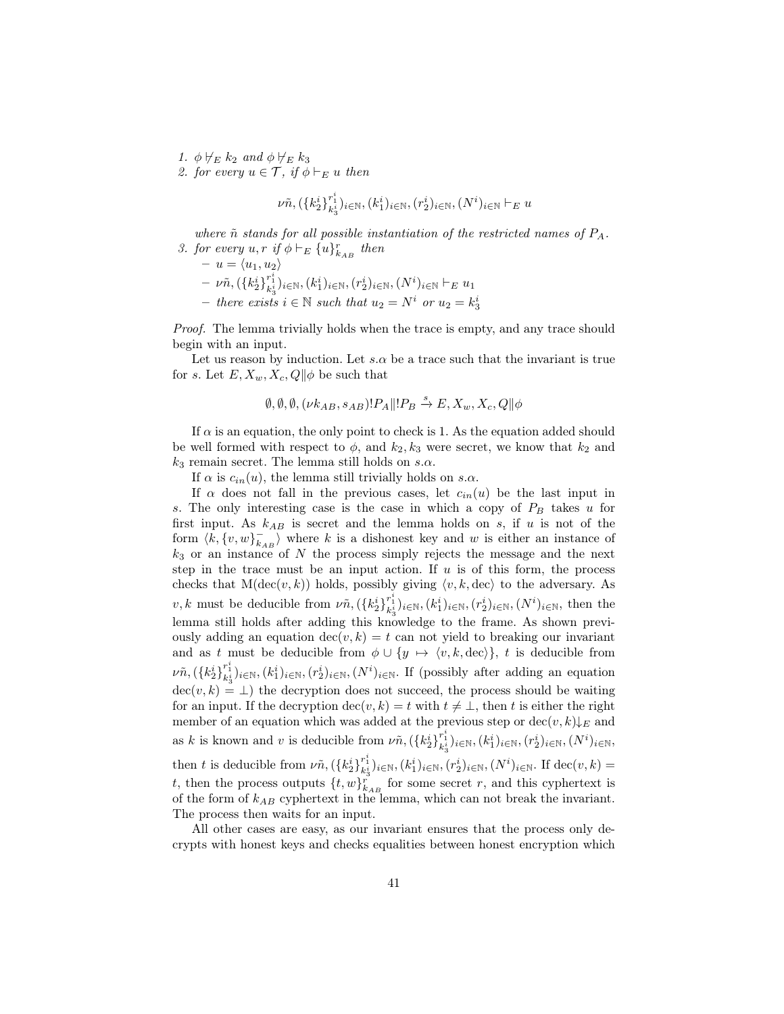- 1.  $\phi \not\vdash_E k_2$  and  $\phi \not\vdash_E k_3$
- 2. for every  $u \in \mathcal{T}$ , if  $\phi \vdash_E u$  then

$$
\nu \tilde{n}, (\{k^i_2\}_{k^i_3}^{r^i_1})_{i \in \mathbb{N}}, (k^i_1)_{i \in \mathbb{N}}, (r^i_2)_{i \in \mathbb{N}}, (N^i)_{i \in \mathbb{N}} \vdash_E u
$$

where  $\tilde{n}$  stands for all possible instantiation of the restricted names of  $P_A$ . 3. for every  $u, r \text{ if } \phi \vdash_E \{u\}_{k_{AB}}^r$  then

- $u = \langle u_1, u_2 \rangle$
- $-\nu \tilde{n}, (\{k^i_2\}_{k^i_3}^{r^i_1})_{i \in \mathbb{N}}, (k^i_1)_{i \in \mathbb{N}}, (r^i_2)_{i \in \mathbb{N}}, (N^i)_{i \in \mathbb{N}} \vdash_E u_1$
- − there exists  $i \in \mathbb{N}$  such that  $u_2 = N^i$  or  $u_2 = k_3^i$

Proof. The lemma trivially holds when the trace is empty, and any trace should begin with an input.

Let us reason by induction. Let  $s.\alpha$  be a trace such that the invariant is true for s. Let  $E, X_w, X_c, Q || \phi$  be such that

$$
\emptyset, \emptyset, \emptyset, (\nu k_{AB}, s_{AB})!P_A||!P_B \stackrel{s}{\rightarrow} E, X_w, X_c, Q||\phi
$$

If  $\alpha$  is an equation, the only point to check is 1. As the equation added should be well formed with respect to  $\phi$ , and  $k_2, k_3$  were secret, we know that  $k_2$  and  $k_3$  remain secret. The lemma still holds on  $s.\alpha$ .

If  $\alpha$  is  $c_{in}(u)$ , the lemma still trivially holds on s. $\alpha$ .

If  $\alpha$  does not fall in the previous cases, let  $c_{in}(u)$  be the last input in s. The only interesting case is the case in which a copy of  $P_B$  takes u for first input. As  $k_{AB}$  is secret and the lemma holds on s, if u is not of the form  $\langle k, \{v, w\}^-_{k\alpha} \rangle$  where k is a dishonest key and w is either an instance of  $k<sub>3</sub>$  or an instance of N the process simply rejects the message and the next step in the trace must be an input action. If  $u$  is of this form, the process checks that  $M(\text{dec}(v, k))$  holds, possibly giving  $\langle v, k, \text{dec} \rangle$  to the adversary. As  $v, k$  must be deducible from  $\nu \tilde{n}, (\lbrace k_2^i \rbrace_{k_3^i}^{r_1^i})_{i \in \mathbb{N}}, (k_1^i)_{i \in \mathbb{N}}, (r_2^i)_{i \in \mathbb{N}}, (N^i)_{i \in \mathbb{N}},$  then the lemma still holds after adding this knowledge to the frame. As shown previously adding an equation  $\text{dec}(v, k) = t$  can not yield to breaking our invariant and as t must be deducible from  $\phi \cup \{y \mapsto \langle v, k, \text{dec} \rangle\}$ , t is deducible from  $\nu\tilde{n}, (\{k_2^i\}_{k_3}^{r_1^i})_{i\in\mathbb{N}}, (k_1^i)_{i\in\mathbb{N}}, (r_2^i)_{i\in\mathbb{N}}, (N^i)_{i\in\mathbb{N}}$ . If (possibly after adding an equation  $dec(v, k) = \perp$ ) the decryption does not succeed, the process should be waiting for an input. If the decryption  $\text{dec}(v, k) = t$  with  $t \neq \bot$ , then t is either the right member of an equation which was added at the previous step or  $\text{dec}(v, k) \downarrow_E$  and as k is known and v is deducible from  $\nu \tilde{n}, (\{k^i_2\}_{k^i_3}^{r^i_1})_{i \in \mathbb{N}}, (k^i_1)_{i \in \mathbb{N}}, (r^i_2)_{i \in \mathbb{N}}, (N^i)_{i \in \mathbb{N}}$ then t is deducible from  $\nu \tilde{n}, (\{k^i_2\}_{k^i_3}^{\mathbf{r}^i_1})_{i \in \mathbb{N}}, (k^i_1)_{i \in \mathbb{N}}, (r^i_2)_{i \in \mathbb{N}}, (N^i)_{i \in \mathbb{N}}$ . If  $\text{dec}(v, k) =$ t, then the process outputs  $\{t, w\}_{k_{AB}}^r$  for some secret r, and this cyphertext is of the form of  $k_{AB}$  cyphertext in the lemma, which can not break the invariant. The process then waits for an input.

All other cases are easy, as our invariant ensures that the process only decrypts with honest keys and checks equalities between honest encryption which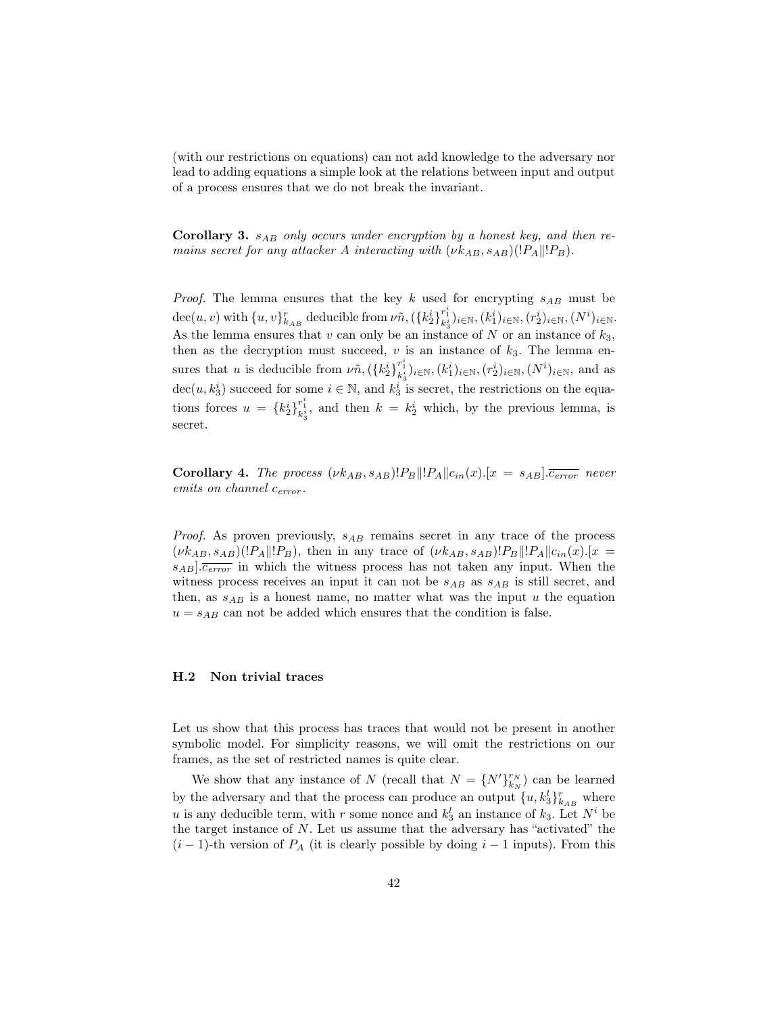(with our restrictions on equations) can not add knowledge to the adversary nor lead to adding equations a simple look at the relations between input and output of a process ensures that we do not break the invariant.

**Corollary 3.**  $s_{AB}$  only occurs under encryption by a honest key, and then remains secret for any attacker A interacting with  $(\nu k_{AB}, s_{AB})$  $(|P_A||!P_B)$ .

*Proof.* The lemma ensures that the key k used for encrypting  $s_{AB}$  must be  $\text{dec}(u, v) \text{ with } \{u, v\}^r_{k_{AB}} \text{ deducible from } \nu \tilde{n}, (\{k^i_2\}_{k^i_3}^{r^i_1})_{i \in \mathbb{N}}, (k^i_1)_{i \in \mathbb{N}}, (r^i_2)_{i \in \mathbb{N}}, (N^i)_{i \in \mathbb{N}}.$ As the lemma ensures that v can only be an instance of N or an instance of  $k_3$ , then as the decryption must succeed,  $v$  is an instance of  $k_3$ . The lemma ensures that u is deducible from  $\nu \tilde{n}, (\{k_2^i\}_{k_3}^{r_1^i})_{i \in \mathbb{N}}, (k_1^i)_{i \in \mathbb{N}}, (r_2^i)_{i \in \mathbb{N}}, (N^i)_{i \in \mathbb{N}}$ , and as  $\text{dec}(u, k_3^i)$  succeed for some  $i \in \mathbb{N}$ , and  $k_3^i$  is secret, the restrictions on the equations forces  $u = \{k_2^i\}_{k_3}^{r_1^i}$ , and then  $k = k_2^i$  which, by the previous lemma, is secret.

**Corollary 4.** The process  $(\nu k_{AB}, s_{AB})!P_B||P_A||c_{in}(x)$ .  $[x = s_{AB}]\cdot\overline{c_{error}}$  never emits on channel  $c_{error}$ .

*Proof.* As proven previously,  $s_{AB}$  remains secret in any trace of the process  $(\nu k_{AB}, s_{AB}) (P_A || P_B)$ , then in any trace of  $(\nu k_{AB}, s_{AB}) P_B || P_A || c_{in}(x)$ .[x =  $s_{AB}$ . $\overline{c_{error}}$  in which the witness process has not taken any input. When the witness process receives an input it can not be  $s_{AB}$  as  $s_{AB}$  is still secret, and then, as  $s_{AB}$  is a honest name, no matter what was the input u the equation  $u = s_{AB}$  can not be added which ensures that the condition is false.

### H.2 Non trivial traces

Let us show that this process has traces that would not be present in another symbolic model. For simplicity reasons, we will omit the restrictions on our frames, as the set of restricted names is quite clear.

We show that any instance of N (recall that  $N = \{N'\}_{k_N}^{r_N}$ ) can be learned by the adversary and that the process can produce an output  $\{u, k_3^l\}_{k_{AB}}^r$  where u is any deducible term, with r some nonce and  $k_3^l$  an instance of  $k_3$ . Let  $N^i$  be the target instance of N. Let us assume that the adversary has "activated" the  $(i-1)$ -th version of  $P_A$  (it is clearly possible by doing  $i-1$  inputs). From this